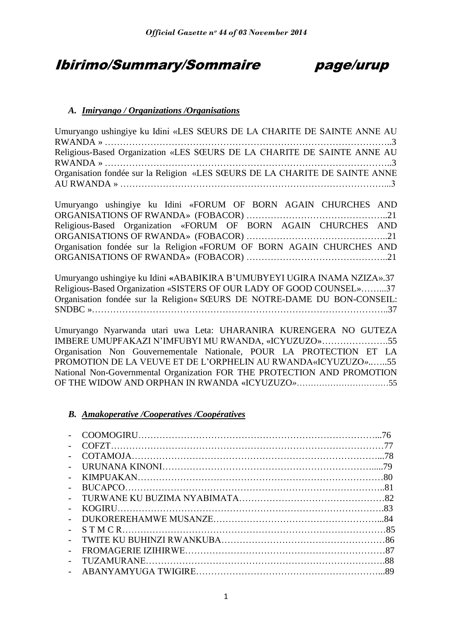# Ibirimo/Summary/Sommaire page/urup

# *A. Imiryango / Organizations /Organisations*

| Umuryango ushingiye ku Idini «LES SŒURS DE LA CHARITE DE SAINTE ANNE AU     |  |
|-----------------------------------------------------------------------------|--|
|                                                                             |  |
| Religious-Based Organization «LES SŒURS DE LA CHARITE DE SAINTE ANNE AU     |  |
|                                                                             |  |
| Organisation fondée sur la Religion «LES SŒURS DE LA CHARITE DE SAINTE ANNE |  |
|                                                                             |  |

Umuryango ushingiye ku Idini «FORUM OF BORN AGAIN CHURCHES AND ORGANISATIONS OF RWANDA» (FOBACOR) ………………………………………..21 Religious-Based Organization «FORUM OF BORN AGAIN CHURCHES AND ORGANISATIONS OF RWANDA» (FOBACOR) ………………………………………..21 Organisation fondée sur la Religion «FORUM OF BORN AGAIN CHURCHES AND ORGANISATIONS OF RWANDA» (FOBACOR) ………………………………………..21

Umuryango ushingiye ku Idini **«**ABABIKIRA B"UMUBYEYI UGIRA INAMA NZIZA».37 Religious-Based Organization «SISTERS OF OUR LADY OF GOOD COUNSEL»……...37 Organisation fondée sur la Religion« SŒURS DE NOTRE-DAME DU BON-CONSEIL: SNDBC »……………………………………………………………………………………..37

Umuryango Nyarwanda utari uwa Leta: UHARANIRA KURENGERA NO GUTEZA IMBERE UMUPFAKAZI N"IMFUBYI MU RWANDA, «ICYUZUZO»………………….55 Organisation Non Gouvernementale Nationale, POUR LA PROTECTION ET LA PROMOTION DE LA VEUVE ET DE L"ORPHELIN AU RWANDA«ICYUZUZO*»..*…..55 National Non-Governmental Organization FOR THE PROTECTION AND PROMOTION OF THE WIDOW AND ORPHAN IN RWANDA «ICYUZUZO*»*……………………………55

## *B. Amakoperative /Cooperatives /Coopératives*

|                          | 76 |
|--------------------------|----|
|                          |    |
| $\overline{\phantom{a}}$ |    |
| $\overline{a}$           | 79 |
|                          |    |
|                          |    |
| $\overline{a}$           |    |
| $\sim$                   |    |
|                          |    |
| $\overline{a}$           |    |
| $\overline{a}$           |    |
|                          |    |
|                          |    |
|                          |    |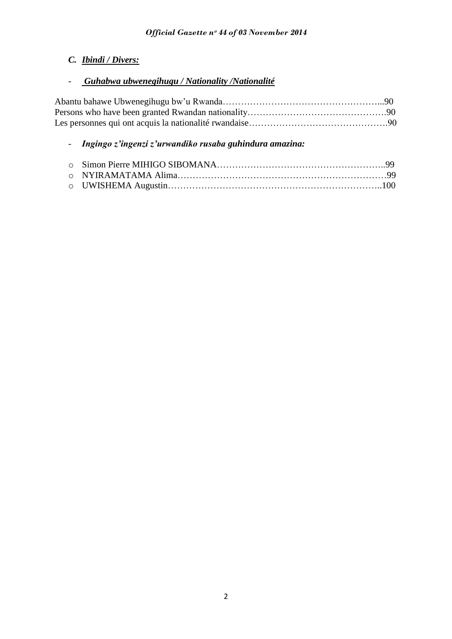# *C. Ibindi / Divers:*

# - *Guhabwa ubwenegihugu / Nationality /Nationalité*

# - *Ingingo z'ingenzi z'urwandiko rusaba guhindura amazina:*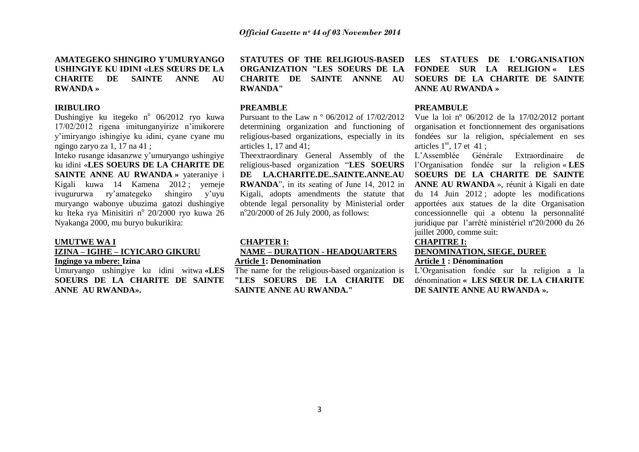### **AMATEGEKO SHINGIRO Y'UMURYANGO USHINGIYE KU IDINI «LES SŒURS DE LA CHARITE DE SAINTE ANNE AU RWANDA »**

#### **IRIBULIRO**

Dushingiye ku itegeko nº 06/2012 ryo kuwa 17/02/2012 rigena imitunganyirize n"imikorere y"imiryango ishingiye ku idini, cyane cyane mu ngingo zaryo za 1, 17 na 41 ;

Inteko rusange idasanzwe y"umuryango ushingiye ku idini «**LES SOEURS DE LA CHARITE DE SAINTE ANNE AU RWANDA »** yateraniye i Kigali kuwa 14 Kamena 2012 ; yemeje ivugururwa ry"amategeko shingiro y"uyu muryango wabonye ubuzima gatozi dushingiye ku Iteka rya Minisitiri n<sup>o</sup> 20/2000 ryo kuwa 26 Nyakanga 2000, mu buryo bukurikira:

#### **UMUTWE WA I**

### **IZINA – IGIHE – ICYICARO GIKURU Ingingo ya mbere: Izina**

Umuryango ushingiye ku idini witwa **«LES SOEURS DE LA CHARITE DE SAINTE ANNE AU RWANDA».** 

**STATUTES OF THE RELIGIOUS-BASED ORGANIZATION "LES SOEURS DE LA CHARITE DE SAINTE ANNNE AU RWANDA"** 

#### **PREAMBLE**

Pursuant to the Law n º 06/2012 of 17/02/2012 determining organization and functioning of religious-based organizations, especially in its articles 1, 17 and 41;

religious-based organization "**LES SOEURS DE LA.CHARITE.DE..SAINTE.ANNE.AU RWANDA**", in its seating of June 14, 2012 in Kigali, adopts amendments the statute that obtende legal personality by Ministerial order n°20/2000 of 26 July 2000, as follows:

#### **CHAPTER I:**

### **NAME Ŕ DURATION - HEADQUARTERS Article 1: Denomination**

The name for the religious-based organization is **"LES SOEURS DE LA CHARITE DE SAINTE ANNE AU RWANDA."**

**LES STATUES DE L'ORGANISATION FONDEE SUR LA RELIGION « LES SOEURS DE LA CHARITE DE SAINTE ANNE AU RWANDA »**

#### **PREAMBULE**

Vue la loi nº 06/2012 de la 17/02/2012 portant organisation et fonctionnement des organisations fondées sur la religion, spécialement en ses articles  $1<sup>er</sup>$ , 17 et 41 ;

Theextraordinary General Assembly of the L"Assemblée Générale Extraordinaire de l"Organisation fondée sur la religion « **LES SOEURS DE LA CHARITE DE SAINTE ANNE AU RWANDA** », réunit à Kigali en date du 14 Juin 2012 ; adopte les modifications apportées aux statues de la dite Organisation concessionnelle qui a obtenu la personnalité juridique par l"arrêté ministériel nº20/2000 du 26 juillet 2000, comme suit:

### **CHAPITRE I:**

# **DENOMINATION, SIEGE, DUREE**

### **Article 1 : Dénomination**

L"Organisation fondée sur la religion a la dénomination **« LES SŒUR DE LA CHARITE DE SAINTE ANNE AU RWANDA ».**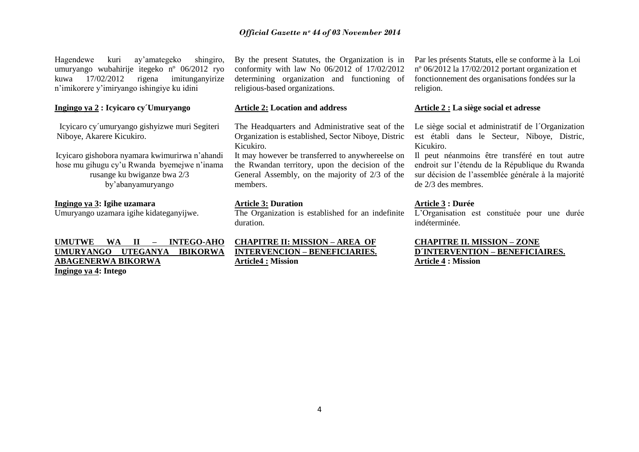Hagendewe kuri ay"amategeko shingiro, umuryango wubahirije itegeko nº 06/2012 ryo kuwa 17/02/2012 rigena imitunganyirize n"imikorere y"imiryango ishingiye ku idini

### **Ingingo ya 2 : Icyicaro cy´Umuryango**

Icyicaro cy´umuryango gishyizwe muri Segiteri Niboye, Akarere Kicukiro.

Icyicaro gishobora nyamara kwimurirwa n"ahandi hose mu gihugu cy"u Rwanda byemejwe n"inama rusange ku bwiganze bwa 2/3 by"abanyamuryango

### **Ingingo ya 3: Igihe uzamara**

Umuryango uzamara igihe kidateganyijwe.

### **UMUTWE WA II - INTEGO-AHO UMURYANGO UTEGANYA IBIKORWA ABAGENERWA BIKORWA Ingingo ya 4: Intego**

By the present Statutes, the Organization is in conformity with law No 06/2012 of 17/02/2012 determining organization and functioning of religious-based organizations.

### **Article 2: Location and address**

The Headquarters and Administrative seat of the Organization is established, Sector Niboye, Distric Kicukiro.

It may however be transferred to anywhereelse on the Rwandan territory, upon the decision of the General Assembly, on the majority of 2/3 of the members.

#### **Article 3: Duration**

The Organization is established for an indefinite duration.

**CHAPITRE II: MISSION - AREA OF INTERVENCION - BENEFICIARIES. Article4 : Mission**

Par les présents Statuts, elle se conforme à la Loi nº 06/2012 la 17/02/2012 portant organization et fonctionnement des organisations fondées sur la religion.

#### **Article 2 : La siège social et adresse**

Le siège social et administratif de l'Organization est établi dans le Secteur, Niboye, Distric, Kicukiro.

Il peut néanmoins être transféré en tout autre endroit sur l"étendu de la République du Rwanda sur décision de l"assemblée générale à la majorité de 2/3 des membres.

### **Article 3 : Durée**

L"Organisation est constituée pour une durée indéterminée.

**CHAPITRE II. MISSION - ZONE D'INTERVENTION - BENEFICIAIRES. Article 4 : Mission**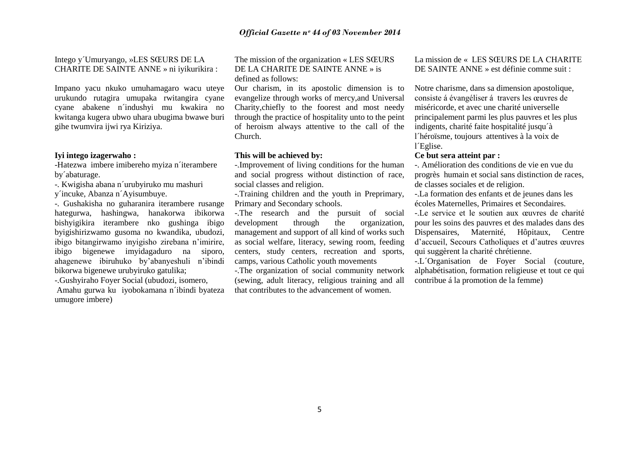Intego y´Umuryango, »LES SŒURS DE LA CHARITE DE SAINTE ANNE » ni iyikurikira :

Impano yacu nkuko umuhamagaro wacu uteye urukundo rutagira umupaka rwitangira cyane cyane abakene n´indushyi mu kwakira no kwitanga kugera ubwo uhara ubugima bwawe buri gihe twumvira ijwi rya Kiriziya.

#### **Iyi intego izagerwaho :**

-Hatezwa imbere imibereho myiza n´iterambere by´abaturage.

-. Kwigisha abana n´urubyiruko mu mashuri

y´incuke, Abanza n´Ayisumbuye.

-. Gushakisha no guharanira iterambere rusange hategurwa, hashingwa, hanakorwa ibikorwa bishyigikira iterambere nko gushinga ibigo byigishirizwamo gusoma no kwandika, ubudozi, ibigo bitangirwamo inyigisho zirebana n"imirire, ibigo bigenewe imyidagaduro na siporo, ahagenewe ibiruhuko by"abanyeshuli n"ibindi bikorwa bigenewe urubyiruko gatulika;

-.Gushyiraho Foyer Social (ubudozi, isomero, Amahu gurwa ku iyobokamana n´ibindi byateza umugore imbere)

The mission of the organization « LES SŒURS DE LA CHARITE DE SAINTE ANNE » is defined as follows:

Our charism, in its apostolic dimension is to evangelize through works of mercy,and Universal Charity,chiefly to the foorest and most needy through the practice of hospitality unto to the peint of heroism always attentive to the call of the Church.

### **This will be achieved by:**

-.Improvement of living conditions for the human and social progress without distinction of race, social classes and religion.

-.Training children and the youth in Preprimary, Primary and Secondary schools.

-.The research and the pursuit of social development through the organization, management and support of all kind of works such as social welfare, literacy, sewing room, feeding centers, study centers, recreation and sports, camps, various Catholic youth movements

-.The organization of social community network (sewing, adult literacy, religious training and all that contributes to the advancement of women.

La mission de « LES SŒURS DE LA CHARITE DE SAINTE ANNE » est définie comme suit :

Notre charisme, dans sa dimension apostolique, consiste á évangéliser á travers les œuvres de miséricorde, et avec une charité universelle principalement parmi les plus pauvres et les plus indigents, charité faite hospitalité jusqu´à l´héroïsme, toujours attentives à la voix de l´Eglise.

### **Ce but sera atteint par :**

-. Amélioration des conditions de vie en vue du progrès humain et social sans distinction de races, de classes sociales et de religion.

-.La formation des enfants et de jeunes dans les écoles Maternelles, Primaires et Secondaires.

-.Le service et le soutien aux œuvres de charité pour les soins des pauvres et des malades dans des Dispensaires, Maternité, Hôpitaux, Centre d"accueil, Secours Catholiques et d"autres œuvres qui suggèrent la charité chrétienne.

-.L´Organisation de Foyer Social (couture, alphabétisation, formation religieuse et tout ce qui contribue á la promotion de la femme)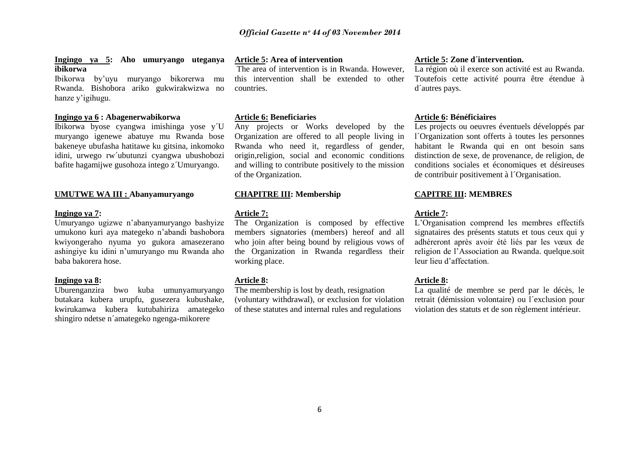#### **Ingingo ya 5: Aho umuryango uteganya ibikorwa**

Ibikorwa by"uyu muryango bikorerwa mu Rwanda. Bishobora ariko gukwirakwizwa no hanze y"igihugu.

### **Ingingo ya 6 : Abagenerwabikorwa**

Ibikorwa byose cyangwa imishinga yose y´U muryango igenewe abatuye mu Rwanda bose bakeneye ubufasha hatitawe ku gitsina, inkomoko idini, urwego rw´ubutunzi cyangwa ubushobozi bafite hagamijwe gusohoza intego z´Umuryango.

#### **UMUTWE WA III : Abanyamuryango**

#### **Ingingo ya 7:**

Umuryango ugizwe n"abanyamuryango bashyize umukono kuri aya mategeko n"abandi bashobora kwiyongeraho nyuma yo gukora amasezerano ashingiye ku idini n"umuryango mu Rwanda aho baba bakorera hose.

#### **Ingingo ya 8:**

Uburenganzira bwo kuba umunyamuryango butakara kubera urupfu, gusezera kubushake, kwirukanwa kubera kutubahiriza amategeko shingiro ndetse n´amategeko ngenga-mikorere

### **Article 5: Area of intervention**

The area of intervention is in Rwanda. However, this intervention shall be extended to other countries.

#### **Article 6: Beneficiaries**

Any projects or Works developed by the Organization are offered to all people living in Rwanda who need it, regardless of gender, origin,religion, social and economic conditions and willing to contribute positively to the mission of the Organization.

### **CHAPITRE III: Membership**

#### **Article 7:**

The Organization is composed by effective members signatories (members) hereof and all who join after being bound by religious vows of the Organization in Rwanda regardless their working place.

#### **Article 8:**

The membership is lost by death, resignation (voluntary withdrawal), or exclusion for violation of these statutes and internal rules and regulations

#### **Article 5: Zone d´intervention.**

La région où il exerce son activité est au Rwanda. Toutefois cette activité pourra être étendue à d´autres pays.

#### **Article 6: Bénéficiaires**

Les projects ou oeuvres éventuels développés par l´Organization sont offerts à toutes les personnes habitant le Rwanda qui en ont besoin sans distinction de sexe, de provenance, de religion, de conditions sociales et économiques et désireuses de contribuir positivement à l´Organisation.

### **CAPITRE III: MEMBRES**

#### **Article 7:**

L"Organisation comprend les membres effectifs signataires des présents statuts et tous ceux qui y adhéreront après avoir été liés par les vœux de religion de l"Association au Rwanda. quelque.soit leur lieu d"affectation.

#### **Article 8:**

La qualité de membre se perd par le décès, le retrait (démission volontaire) ou l´exclusion pour violation des statuts et de son règlement intérieur.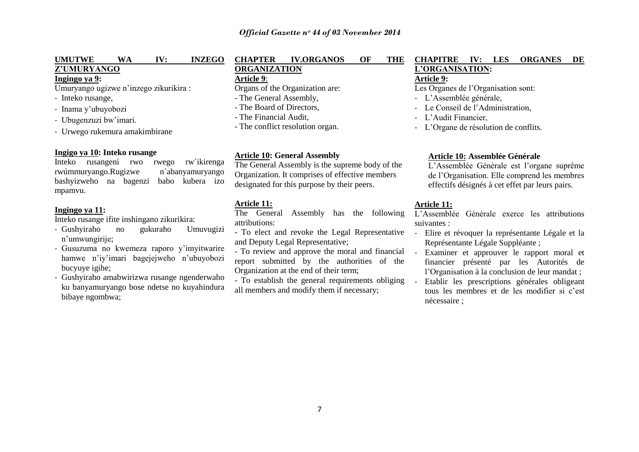# **UMUTWE WA IV: INZEGO Z'UMURYANGO**

### **Ingingo ya 9:**

Umuryango ugizwe n"inzego zikurikira :

- Inteko rusange,
- Inama y"ubuyobozi
- Ubugenzuzi bw"imari.
- Urwego rukemura amakimbirane

**Ingigo ya 10: Inteko rusange** Inteko rusangeni rwo rwúmmuryango.Rugizwe n´abanyamuryango bashyizweho na bagenzi babo kubera izo mpamvu.

### **Ingingo ya 11:**

Inteko rusange ifite inshingano zikurikira:

- Gushyiraho no gukuraho Umuvugizi n"umwungirije;
- Gusuzuma no kwemeza raporo y"imyitwarire hamwe n"iy"imari bagejejweho n"ubuyobozi bucyuye igihe;
- Gushyiraho amabwirizwa rusange ngenderwaho ku banyamuryango bose ndetse no kuyahindura bibaye ngombwa;

### **CHAPTER IV.ORGANOS OF THE ORGANIZATION**

### **Article 9**:

Organs of the Organization are:

- The General Assembly,
- The Board of Directors,
- The Financial Audit,
- The conflict resolution organ.

#### **Article 10: General Assembly**

The General Assembly is the supreme body of the Organization. It comprises of effective members designated for this purpose by their peers.

### **Article 11:**

The General Assembly has the following attributions:

- To elect and revoke the Legal Representative and Deputy Legal Representative;

- To review and approve the moral and financial report submitted by the authorities of the Organization at the end of their term;

- To establish the general requirements obliging all members and modify them if necessary;

### **CHAPITRE IV: LES ORGANES DE L'ORGANISATION: Article 9:**

### Les Organes de l'Organisation sont:

- L"Assemblée générale,
- Le Conseil de l"Administration,
- L'Audit Financier
- L"Organe de résolution de conflits.

### **Article 10: Assemblée Générale**

L"Assemblée Générale est l"organe suprême de l"Organisation. Elle comprend les membres effectifs désignés à cet effet par leurs pairs.

### **Article 11:**

L"Assemblée Générale exerce les attributions suivantes :

- Elire et révoquer la représentante Légale et la Représentante Légale Suppléante ;
- Examiner et approuver le rapport moral et financier présenté par les Autorités de l"Organisation à la conclusion de leur mandat ;
- Etablir les prescriptions générales obligeant tous les membres et de les modifier si c"est nécessaire ;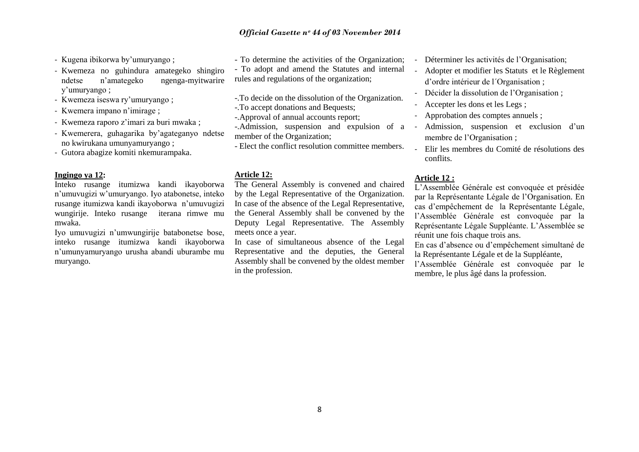- Kugena ibikorwa by"umuryango ;
- Kwemeza no guhindura amategeko shingiro ndetse n"amategeko ngenga-myitwarire y"umuryango ;
- Kwemeza iseswa ry"umuryango ;
- Kwemera impano n"imirage ;
- Kwemeza raporo z"imari za buri mwaka ;
- Kwemerera, guhagarika by"agateganyo ndetse no kwirukana umunyamuryango ;
- Gutora abagize komiti nkemurampaka.

#### **Ingingo ya 12:**

Inteko rusange itumizwa kandi ikayoborwa n"umuvugizi w"umuryango. Iyo atabonetse, inteko rusange itumizwa kandi ikayoborwa n"umuvugizi wungirije. Inteko rusange iterana rimwe mu mwaka.

Iyo umuvugizi n"umwungirije batabonetse bose, inteko rusange itumizwa kandi ikayoborwa n"umunyamuryango urusha abandi uburambe mu muryango.

- To determine the activities of the Organization;
- To adopt and amend the Statutes and internal rules and regulations of the organization;
- -.To decide on the dissolution of the Organization.
- -.To accept donations and Bequests;
- -.Approval of annual accounts report;
- -.Admission, suspension and expulsion of a member of the Organization;
- Elect the conflict resolution committee members.

#### **Article 12:**

The General Assembly is convened and chaired by the Legal Representative of the Organization. In case of the absence of the Legal Representative, the General Assembly shall be convened by the Deputy Legal Representative. The Assembly meets once a year.

In case of simultaneous absence of the Legal Representative and the deputies, the General Assembly shall be convened by the oldest member in the profession.

- Déterminer les activités de l'Organisation:
- Adopter et modifier les Statuts et le Règlement d"ordre intérieur de l´Organisation ;
- Décider la dissolution de l"Organisation ;
- Accepter les dons et les Legs ;
- Approbation des comptes annuels ;
- Admission, suspension et exclusion d'un membre de l"Organisation ;
- Elir les membres du Comité de résolutions des conflits.

### **Article 12 :**

L"Assemblée Générale est convoquée et présidée par la Représentante Légale de l"Organisation. En cas d"empêchement de la Représentante Légale, l"Assemblée Générale est convoquée par la Représentante Légale Suppléante. L"Assemblée se réunit une fois chaque trois ans.

En cas d"absence ou d"empêchement simultané de la Représentante Légale et de la Suppléante,

l"Assemblée Générale est convoquée par le membre, le plus âgé dans la profession.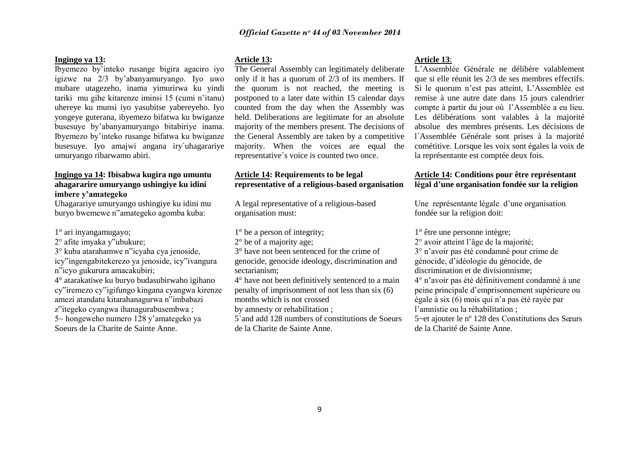### **Ingingo ya 13:**

Ibyemezo by"inteko rusange bigira agaciro iyo igizwe na 2/3 by"abanyamuryango. Iyo uwo mubare utagezeho, inama yimurirwa ku yindi tariki mu gihe kitarenze iminsi 15 (cumi n"itanu) uhereye ku munsi iyo yasubitse yabereyeho. Iyo yongeye guterana, ibyemezo bifatwa ku bwiganze busesuye by"abanyamuryango bitabiriye inama. Ibyemezo by"inteko rusange bifatwa ku bwiganze busesuye. Iyo amajwi angana iry´uhagarariye umuryango ribarwamo abiri.

### **Ingingo ya 14: Ibisabwa kugira ngo umuntu ahagararire umuryango ushingiye ku idini imbere y'amategeko**

Uhagarariye umuryango ushingiye ku idini mu buryo bwemewe n"amategeko agomba kuba:

- 1° ari inyangamugayo;
- 2° afite imyaka y"ubukure;
- 3° kuba atarahamwe n"icyaha cya jenoside,
- icy"ingengabitekerezo ya jenoside, icy"ivangura n"icyo gukurura amacakubiri;
- 4° atarakatiwe ku buryo budasubirwaho igihano
- cy"iremezo cy"igifungo kingana cyangwa kirenze amezi atandatu kitarahanagurwa n"imbabazi z"itegeko cyangwa ihanagurabusembwa ;

5~ hongeweho numero 128 y"amategeko ya Soeurs de la Charite de Sainte Anne.

### **Article 13:**

The General Assembly can legitimately deliberate only if it has a quorum of 2/3 of its members. If the quorum is not reached, the meeting is postponed to a later date within 15 calendar days counted from the day when the Assembly was held. Deliberations are legitimate for an absolute majority of the members present. The decisions of the General Assembly are taken by a competitive majority. When the voices are equal the representative´s voice is counted two once.

### **Article 14: Requirements to be legal representative of a religious-based organisation**

A legal representative of a religious-based organisation must:

- 1° be a person of integrity;
- 2° be of a majority age;
- 3° have not been sentenced for the crime of genocide, genocide ideology, discrimination and sectarianism;
- 4° have not been definitively sentenced to a main penalty of imprisonment of not less than six (6) months which is not crossed
- by amnesty or rehabilitation ;
- 5`and add 128 numbers of constitutions de Soeurs de la Charite de Sainte Anne.

#### **Article 13**:

L"Assemblée Générale ne délibère valablement que si elle réunit les 2/3 de ses membres effectifs. Si le quorum n"est pas atteint, L"Assemblée est remise à une autre date dans 15 jours calendrier compte à partir du jour où l"Assemblée a eu lieu. Les délibérations sont valables à la majorité absolue des membres présents. Les décisions de l´Assemblée Générale sont prises à la majorité cométitive. Lorsque les voix sont égales la voix de la représentante est comptée deux fois.

### **Article 14: Conditions pour être représentant légal d'une organisation fondée sur la religion**

Une représentante légale d'une organisation fondée sur la religion doit:

1° être une personne intègre;

- 2° avoir atteint l"âge de la majorité;
- 3° n"avoir pas été condamné pour crime de
- génocide, d"idéologie du génocide, de
- discrimination et de divisionnisme;
- 4° n"avoir pas été définitivement condamné à une peine principale d"emprisonnement supérieure ou
- égale à six (6) mois qui n"a pas été rayée par
- l"amnistie ou la réhabilitation ;

5~et ajouter le nº 128 des Constitutions des Sœurs de la Charité de Sainte Anne.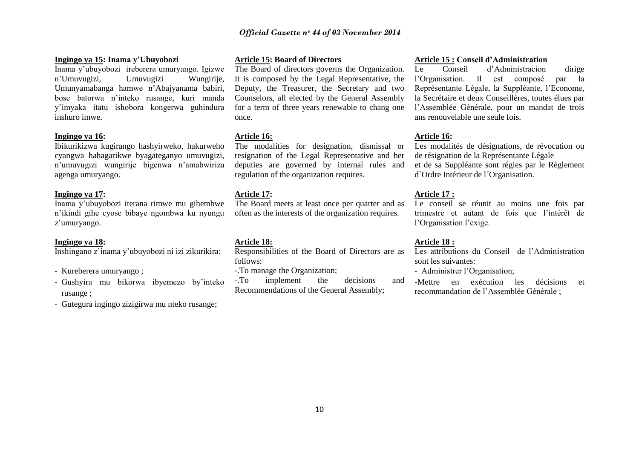#### **Ingingo ya 15: Inama y'Ubuyobozi**

Inama y"ubuyobozi ireberera umuryango. Igizwe n"Umuvugizi, Umuvugizi Wungirije, Umunyamabanga hamwe n"Abajyanama babiri, bose batorwa n"inteko rusange, kuri manda y"imyaka itatu ishobora kongerwa guhindura inshuro imwe.

#### **Ingingo ya 16:**

Ibikurikizwa kugirango hashyirweko, hakurweho cyangwa hahagarikwe byagateganyo umuvugizi, n"umuvugizi wungirije bigenwa n"amabwiriza agenga umuryango.

#### **Ingingo ya 17:**

Inama y"ubuyobozi iterana rimwe mu gihembwe n"ikindi gihe cyose bibaye ngombwa ku nyungu z'umuryango.

#### **Ingingo ya 18:**

Inshingano z"inama y"ubuyobozi ni izi zikurikira:

- Kureberera umuryango ;
- Gushyira mu bikorwa ibyemezo by"inteko rusange ;
- Gutegura ingingo zizigirwa mu nteko rusange;

### **Article 15: Board of Directors**

The Board of directors governs the Organization. It is composed by the Legal Representative, the Deputy, the Treasurer, the Secretary and two Counselors, all elected by the General Assembly for a term of three years renewable to chang one once.

#### **Article 16:**

The modalities for designation, dismissal or resignation of the Legal Representative and her deputies are governed by internal rules and regulation of the organization requires.

#### **Article 17:**

The Board meets at least once per quarter and as often as the interests of the organization requires.

#### **Article 18:**

Responsibilities of the Board of Directors are as follows:

-.To manage the Organization;

-.To implement the decisions and Recommendations of the General Assembly;

#### **Article 15 : Conseil d'Administration**

Le Conseil d"Administracion dirige l"Organisation. Il est composé par la Représentante Légale, la Suppléante, l"Econome, la Secrétaire et deux Conseillères, toutes élues par l"Assemblée Générale, pour un mandat de trois ans renouvelable une seule fois.

#### **Article 16:**

Les modalités de désignations, de révocation ou de résignation de la Représentante Légale et de sa Suppléante sont régies par le Règlement d´Ordre Intérieur de l´Organisation.

#### **Article 17 :**

Le conseil se réunit au moins une fois par trimestre et autant de fois que l"intérêt de l'Organisation l'exige.

#### **Article 18 :**

Les attributions du Conseil de l'Administration sont les suivantes:

- Administrer l"Organisation;

-Mettre en exécution les décisions et recommandation de l"Assemblée Générale ;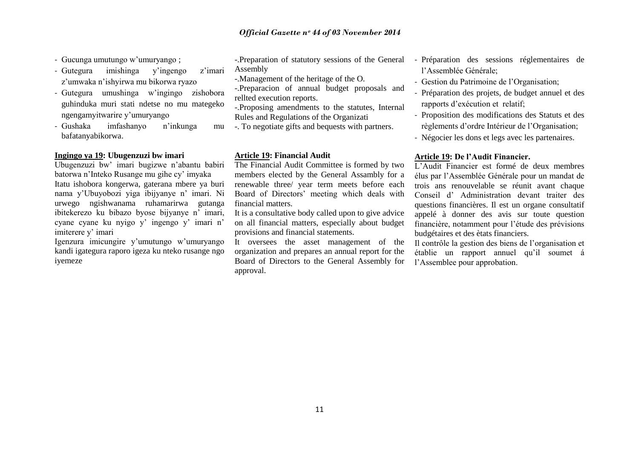- Gucunga umutungo w"umuryango ;
- Gutegura imishinga y"ingengo z"imari z"umwaka n"ishyirwa mu bikorwa ryazo
- Gutegura umushinga w"ingingo zishobora guhinduka muri stati ndetse no mu mategeko ngengamyitwarire y"umuryango
- Gushaka imfashanyo n"inkunga mu bafatanyabikorwa.

### **Ingingo ya 19: Ubugenzuzi bw imari**

Ubugenzuzi bw" imari bugizwe n"abantu babiri batorwa n"Inteko Rusange mu gihe cy" imyaka Itatu ishobora kongerwa, gaterana mbere ya buri nama y"Ubuyobozi yiga ibijyanye n" imari. Ni urwego ngishwanama ruhamarirwa gutanga ibitekerezo ku bibazo byose bijyanye n" imari, cyane cyane ku nyigo y' ingengo y' imari n' imiterere y' imari

Igenzura imicungire y"umutungo w"umuryango kandi igategura raporo igeza ku nteko rusange ngo iyemeze

- -.Preparation of statutory sessions of the General Assembly
- -.Management of the heritage of the O.
- -.Preparacion of annual budget proposals and rellted execution reports.
- -.Proposing amendments to the statutes, Internal Rules and Regulations of the Organizati
- -. To negotiate gifts and bequests with partners.

#### **Article 19: Financial Audit**

The Financial Audit Committee is formed by two members elected by the General Assambly for a renewable three/ year term meets before each Board of Directors' meeting which deals with financial matters.

It is a consultative body called upon to give advice on all financial matters, especially about budget provisions and financial statements.

It oversees the asset management of the organization and prepares an annual report for the Board of Directors to the General Assembly for approval.

- Préparation des sessions réglementaires de l"Assemblée Générale;
- Gestion du Patrimoine de l"Organisation;
- Préparation des projets, de budget annuel et des rapports d"exécution et relatif;
- Proposition des modifications des Statuts et des règlements d"ordre Intérieur de l"Organisation;
- Négocier les dons et legs avec les partenaires.

#### **Article 19: De l'Audit Financier.**

L"Audit Financier est formé de deux membres élus par l"Assemblée Générale pour un mandat de trois ans renouvelable se réunit avant chaque Conseil d" Administration devant traiter des questions financières. Il est un organe consultatif appelé à donner des avis sur toute question financière, notamment pour l"étude des prévisions budgétaires et des ètats financiers.

Il contrôle la gestion des biens de l"organisation et établie un rapport annuel qu"il soumet á l"Assemblee pour approbation.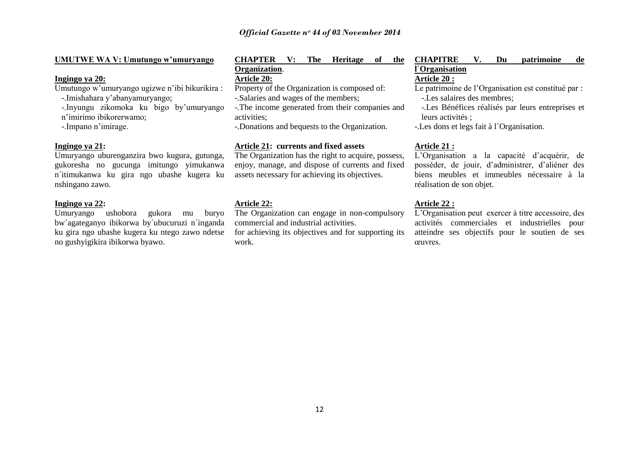| <b>UMUTWE WA V: Umutungo w'umuryango</b> | <b>CHA</b> |
|------------------------------------------|------------|
|------------------------------------------|------------|

### **Ingingo ya 20:**

Umutungo w"umuryango ugizwe n"ibi bikurikira :

-.Imishahara y"abanyamuryango;

-.Inyungu zikomoka ku bigo by"umuryango n"imirimo ibikorerwamo;

-.Impano n"imirage.

#### **Ingingo ya 21:**

Umuryango uburenganzira bwo kugura, gutunga, gukoresha no gucunga imitungo yimukanwa n´itimukanwa ku gira ngo ubashe kugera ku nshingano zawo.

#### **Ingingo ya 22:**

Umuryango ushobora gukora mu buryo bw´agateganyo ibikorwa by´ubucuruzi n´inganda ku gira ngo ubashe kugera ku ntego zawo ndetse no gushyigikira ibikorwa byawo.

### **PTER V: The Heritage of the Organization**. **Article 20:**  Property of the Organization is composed of:

- -.Salaries and wages of the members;
- 
- -.The income generated from their companies and activities;
- -.Donations and bequests to the Organization.

### **Article 21: currents and fixed assets**

The Organization has the right to acquire, possess, enjoy, manage, and dispose of currents and fixed assets necessary for achieving its objectives.

#### **Article 22:**

The Organization can engage in non-compulsory commercial and industrial activities.

for achieving its objectives and for supporting its work.

### **CHAPITRE V. Du patrimoine de l´Organisation Article 20 :**

Le patrimoine de l"Organisation est constitué par :

-.Les salaires des membres;

-.Les Bénéfices réalisés par leurs entreprises et leurs activités ;

-.Les dons et legs fait à l´Organisation.

### **Article 21 :**

L"Organisation a la capacité d"acquérir, de posséder, de jouir, d"administrer, d"aliéner des biens meubles et immeubles nécessaire à la réalisation de son objet.

### **Article 22 :**

L"Organisation peut exercer à titre accessoire, des activités commerciales et industrielles pour atteindre ses objectifs pour le soutien de ses œuvres.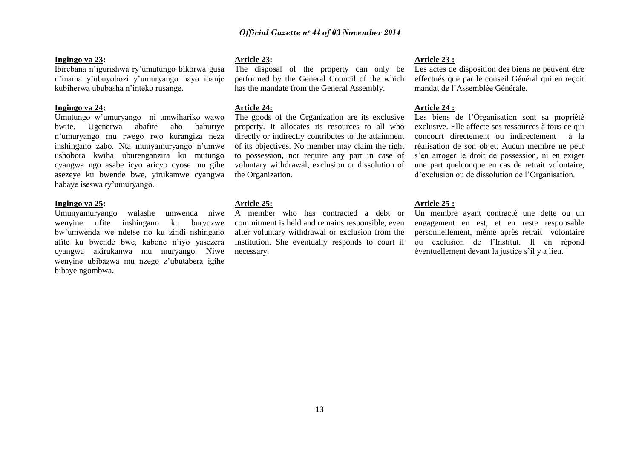#### **Ingingo ya 23:**

Ibirebana n"igurishwa ry"umutungo bikorwa gusa n"inama y"ubuyobozi y"umuryango nayo ibanje kubiherwa ububasha n"inteko rusange.

#### **Ingingo ya 24:**

Umutungo w"umuryango ni umwihariko wawo bwite. Ugenerwa abafite aho bahuriye n"umuryango mu rwego rwo kurangiza neza inshingano zabo. Nta munyamuryango n"umwe ushobora kwiha uburenganzira ku mutungo cyangwa ngo asabe icyo aricyo cyose mu gihe asezeye ku bwende bwe, yirukamwe cyangwa habaye iseswa ry"umuryango.

#### **Ingingo ya 25:**

Umunyamuryango wafashe umwenda niwe wenyine ufite inshingano ku buryozwe bw"umwenda we ndetse no ku zindi nshingano afite ku bwende bwe, kabone n"iyo yasezera cyangwa akirukanwa mu muryango. Niwe wenyine ubibazwa mu nzego z"ubutabera igihe bibaye ngombwa.

#### **Article 23:**

The disposal of the property can only be performed by the General Council of the which has the mandate from the General Assembly.

### **Article 24:**

The goods of the Organization are its exclusive property. It allocates its resources to all who directly or indirectly contributes to the attainment of its objectives. No member may claim the right to possession, nor require any part in case of voluntary withdrawal, exclusion or dissolution of the Organization.

#### **Article 25:**

A member who has contracted a debt or commitment is held and remains responsible, even after voluntary withdrawal or exclusion from the Institution. She eventually responds to court if necessary.

#### **Article 23 :**

Les actes de disposition des biens ne peuvent être effectués que par le conseil Général qui en reçoit mandat de l"Assemblée Générale.

### **Article 24 :**

Les biens de l"Organisation sont sa propriété exclusive. Elle affecte ses ressources à tous ce qui concourt directement ou indirectement à la réalisation de son objet. Aucun membre ne peut s"en arroger le droit de possession, ni en exiger une part quelconque en cas de retrait volontaire, d"exclusion ou de dissolution de l"Organisation.

#### **Article 25 :**

Un membre ayant contracté une dette ou un engagement en est, et en reste responsable personnellement, même après retrait volontaire ou exclusion de l"Institut. Il en répond éventuellement devant la justice s"il y a lieu.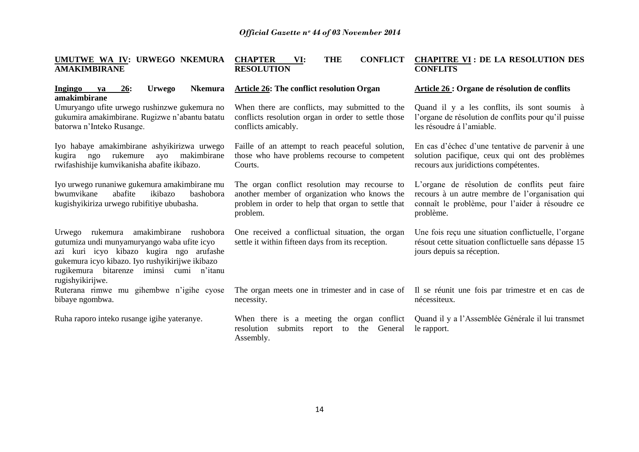| UMUTWE WA IV: URWEGO NKEMURA<br><b>AMAKIMBIRANE</b>                                                                                                                                                                                                  | <b>CONFLICT</b><br><b>CHAPTER</b><br><b>THE</b><br>VI:<br><b>RESOLUTION</b>                                                                                     | <b>CHAPITRE VI: DE LA RESOLUTION DES</b><br><b>CONFLITS</b>                                                                                                      |
|------------------------------------------------------------------------------------------------------------------------------------------------------------------------------------------------------------------------------------------------------|-----------------------------------------------------------------------------------------------------------------------------------------------------------------|------------------------------------------------------------------------------------------------------------------------------------------------------------------|
| <b>Urwego</b><br><b>Nkemura</b><br><b>Ingingo</b><br>26:<br>ya<br>amakimbirane                                                                                                                                                                       | <b>Article 26: The conflict resolution Organ</b>                                                                                                                | Article 26 : Organe de résolution de conflits                                                                                                                    |
| Umuryango ufite urwego rushinzwe gukemura no<br>gukumira amakimbirane. Rugizwe n'abantu batatu<br>batorwa n'Inteko Rusange.                                                                                                                          | When there are conflicts, may submitted to the<br>conflicts resolution organ in order to settle those<br>conflicts amicably.                                    | Quand il y a les conflits, ils sont soumis à<br>l'organe de résolution de conflits pour qu'il puisse<br>les résoudre à l'amiable.                                |
| Iyo habaye amakimbirane ashyikirizwa urwego<br>makimbirane<br>rukemure<br>ayo<br>kugira<br>ngo<br>rwifashishije kumvikanisha abafite ikibazo.                                                                                                        | Faille of an attempt to reach peaceful solution,<br>those who have problems recourse to competent<br>Courts.                                                    | En cas d'échec d'une tentative de parvenir à une<br>solution pacifique, ceux qui ont des problèmes<br>recours aux juridictions compétentes.                      |
| Iyo urwego runaniwe gukemura amakimbirane mu<br>abafite<br>bwumvikane<br>ikibazo<br>bashobora<br>kugishyikiriza urwego rubifitiye ububasha.                                                                                                          | The organ conflict resolution may recourse to<br>another member of organization who knows the<br>problem in order to help that organ to settle that<br>problem. | L'organe de résolution de conflits peut faire<br>recours à un autre membre de l'organisation qui<br>connaît le problème, pour l'aider à résoudre ce<br>problème. |
| Urwego rukemura amakimbirane rushobora<br>gutumiza undi munyamuryango waba ufite icyo<br>azi kuri icyo kibazo kugira ngo arufashe<br>gukemura icyo kibazo. Iyo rushyikirijwe ikibazo<br>rugikemura bitarenze iminsi cumi n'itanu<br>rugishyikirijwe. | One received a conflictual situation, the organ<br>settle it within fifteen days from its reception.                                                            | Une fois reçu une situation conflictuelle, l'organe<br>résout cette situation conflictuelle sans dépasse 15<br>jours depuis sa réception.                        |
| Ruterana rimwe mu gihembwe n'igihe cyose<br>bibaye ngombwa.                                                                                                                                                                                          | The organ meets one in trimester and in case of<br>necessity.                                                                                                   | Il se réunit une fois par trimestre et en cas de<br>nécessiteux.                                                                                                 |
| Ruha raporo inteko rusange igihe yateranye.                                                                                                                                                                                                          | When there is a meeting the organ conflict<br>resolution<br>submits report to<br>General<br>the<br>Assembly.                                                    | Quand il y a l'Assemblée Générale il lui transmet<br>le rapport.                                                                                                 |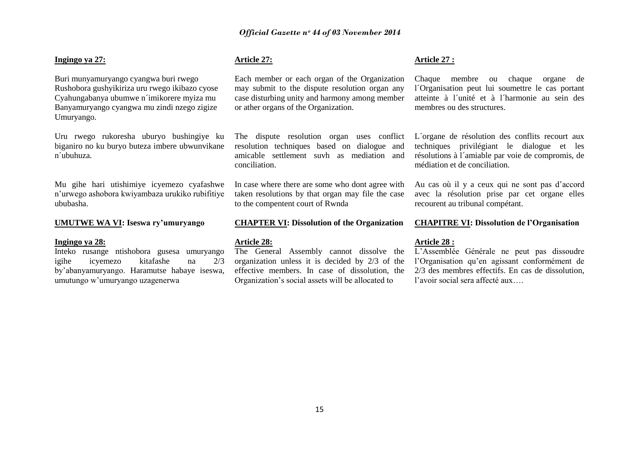#### **Ingingo ya 27:**

Buri munyamuryango cyangwa buri rwego Rushobora gushyikiriza uru rwego ikibazo cyose Cyahungabanya ubumwe n´imikorere myiza mu Banyamuryango cyangwa mu zindi nzego zigize Umuryango.

Uru rwego rukoresha uburyo bushingiye ku biganiro no ku buryo buteza imbere ubwunvikane n´ubuhuza.

Mu gihe hari utishimiye icyemezo cyafashwe n"urwego ashobora kwiyambaza urukiko rubifitiye ububasha.

#### **UMUTWE WA VI: Iseswa ry'umuryango**

#### **Ingingo ya 28:**

Inteko rusange ntishobora gusesa umuryango igihe icyemezo kitafashe na 2/3 by"abanyamuryango. Haramutse habaye iseswa, umutungo w"umuryango uzagenerwa

### **Article 27:**

Each member or each organ of the Organization may submit to the dispute resolution organ any case disturbing unity and harmony among member or ather organs of the Organization.

The dispute resolution organ uses conflict resolution techniques based on dialogue and amicable settlement suvh as mediation and conciliation.

In case where there are some who dont agree with taken resolutions by that organ may file the case to the compentent court of Rwnda

#### **CHAPTER VI: Dissolution of the Organization**

#### **Article 28:**

The General Assembly cannot dissolve the organization unless it is decided by 2/3 of the effective members. In case of dissolution, the Organization"s social assets will be allocated to

#### **Article 27 :**

Chaque membre ou chaque organe de l´Organisation peut lui soumettre le cas portant atteinte à l´unité et à l´harmonie au sein des membres ou des structures.

L´organe de résolution des conflits recourt aux techniques privilégiant le dialogue et les résolutions à l´amiable par voie de compromis, de médiation et de conciliation.

Au cas où il y a ceux qui ne sont pas d"accord avec la résolution prise par cet organe elles recourent au tribunal compétant.

**CHAPITRE VI: Dissolution de l'Organisation**

#### **Article 28 :**

L"Assemblée Générale ne peut pas dissoudre l"Organisation qu"en agissant conformément de 2/3 des membres effectifs. En cas de dissolution, l"avoir social sera affecté aux….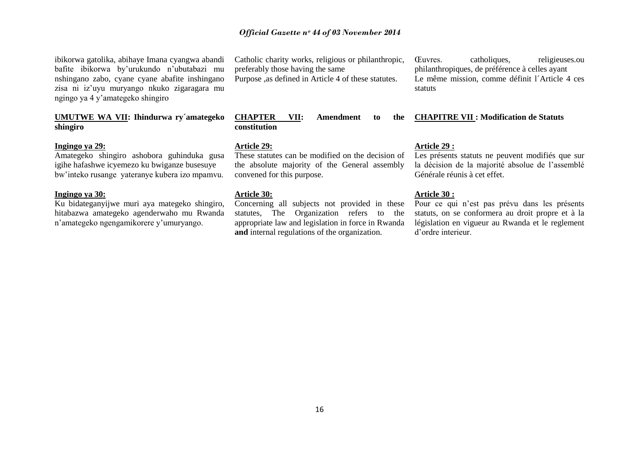ibikorwa gatolika, abihaye Imana cyangwa abandi bafite ibikorwa by"urukundo n"ubutabazi mu nshingano zabo, cyane cyane abafite inshingano zisa ni iz"uyu muryango nkuko zigaragara mu ngingo ya 4 y"amategeko shingiro

### **UMUTWE WA VII: Ihindurwa ry´amategeko shingiro**

### **Ingingo ya 29:**

Amategeko shingiro ashobora guhinduka gusa igihe hafashwe icyemezo ku bwiganze busesuye bw"inteko rusange yateranye kubera izo mpamvu.

#### **Ingingo ya 30:**

Ku bidateganyijwe muri aya mategeko shingiro, hitabazwa amategeko agenderwaho mu Rwanda n"amategeko ngengamikorere y"umuryango.

Catholic charity works, religious or philanthropic, preferably those having the same Purpose ,as defined in Article 4 of these statutes.

**CHAPTER VII: Amendment to the constitution**

### **Article 29:**

These statutes can be modified on the decision of the absolute majority of the General assembly convened for this purpose.

### **Article 30:**

Concerning all subjects not provided in these statutes, The Organization refers to the appropriate law and legislation in force in Rwanda **and** internal regulations of the organization.

Œuvres. catholiques, religieuses.ou philanthropiques, de préférence à celles ayant Le même mission, comme définit l´Article 4 ces statuts

### **CHAPITRE VII : Modification de Statuts**

#### **Article 29 :**

Les présents statuts ne peuvent modifiés que sur la décision de la majorité absolue de l"assemblé Générale réunis à cet effet.

#### **Article 30 :**

Pour ce qui n"est pas prévu dans les présents statuts, on se conformera au droit propre et à la législation en vigueur au Rwanda et le reglement d"ordre interieur.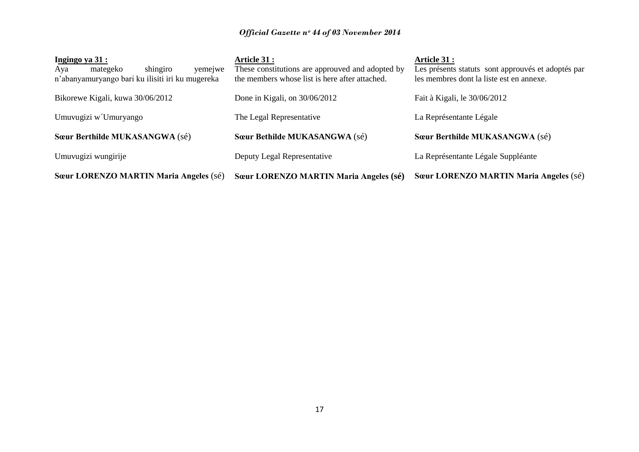| Ingingo ya 31 :                                  | <b>Article 31 :</b>                              | Article 31 :                                       |
|--------------------------------------------------|--------------------------------------------------|----------------------------------------------------|
| shingiro<br>yemejwe<br>mategeko<br>Aya           | These constitutions are approuved and adopted by | Les présents statuts sont approuvés et adoptés par |
| n'abanyamuryango bari ku ilisiti iri ku mugereka | the members whose list is here after attached.   | les membres dont la liste est en annexe.           |
|                                                  |                                                  |                                                    |
| Bikorewe Kigali, kuwa 30/06/2012                 | Done in Kigali, on 30/06/2012                    | Fait à Kigali, le 30/06/2012                       |
|                                                  |                                                  |                                                    |
| Umuvugizi w Umuryango                            | The Legal Representative                         | La Représentante Légale                            |
|                                                  |                                                  |                                                    |
| Sœur Berthilde MUKASANGWA (sé)                   | Sœur Bethilde MUKASANGWA (sé)                    | Sœur Berthilde MUKASANGWA (sé)                     |
|                                                  |                                                  |                                                    |
| Umuvugizi wungirije                              | Deputy Legal Representative                      | La Représentante Légale Suppléante                 |
|                                                  |                                                  |                                                    |
| Sœur LORENZO MARTIN Maria Angeles (sé)           | Sœur LORENZO MARTIN Maria Angeles (sé)           | Sœur LORENZO MARTIN Maria Angeles (sé)             |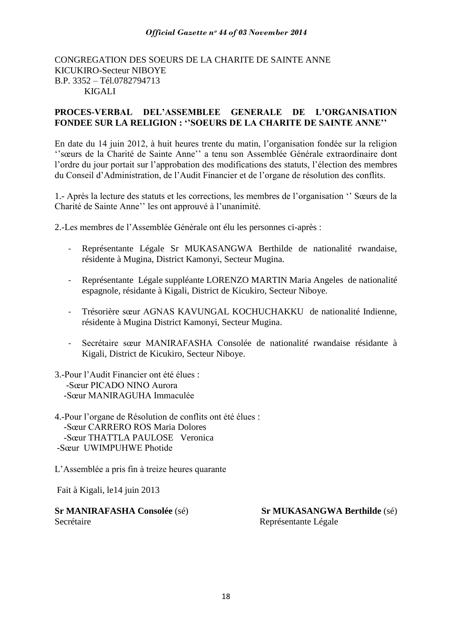### CONGREGATION DES SOEURS DE LA CHARITE DE SAINTE ANNE KICUKIRO-Secteur NIBOYE B.P. 3352 - Tél.0782794713 KIGALI

### **PROCES-VERBAL DEL'ASSEMBLEE GENERALE DE L'ORGANISATION FONDEE SUR LA RELIGION : ''SOEURS DE LA CHARITE DE SAINTE ANNE''**

En date du 14 juin 2012, à huit heures trente du matin, l"organisation fondée sur la religion ""sœurs de la Charité de Sainte Anne"" a tenu son Assemblée Générale extraordinaire dont l"ordre du jour portait sur l"approbation des modifications des statuts, l"élection des membres du Conseil d"Administration, de l"Audit Financier et de l"organe de résolution des conflits.

1.- Après la lecture des statuts et les corrections, les membres de l"organisation "" Sœurs de la Charité de Sainte Anne"" les ont approuvé à l"unanimité.

2.-Les membres de l"Assemblée Générale ont élu les personnes ci-après :

- Représentante Légale Sr MUKASANGWA Berthilde de nationalité rwandaise, résidente à Mugina, District Kamonyi, Secteur Mugina.
- Représentante Légale suppléante LORENZO MARTIN Maria Angeles de nationalité espagnole, résidante à Kigali, District de Kicukiro, Secteur Niboye.
- Trésorière sœur AGNAS KAVUNGAL KOCHUCHAKKU de nationalité Indienne, résidente à Mugina District Kamonyi, Secteur Mugina.
- Secrétaire sœur MANIRAFASHA Consolée de nationalité rwandaise résidante à Kigali, District de Kicukiro, Secteur Niboye.
- 3.-Pour l"Audit Financier ont été élues : -Sœur PICADO NINO Aurora -Sœur MANIRAGUHA Immaculée
- 4.-Pour l"organe de Résolution de conflits ont été élues : -Sœur CARRERO ROS Maria Dolores -Sœur THATTLA PAULOSE Veronica -Sœur UWIMPUHWE Photide

L"Assemblée a pris fin à treize heures quarante

Fait à Kigali, le14 juin 2013

Secrétaire Représentante Légale

**Sr MANIRAFASHA Consolée** (sé) **Sr MUKASANGWA Berthilde** (sé)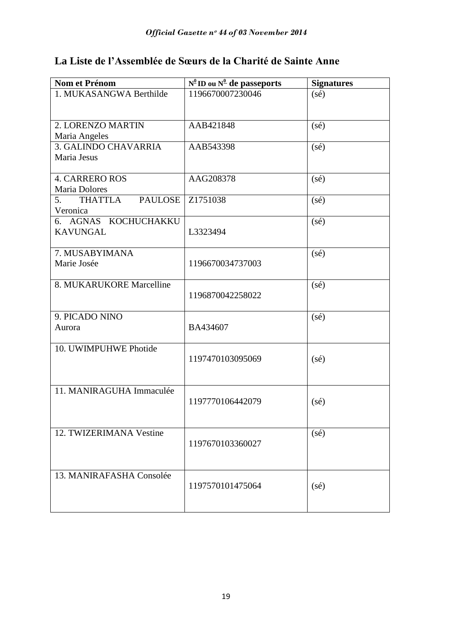# **La Liste de l'Assemblée de Sœurs de la Charité de Sainte Anne**

| Nom et Prénom            | $N^{\underline{0}}$ ID ou $N^{\underline{0}}$ de passeports | <b>Signatures</b> |
|--------------------------|-------------------------------------------------------------|-------------------|
| 1. MUKASANGWA Berthilde  | 1196670007230046                                            | $(s\acute{e})$    |
|                          |                                                             |                   |
| 2. LORENZO MARTIN        | AAB421848                                                   | $(s\acute{e})$    |
| Maria Angeles            |                                                             |                   |
| 3. GALINDO CHAVARRIA     | AAB543398                                                   | $(s\acute{e})$    |
| Maria Jesus              |                                                             |                   |
| <b>4. CARRERO ROS</b>    | AAG208378                                                   | $(s\acute{e})$    |
| Maria Dolores            |                                                             |                   |
| THATTLA PAULOSE<br>5.    | Z1751038                                                    | $(s\acute{e})$    |
| Veronica                 |                                                             |                   |
| 6. AGNAS KOCHUCHAKKU     |                                                             | $(s\acute{e})$    |
| <b>KAVUNGAL</b>          | L3323494                                                    |                   |
| 7. MUSABYIMANA           |                                                             | (sé)              |
| Marie Josée              | 1196670034737003                                            |                   |
|                          |                                                             |                   |
| 8. MUKARUKORE Marcelline |                                                             | (sé)              |
|                          | 1196870042258022                                            |                   |
|                          |                                                             |                   |
| 9. PICADO NINO           |                                                             | $(s\acute{e})$    |
| Aurora                   | BA434607                                                    |                   |
|                          |                                                             |                   |
| 10. UWIMPUHWE Photide    | 1197470103095069                                            |                   |
|                          |                                                             | $(s\acute{e})$    |
|                          |                                                             |                   |
| 11. MANIRAGUHA Immaculée |                                                             |                   |
|                          | 1197770106442079                                            | $(s\acute{e})$    |
|                          |                                                             |                   |
|                          |                                                             |                   |
| 12. TWIZERIMANA Vestine  |                                                             | $(s\acute{e})$    |
|                          | 1197670103360027                                            |                   |
|                          |                                                             |                   |
| 13. MANIRAFASHA Consolée |                                                             |                   |
|                          | 1197570101475064                                            | $(s\acute{e})$    |
|                          |                                                             |                   |
|                          |                                                             |                   |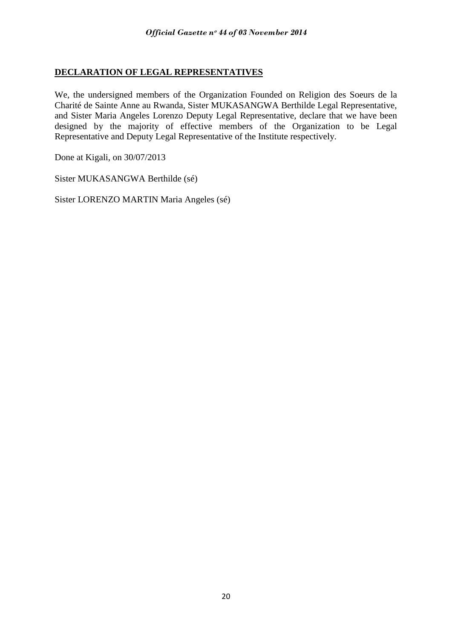# **DECLARATION OF LEGAL REPRESENTATIVES**

We, the undersigned members of the Organization Founded on Religion des Soeurs de la Charité de Sainte Anne au Rwanda, Sister MUKASANGWA Berthilde Legal Representative, and Sister Maria Angeles Lorenzo Deputy Legal Representative, declare that we have been designed by the majority of effective members of the Organization to be Legal Representative and Deputy Legal Representative of the Institute respectively.

Done at Kigali, on 30/07/2013

Sister MUKASANGWA Berthilde (sé)

Sister LORENZO MARTIN Maria Angeles (sé)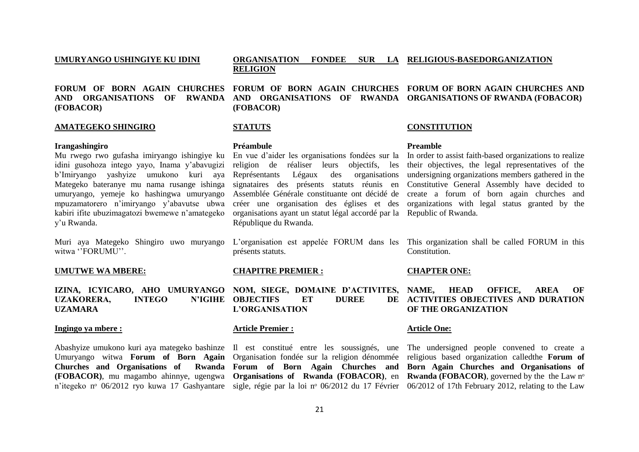#### **UMURYANGO USHINGIYE KU IDINI FORUM OF BORN AGAIN CHURCHES FORUM OF BORN AGAIN CHURCHES FORUM OF BORN AGAIN CHURCHES AND AND ORGANISATIONS OF RWANDA AND ORGANISATIONS OF RWANDA ORGANISATIONS OF RWANDA (FOBACOR) (FOBACOR) ORGANISATION FONDEE SUR LA RELIGIOUS-BASEDORGANIZATION RELIGION (FOBACOR)**

#### **AMATEGEKO SHINGIRO**

#### **Irangashingiro**

Mu rwego rwo gufasha imiryango ishingiye ku idini gusohoza intego yayo, Inama y"abavugizi b"Imiryango yashyize umukono kuri aya Représentants Légaux des organisations Mategeko bateranye mu nama rusange ishinga umuryango, yemeje ko hashingwa umuryango mpuzamatorero n"imiryango y"abavutse ubwa kabiri ifite ubuzimagatozi bwemewe n"amategeko y"u Rwanda.

Muri aya Mategeko Shingiro uwo muryango witwa "FORUMU".

#### **UMUTWE WA MBERE:**

**UZAKORERA, INTEGO UZAMARA**

#### **Ingingo ya mbere :**

Umuryango witwa **Forum of Born Again**  Organisation fondée sur la religion dénommée n'itegeko nº 06/2012 ryo kuwa 17 Gashyantare sigle, régie par la loi nº 06/2012 du 17 Février 06/2012 of 17th February 2012, relating to the Law

### **STATUTS**

#### **Préambule**

religion de réaliser leurs objectifs, les signataires des présents statuts réunis en Assemblée Générale constituante ont décidé de organisations ayant un statut légal accordé par la Republic of Rwanda. République du Rwanda.

présents statuts.

#### **CHAPITRE PREMIER :**

**IZINA, ICYICARO, AHO UMURYANGO NOM, SIEGE, DOMAINE D'ACTIVITES, N'IGHE OBJECTIFS ET DUREE L'ORGANISATION**

### **Article Premier :**

### **CONSTITUTION**

#### **Preamble**

En vue d"aider les organisations fondées sur la In order to assist faith-based organizations to realize créer une organisation des églises et des organizations with legal status granted by the their objectives, the legal representatives of the undersigning organizations members gathered in the Constitutive General Assembly have decided to create a forum of born again churches and

L"organisation est appelée FORUM dans les This organization shall be called FORUM in this **Constitution** 

#### **CHAPTER ONE:**

**HEAD OFFICE, AREA OF DE ACTIVITIES OBJECTIVES AND DURATION OF THE ORGANIZATION**

#### **Article One:**

Abashyize umukono kuri aya mategeko bashinze Il est constitué entre les soussignés, une The undersigned people convened to create a **Churches and Organisations of Rwanda Forum of Born Again Churches and Born Again Churches and Organisations of (FOBACOR)**, mu magambo ahinnye, ugengwa **Organisations of Rwanda (FOBACOR)**, en **Rwanda (FOBACOR)**, governed by the the Law nᵒ religious based organization calledthe **Forum of**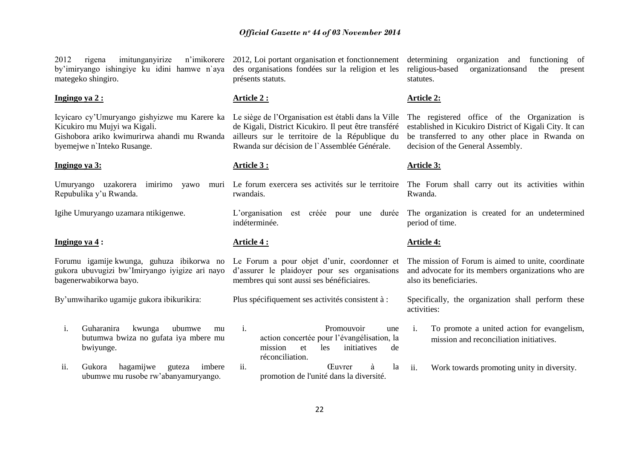2012 rigena imitunganyirize by"imiryango ishingiye ku idini hamwe n`aya mategeko shingiro.

### **Ingingo ya 2 :**

Icyicaro cy"Umuryango gishyizwe mu Karere ka Le siège de l"Organisation est établi dans la Ville Kicukiro mu Mujyi wa Kigali. Gishobora ariko kwimurirwa ahandi mu Rwanda byemejwe n`Inteko Rusange.

#### **Ingingo ya 3:**

Umuryango uzakorera imirimo yawo Repubulika y"u Rwanda.

Igihe Umuryango uzamara ntikigenwe.

### **Ingingo ya 4 :**

Forumu igamije kwunga, guhuza ibikorwa no gukora ubuvugizi bw"Imiryango iyigize ari nayo bagenerwabikorwa bayo.

By"umwihariko ugamije gukora ibikurikira:

- i. Guharanira kwunga ubumwe mu butumwa bwiza no gufata iya mbere mu bwiyunge.
- ii. Gukora hagamijwe guteza imbere ubumwe mu rusobe rw"abanyamuryango.

n'imikorere 2012, Loi portant organisation et fonctionnement des organisations fondées sur la religion et les présents statuts.

#### **Article 2 :**

de Kigali, District Kicukiro. Il peut être transféré ailleurs sur le territoire de la République du Rwanda sur décision de l`Assemblée Générale.

#### **Article 3 :**

rwandais.

L"organisation est créée pour une durée indéterminée.

### **Article 4 :**

Le Forum a pour objet d'unir, coordonner et d"assurer le plaidoyer pour ses organisations membres qui sont aussi ses bénéficiaires.

Plus spécifiquement ses activités consistent à :

i. Promouvoir une action concertée pour l"évangélisation, la mission et les initiatives de réconciliation. ii. Œuvrer à la

promotion de l'unité dans la diversité.

determining organization and functioning of religious-based organizationsand the present statutes.

#### **Article 2:**

The registered office of the Organization is established in Kicukiro District of Kigali City. It can be transferred to any other place in Rwanda on decision of the General Assembly.

#### **Article 3:**

Le forum exercera ses activités sur le territoire The Forum shall carry out its activities within Rwanda.

> The organization is created for an undetermined period of time.

### **Article 4:**

The mission of Forum is aimed to unite, coordinate and advocate for its members organizations who are also its beneficiaries.

Specifically, the organization shall perform these activities:

- i. To promote a united action for evangelism, mission and reconciliation initiatives.
- ii. Work towards promoting unity in diversity.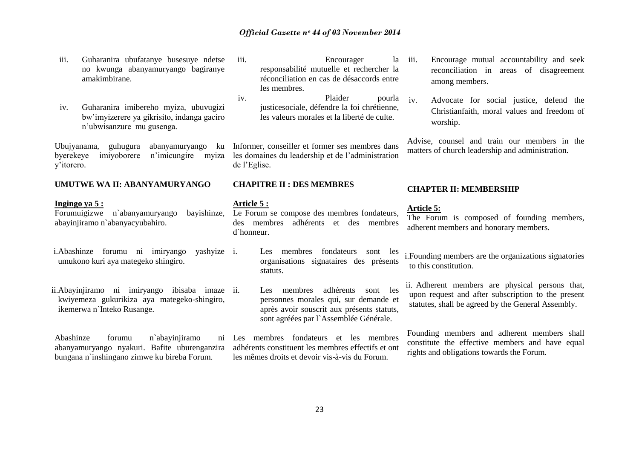- iii. Guharanira ubufatanye busesuye ndetse no kwunga abanyamuryango bagiranye amakimbirane.
- iv. Guharanira imibereho myiza, ubuvugizi bw"imyizerere ya gikrisito, indanga gaciro n"ubwisanzure mu gusenga.

Ubujyanama, guhugura abanyamuryango ku byerekeye imiyoborere n"imicungire myiza y"itorero.

#### **UMUTWE WA II: ABANYAMURYANGO**

#### **Ingingo ya 5 :**

Forumuigizwe n`abanyamuryango bayishinze, abayinjiramo n`abanyacyubahiro.

- i.Abashinze forumu ni imiryango yashyize umukono kuri aya mategeko shingiro.
- ii.Abayinjiramo ni imiryango ibisaba imaze kwiyemeza gukurikiza aya mategeko-shingiro, ikemerwa n`Inteko Rusange.

Abashinze forumu n`abayinjiramo abanyamuryango nyakuri. Bafite uburenganzira bungana n`inshingano zimwe ku bireba Forum.

- iii. Encourager la responsabilité mutuelle et rechercher la réconciliation en cas de désaccords entre les membres.
- iv. Plaider pourla justicesociale, défendre la foi chrétienne, les valeurs morales et la liberté de culte.

Informer, conseiller et former ses membres dans les domaines du leadership et de l"administration de l"Eglise.

### **CHAPITRE II : DES MEMBRES**

#### **Article 5 :**

Le Forum se compose des membres fondateurs, des membres adhérents et des membres d`honneur.

- Les membres fondateurs sont les organisations signataires des présents statuts.
- Les membres adhérents sont les personnes morales qui, sur demande et après avoir souscrit aux présents statuts, sont agréées par l'Assemblée Générale.

Les membres fondateurs et les membres adhérents constituent les membres effectifs et ont les mêmes droits et devoir vis-à-vis du Forum.

- Encourage mutual accountability and seek reconciliation in areas of disagreement among members.
- iv. Advocate for social justice, defend the Christianfaith, moral values and freedom of worship.

Advise, counsel and train our members in the matters of church leadership and administration.

#### **CHAPTER II: MEMBERSHIP**

#### **Article 5:**

The Forum is composed of founding members, adherent members and honorary members.

i.Founding members are the organizations signatories to this constitution.

ii. Adherent members are physical persons that, upon request and after subscription to the present statutes, shall be agreed by the General Assembly.

Founding members and adherent members shall constitute the effective members and have equal rights and obligations towards the Forum.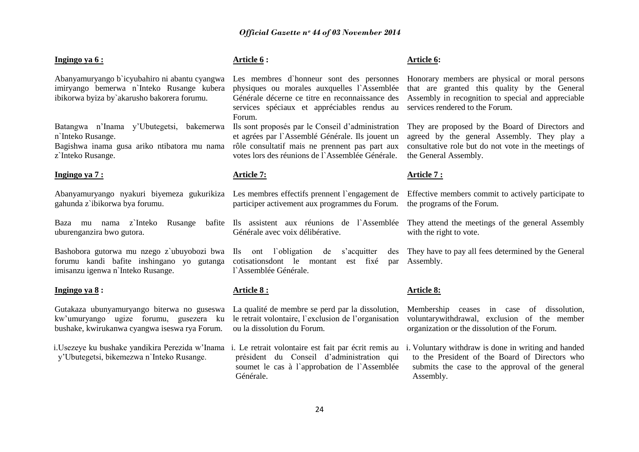| Ingingo ya 6:                                                                                                                             | Article 6:                                                                                                                                                                                                  | Article 6:                                                                                                                                                                              |
|-------------------------------------------------------------------------------------------------------------------------------------------|-------------------------------------------------------------------------------------------------------------------------------------------------------------------------------------------------------------|-----------------------------------------------------------------------------------------------------------------------------------------------------------------------------------------|
| Abanyamuryango b'icyubahiro ni abantu cyangwa<br>imiryango bemerwa n'Inteko Rusange kubera<br>ibikorwa byiza by`akarusho bakorera forumu. | Les membres d'honneur sont des personnes<br>physiques ou morales auxquelles l'Assemblée<br>Générale décerne ce titre en reconnaissance des<br>services spéciaux et appréciables rendus au<br>Forum.         | Honorary members are physical or moral persons<br>that are granted this quality by the General<br>Assembly in recognition to special and appreciable<br>services rendered to the Forum. |
| Batangwa n'Inama y'Ubutegetsi,<br>bakemerwa<br>n'Inteko Rusange.<br>Bagishwa inama gusa ariko ntibatora mu nama<br>z'Inteko Rusange.      | Ils sont proposés par le Conseil d'administration<br>et agrées par l'Assemblé Générale. Ils jouent un<br>rôle consultatif mais ne prennent pas part aux<br>votes lors des réunions de l'Assemblée Générale. | They are proposed by the Board of Directors and<br>agreed by the general Assembly. They play a<br>consultative role but do not vote in the meetings of<br>the General Assembly.         |
| Ingingo ya 7 :                                                                                                                            | Article 7:                                                                                                                                                                                                  | <u>Article 7 :</u>                                                                                                                                                                      |
| gahunda z`ibikorwa bya forumu.                                                                                                            | participer activement aux programmes du Forum.                                                                                                                                                              | Abanyamuryango nyakuri biyemeza gukurikiza Les membres effectifs prennent l'engagement de Effective members commit to actively participate to<br>the programs of the Forum.             |
| mu nama z`Inteko<br>Rusange<br>Baza<br>uburenganzira bwo gutora.                                                                          | bafite Ils assistent aux réunions de l'Assemblée<br>Générale avec voix délibérative.                                                                                                                        | They attend the meetings of the general Assembly<br>with the right to vote.                                                                                                             |
| Bashobora gutorwa mu nzego z`ubuyobozi bwa<br>forumu kandi bafite inshingano yo gutanga<br>imisanzu igenwa n'Inteko Rusange.              | Ils ont l'obligation<br>s'acquitter<br>de<br>des<br>cotisationsdont le montant<br>est fixé<br>par<br>l'Assemblée Générale.                                                                                  | They have to pay all fees determined by the General<br>Assembly.                                                                                                                        |
| Ingingo ya 8:                                                                                                                             | Article 8:                                                                                                                                                                                                  | <b>Article 8:</b>                                                                                                                                                                       |
| Gutakaza ubunyamuryango biterwa no guseswa<br>kw'umuryango ugize forumu, gusezera ku<br>bushake, kwirukanwa cyangwa iseswa rya Forum.     | La qualité de membre se perd par la dissolution,<br>le retrait volontaire, l'exclusion de l'organisation<br>ou la dissolution du Forum.                                                                     | Membership ceases in case of dissolution,<br>voluntary withdrawal, exclusion of the member<br>organization or the dissolution of the Forum.                                             |
| i. Usezeye ku bushake yandikira Perezida w'Inama<br>y'Ubutegetsi, bikemezwa n'Inteko Rusange.                                             | i. Le retrait volontaire est fait par écrit remis au<br>président du Conseil d'administration qui<br>soumet le cas à l'approbation de l'Assemblée<br>Générale.                                              | i. Voluntary withdraw is done in writing and handed<br>to the President of the Board of Directors who<br>submits the case to the approval of the general<br>Assembly.                   |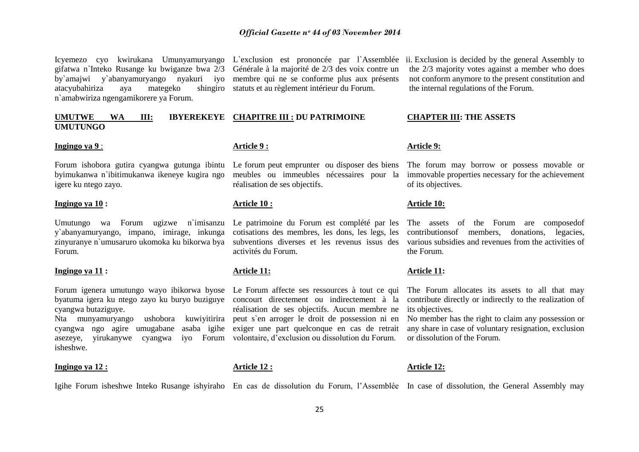Icyemezo cyo kwirukana Umunyamuryango L`exclusion est prononcée par l`Assemblée ii. Exclusion is decided by the general Assembly to gifatwa n`Inteko Rusange ku bwiganze bwa 2/3 Générale à la majorité de 2/3 des voix contre un by`amajwi y`abanyamuryango nyakuri iyo membre qui ne se conforme plus aux présents atacyubahiriza aya mategeko n`amabwiriza ngengamikorere ya Forum.

### **UMUTWE WA III: IBYEREKEYE CHAPITRE III : DU PATRIMOINE UMUTUNGO**

#### **Ingingo ya 9** :

Forum ishobora gutira cyangwa gutunga ibintu Le forum peut emprunter ou disposer des biens byimukanwa n`ibitimukanwa ikeneye kugira ngo meubles ou immeubles nécessaires pour la igere ku ntego zayo.

#### **Ingingo ya 10 :**

y`abanyamuryango, impano, imirage, inkunga zinyuranye n`umusaruro ukomoka ku bikorwa bya Forum.

#### **Ingingo ya 11 :**

cyangwa butaziguye.

cyangwa ngo agire umugabane asaba igihe exiger une part quelconque en cas de retrait asezeye, yirukanywe cyangwa iyo Forum volontaire, d"exclusion ou dissolution du Forum. isheshwe.

#### **Ingingo ya 12 :**

shingiro statuts et au règlement intérieur du Forum.

#### **Article 9 :**

réalisation de ses objectifs.

#### **Article 10 :**

cotisations des membres, les dons, les legs, les subventions diverses et les revenus issus des activités du Forum.

### **Article 11:**

**Article 12 :**

Nta munyamuryango ushobora kuwiyitirira peut s`en arroger le droit de possession ni en réalisation de ses objectifs. Aucun membre ne

the 2/3 majority votes against a member who does not conform anymore to the present constitution and the internal regulations of the Forum.

#### **CHAPTER III: THE ASSETS**

#### **Article 9:**

The forum may borrow or possess movable or immovable properties necessary for the achievement of its objectives.

#### **Article 10:**

Umutungo wa Forum ugizwe n`imisanzu Le patrimoine du Forum est complété par les The assets of the Forum are composedof contributionsof members, donations, legacies, various subsidies and revenues from the activities of the Forum.

#### **Article 11:**

Forum igenera umutungo wayo ibikorwa byose Le Forum affecte ses ressources à tout ce qui The Forum allocates its assets to all that may byatuma igera ku ntego zayo ku buryo buziguye concourt directement ou indirectement à la contribute directly or indirectly to the realization of its objectives.

> No member has the right to claim any possession or any share in case of voluntary resignation, exclusion or dissolution of the Forum.

#### **Article 12:**

Igihe Forum isheshwe Inteko Rusange ishyiraho En cas de dissolution du Forum, l'Assemblée In case of dissolution, the General Assembly may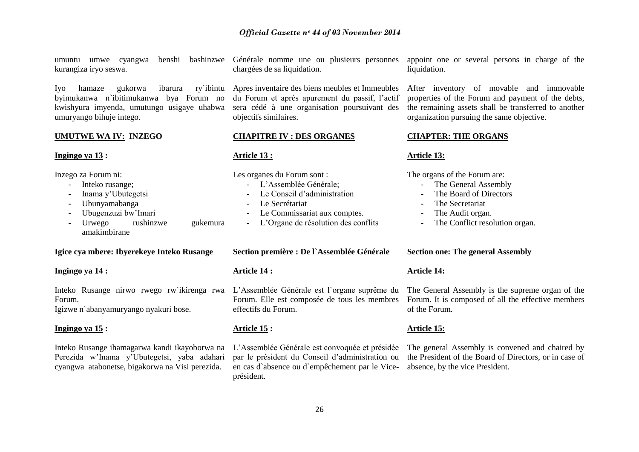umuntu umwe cyangwa kurangiza iryo seswa.

Iyo hamaze gukorwa ibarura ry`ibintu Apres inventaire des biens meubles et Immeubles byimukanwa n`ibitimukanwa bya Forum no kwishyura imyenda, umutungo usigaye uhabwa umuryango bihuje intego.

#### **UMUTWE WA IV: INZEGO**

### **Ingingo ya 13 :**

Inzego za Forum ni:

- Inteko rusange;
- Inama y"Ubutegetsi
- Ubunyamabanga
- Ubugenzuzi bw"Imari
- Urwego rushinzwe gukemura amakimbirane

#### **Igice cya mbere: Ibyerekeye Inteko Rusange**

### **Ingingo ya 14 :**

Forum. Igizwe n`abanyamuryango nyakuri bose.

**Ingingo ya 15 :**

Inteko Rusange ihamagarwa kandi ikayoborwa na Perezida w"Inama y"Ubutegetsi, yaba adahari cyangwa atabonetse, bigakorwa na Visi perezida.

benshi bashinzwe Générale nomme une ou plusieurs personnes chargées de sa liquidation.

> du Forum et après apurement du passif, l"actif sera cédé à une organisation poursuivant des objectifs similaires.

### **CHAPITRE IV : DES ORGANES**

### **Article 13 :**

Les organes du Forum sont :

- L"Assemblée Générale;
- Le Conseil d'administration
- Le Secrétariat
- Le Commissariat aux comptes.
- L"Organe de résolution des conflits

#### **Section première : De l`Assemblée Générale**

### **Article 14 :**

Inteko Rusange nirwo rwego rw`ikirenga rwa L"Assemblée Générale est l`organe suprême du Forum. Elle est composée de tous les membres effectifs du Forum.

### **Article 15 :**

L"Assemblée Générale est convoquée et présidée par le président du Conseil d"administration ou en cas d`absence ou d`empêchement par le Viceprésident.

### appoint one or several persons in charge of the liquidation.

After inventory of movable and immovable properties of the Forum and payment of the debts, the remaining assets shall be transferred to another organization pursuing the same objective.

### **CHAPTER: THE ORGANS**

### **Article 13:**

The organs of the Forum are:

- The General Assembly
- The Board of Directors
- The Secretariat
- The Audit organ.
- The Conflict resolution organ.

### **Section one: The general Assembly**

### **Article 14:**

The General Assembly is the supreme organ of the Forum. It is composed of all the effective members of the Forum.

### **Article 15:**

The general Assembly is convened and chaired by the President of the Board of Directors, or in case of absence, by the vice President.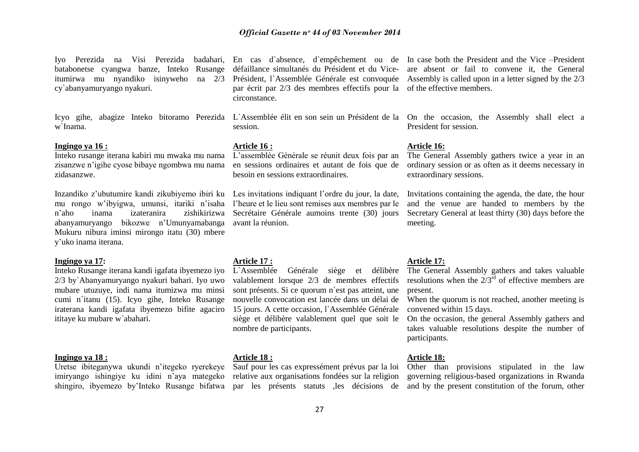Iyo Perezida na Visi Perezida badahari, En cas d`absence, d`empêchement ou de In case-both-the-President and the-Vice-President batabonetse cyangwa banze, Inteko Rusange itumirwa mu nyandiko isinyweho cy`abanyamuryango nyakuri.

w`Inama.

#### **Ingingo ya 16 :**

Inteko rusange iterana kabiri mu mwaka mu nama zisanzwe n"igihe cyose bibaye ngombwa mu nama zidasanzwe.

Inzandiko z"ubutumire kandi zikubiyemo ibiri ku Les invitations indiquant l"ordre du jour, la date, mu rongo w"ibyigwa, umunsi, itariki n"isaha l"heure et le lieu sont remises aux membres par le n"aho inama izateranira zishikirizwa abanyamuryango bikozwe n"Umunyamabanga avant la réunion. Mukuru nibura iminsi mirongo itatu (30) mbere y"uko inama iterana.

#### **Ingingo ya 17:**

Inteko Rusange iterana kandi igafata ibyemezo iyo 2/3 by`Abanyamuryango nyakuri bahari. Iyo uwo mubare utuzuye, indi nama itumizwa mu minsi cumi n`itanu (15). Icyo gihe, Inteko Rusange iraterana kandi igafata ibyemezo bifite agaciro ititaye ku mubare w`abahari.

#### **Ingingo ya 18 :**

Uretse ibiteganywa ukundi n"itegeko ryerekeye Sauf pour les cas expressément prévus par la loi imiryango ishingiye ku idini n"aya mategeko

par écrit par 2/3 des membres effectifs pour la of the effective members. circonstance.

session.

#### **Article 16 :**

L"assemblée Générale se réunit deux fois par an en sessions ordinaires et autant de fois que de besoin en sessions extraordinaires.

Secrétaire Générale aumoins trente (30) jours

#### **Article 17 :**

L`Assemblée Générale siège et délibère valablement lorsque 2/3 de membres effectifs sont présents. Si ce quorum n`est pas atteint, une nouvelle convocation est lancée dans un délai de 15 jours. A cette occasion, l'Assemblée Générale siège et délibère valablement quel que soit le nombre de participants.

### **Article 18 :**

relative aux organisations fondées sur la religion

défaillance simultanés du Président et du Vice-are absent or fail to convene it, the General Président, l'Assemblée Générale est convoquée Assembly is called upon in a letter signed by the 2/3

Icyo gihe, abagize Inteko bitoramo Perezida L`Assemblée élit en son sein un Président de la On the occasion, the Assembly shall elect a President for session.

#### **Article 16:**

The General Assembly gathers twice a year in an ordinary session or as often as it deems necessary in extraordinary sessions.

Invitations containing the agenda, the date, the hour and the venue are handed to members by the Secretary General at least thirty (30) days before the meeting.

### **Article 17:**

The General Assembly gathers and takes valuable resolutions when the  $2/3^{rd}$  of effective members are present.

When the quorum is not reached, another meeting is convened within 15 days.

On the occasion, the general Assembly gathers and takes valuable resolutions despite the number of participants.

### **Article 18:**

shingiro, ibyemezo by"Inteko Rusange bifatwa par les présents statuts ,les décisions de and by the present constitution of the forum, other Other than provisions stipulated in the law governing religious-based organizations in Rwanda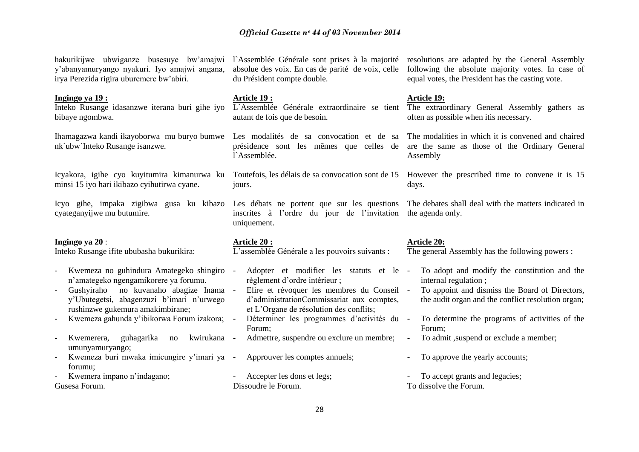hakurikijwe ubwiganze busesuye bw'amajwi l`Assemblée Générale sont prises à la majorité resolutions are adapted by the General Assembly

following the absolute majority votes. In case of equal votes, the President has the casting vote.

absolue des voix. En cas de parité de voix, celle

du Président compte double.

y"abanyamuryango nyakuri. Iyo amajwi angana,

irya Perezida rigira uburemere bw"abiri.

| Ingingo ya 19:                                                                                                                                                                                                                                                                                                                                                                          | Article 19:                                                                                                                                                                                                                                                                                                                                          | <b>Article 19:</b>                                                                                                                                                                                                                                                                                                     |
|-----------------------------------------------------------------------------------------------------------------------------------------------------------------------------------------------------------------------------------------------------------------------------------------------------------------------------------------------------------------------------------------|------------------------------------------------------------------------------------------------------------------------------------------------------------------------------------------------------------------------------------------------------------------------------------------------------------------------------------------------------|------------------------------------------------------------------------------------------------------------------------------------------------------------------------------------------------------------------------------------------------------------------------------------------------------------------------|
| Inteko Rusange idasanzwe iterana buri gihe iyo                                                                                                                                                                                                                                                                                                                                          | L'Assemblée Générale extraordinaire se tient                                                                                                                                                                                                                                                                                                         | The extraordinary General Assembly gathers as                                                                                                                                                                                                                                                                          |
| bibaye ngombwa.                                                                                                                                                                                                                                                                                                                                                                         | autant de fois que de besoin.                                                                                                                                                                                                                                                                                                                        | often as possible when it is necessary.                                                                                                                                                                                                                                                                                |
| Ihamagazwa kandi ikayoborwa mu buryo bumwe Les modalités de sa convocation et de sa<br>nk'ubw'Inteko Rusange isanzwe.                                                                                                                                                                                                                                                                   | présidence sont les mêmes que celles de<br>l'Assemblée.                                                                                                                                                                                                                                                                                              | The modalities in which it is convened and chaired<br>are the same as those of the Ordinary General<br>Assembly                                                                                                                                                                                                        |
| Icyakora, igihe cyo kuyitumira kimanurwa ku                                                                                                                                                                                                                                                                                                                                             | Toutefois, les délais de sa convocation sont de 15                                                                                                                                                                                                                                                                                                   | However the prescribed time to convene it is 15                                                                                                                                                                                                                                                                        |
| minsi 15 iyo hari ikibazo cyihutirwa cyane.                                                                                                                                                                                                                                                                                                                                             | jours.                                                                                                                                                                                                                                                                                                                                               | days.                                                                                                                                                                                                                                                                                                                  |
| Icyo gihe, impaka zigibwa gusa ku kibazo Les débats ne portent que sur les questions                                                                                                                                                                                                                                                                                                    | inscrites à l'ordre du jour de l'invitation                                                                                                                                                                                                                                                                                                          | The debates shall deal with the matters indicated in                                                                                                                                                                                                                                                                   |
| cyateganyijwe mu butumire.                                                                                                                                                                                                                                                                                                                                                              | uniquement.                                                                                                                                                                                                                                                                                                                                          | the agenda only.                                                                                                                                                                                                                                                                                                       |
| Ingingo ya 20:                                                                                                                                                                                                                                                                                                                                                                          | <b>Article 20:</b>                                                                                                                                                                                                                                                                                                                                   | <b>Article 20:</b>                                                                                                                                                                                                                                                                                                     |
| Inteko Rusange ifite ububasha bukurikira:                                                                                                                                                                                                                                                                                                                                               | L'assemblée Générale a les pouvoirs suivants :                                                                                                                                                                                                                                                                                                       | The general Assembly has the following powers :                                                                                                                                                                                                                                                                        |
| Kwemeza no guhindura Amategeko shingiro<br>n'amategeko ngengamikorere ya forumu.<br>Gushyiraho no kuvanaho abagize Inama -<br>y'Ubutegetsi, abagenzuzi b'imari n'urwego<br>rushinzwe gukemura amakimbirane;<br>Kwemeza gahunda y'ibikorwa Forum izakora; -<br>Kwemerera,<br>guhagarika<br>kwirukana -<br>no<br>umunyamuryango;<br>Kwemeza buri mwaka imicungire y'imari ya -<br>forumu: | Adopter et modifier les statuts et le -<br>règlement d'ordre intérieur;<br>Elire et révoquer les membres du Conseil -<br>d'administrationCommissariat aux comptes,<br>et L'Organe de résolution des conflits;<br>Déterminer les programmes d'activités du -<br>Forum;<br>Admettre, suspendre ou exclure un membre;<br>Approuver les comptes annuels; | To adopt and modify the constitution and the<br>internal regulation;<br>To appoint and dismiss the Board of Directors,<br>the audit organ and the conflict resolution organ;<br>To determine the programs of activities of the<br>Forum;<br>To admit , suspend or exclude a member;<br>To approve the yearly accounts; |
| Kwemera impano n'indagano;                                                                                                                                                                                                                                                                                                                                                              | Accepter les dons et legs;                                                                                                                                                                                                                                                                                                                           | To accept grants and legacies;                                                                                                                                                                                                                                                                                         |
| Gusesa Forum.                                                                                                                                                                                                                                                                                                                                                                           | Dissoudre le Forum.                                                                                                                                                                                                                                                                                                                                  | To dissolve the Forum.                                                                                                                                                                                                                                                                                                 |
|                                                                                                                                                                                                                                                                                                                                                                                         | $\sim$                                                                                                                                                                                                                                                                                                                                               |                                                                                                                                                                                                                                                                                                                        |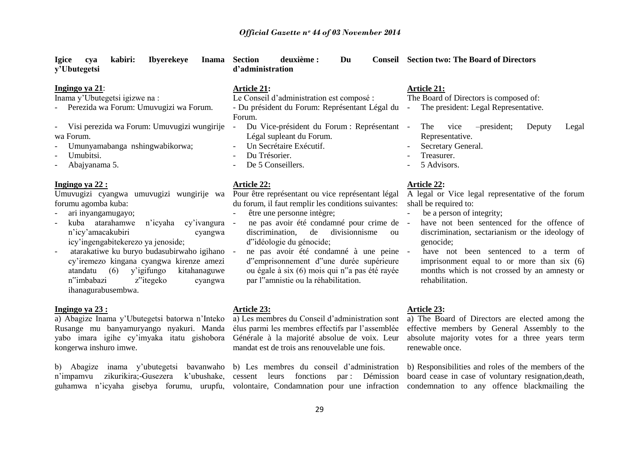| <b>Igice</b><br>kabiri:<br><b>Ibyerekeye</b><br><b>Inama</b><br>cya<br>y'Ubutegetsi                                                                                                                                                                                                                                                                                                                                                                          | deuxième :<br>Section<br>Du<br>d'administration                                                                                                                                                                                                                                                                                                                                                                                                                                                  | <b>Conseil</b> Section two: The Board of Directors                                                                                                                                                                                                                                                                                                                                                   |
|--------------------------------------------------------------------------------------------------------------------------------------------------------------------------------------------------------------------------------------------------------------------------------------------------------------------------------------------------------------------------------------------------------------------------------------------------------------|--------------------------------------------------------------------------------------------------------------------------------------------------------------------------------------------------------------------------------------------------------------------------------------------------------------------------------------------------------------------------------------------------------------------------------------------------------------------------------------------------|------------------------------------------------------------------------------------------------------------------------------------------------------------------------------------------------------------------------------------------------------------------------------------------------------------------------------------------------------------------------------------------------------|
| Ingingo ya 21:<br>Inama y'Ubutegetsi igizwe na :<br>Perezida wa Forum: Umuvugizi wa Forum.<br>Visi perezida wa Forum: Umuvugizi wungirije<br>$\blacksquare$<br>wa Forum.<br>Umunyamabanga nshingwabikorwa;<br>Umubitsi.<br>Abajyanama 5.                                                                                                                                                                                                                     | <b>Article 21:</b><br>Le Conseil d'administration est composé :<br>- Du président du Forum: Représentant Légal du<br>Forum.<br>Du Vice-président du Forum : Représentant -<br>$\blacksquare$<br>Légal supleant du Forum.<br>Un Secrétaire Exécutif.<br>Du Trésorier.<br>De 5 Conseillers.                                                                                                                                                                                                        | <b>Article 21:</b><br>The Board of Directors is composed of:<br>The president: Legal Representative.<br>-president;<br>The<br>vice<br>Deputy<br>Legal<br>Representative.<br>Secretary General.<br>Treasurer.<br>5 Advisors.                                                                                                                                                                          |
| Ingingo ya 22:<br>Umuvugizi cyangwa umuvugizi wungirije wa<br>forumu agomba kuba:<br>ari inyangamugayo;<br>atarahamwe<br>n'icyaha cy'ivangura<br>kuba<br>n'icy'amacakubiri<br>cyangwa<br>icy'ingengabitekerezo ya jenoside;<br>atarakatiwe ku buryo budasubirwaho igihano<br>cy'iremezo kingana cyangwa kirenze amezi<br>(6)<br>y'igifungo<br>atandatu<br>kitahanaguwe<br>n <sup>"</sup> imbabazi<br>z <sup>"</sup> itegeko<br>cyangwa<br>ihanagurabusembwa. | <b>Article 22:</b><br>Pour être représentant ou vice représentant légal<br>du forum, il faut remplir les conditions suivantes:<br>être une personne intègre;<br>ne pas avoir été condamné pour crime de -<br>$\overline{\phantom{a}}$<br>de<br>divisionnisme<br>discrimination,<br>ou<br>d"idéologie du génocide;<br>ne pas avoir été condamné à une peine -<br>d'emprisonnement d'une durée supérieure<br>ou égale à six (6) mois qui n'a pas été rayée<br>par l'amnistie ou la réhabilitation. | <b>Article 22:</b><br>A legal or Vice legal representative of the forum<br>shall be required to:<br>be a person of integrity;<br>have not been sentenced for the offence of<br>discrimination, sectarianism or the ideology of<br>genocide;<br>have not been sentenced to a term of<br>imprisonment equal to or more than six (6)<br>months which is not crossed by an amnesty or<br>rehabilitation. |
| Ingingo ya 23 :<br>a) Abagize Inama y'Ubutegetsi batorwa n'Inteko<br>Rusange mu banyamuryango nyakuri. Manda élus parmi les membres effectifs par l'assemblée                                                                                                                                                                                                                                                                                                | <b>Article 23:</b>                                                                                                                                                                                                                                                                                                                                                                                                                                                                               | <b>Article 23:</b><br>a) Les membres du Conseil d'administration sont a) The Board of Directors are elected among the<br>effective members by General Assembly to the                                                                                                                                                                                                                                |

b) Abagize inama y"ubutegetsi bavanwaho b) Les membres du conseil d"administration n'impamvu zikurikira;-Gusezera k'ubushake, cessent leurs fonctions par : Démission

kongerwa inshuro imwe.

mandat est de trois ans renouvelable une fois.

yabo imara igihe cy"imyaka itatu gishobora Générale à la majorité absolue de voix. Leur absolute majority votes for a three years term renewable once.

guhamwa n"icyaha gisebya forumu, urupfu, volontaire, Condamnation pour une infraction condemnation to any offence blackmailing the b) Responsibilities and roles of the members of the board cease in case of voluntary resignation,death,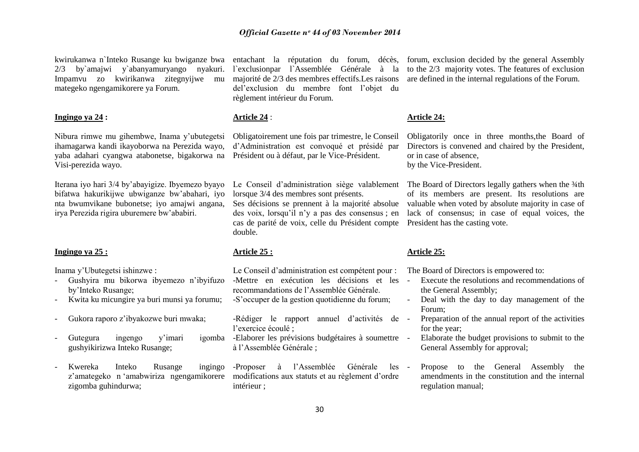kwirukanwa n`Inteko Rusange ku bwiganze bwa 2/3 by`amajwi y`abanyamuryango nyakuri. Impamvu zo kwirikanwa zitegnyijwe mu mategeko ngengamikorere ya Forum.

#### **Ingingo ya 24 :**

Nibura rimwe mu gihembwe, Inama y"ubutegetsi ihamagarwa kandi ikayoborwa na Perezida wayo, yaba adahari cyangwa atabonetse, bigakorwa na Président ou à défaut, par le Vice-Président. Visi-perezida wayo.

Iterana iyo hari 3/4 by"abayigize. Ibyemezo byayo bifatwa hakurikijwe ubwiganze bw"abahari, iyo nta bwumvikane bubonetse; iyo amajwi angana, irya Perezida rigira uburemere bw"ababiri.

### **Ingingo ya 25 :**

Inama y"Ubutegetsi ishinzwe :

- Gushyira mu bikorwa ibyemezo n"ibyifuzo by"Inteko Rusange;
- Kwita ku micungire ya buri munsi ya forumu;
- Gukora raporo z"ibyakozwe buri mwaka;
- Gutegura ingengo y'imari gushyikirizwa Inteko Rusange;
- Kwereka Inteko Rusange zigomba guhindurwa;

l`exclusionpar l`Assemblée Générale à la majorité de 2/3 des membres effectifs.Les raisons del'exclusion du membre font l'objet du règlement intérieur du Forum.

### **Article 24** :

Obligatoirement une fois par trimestre, le Conseil d"Administration est convoqué et présidé par

Le Conseil d"administration siège valablement lorsque 3/4 des membres sont présents. Ses décisions se prennent à la majorité absolue des voix, lorsqu"il n"y a pas des consensus ; en cas de parité de voix, celle du Président compte President has the casting vote. double.

#### **Article 25 :**

Le Conseil d"administration est compétent pour : -Mettre en exécution les décisions et les recommandations de l"Assemblée Générale. -S"occuper de la gestion quotidienne du forum;

-Rédiger le rapport annuel d'activités de l"exercice écoulé ;

-Elaborer les prévisions budgétaires à soumettre à l"Assemblée Générale ;

z'amategeko n 'amabwiriza ngengamikorere modifications aux statuts et au règlement d'ordre ingingo -Proposer à l'Assemblée Générale les intérieur ;

entachant la réputation du forum, décès, forum, exclusion decided by the general Assembly to the 2/3 majority votes. The features of exclusion are defined in the internal regulations of the Forum.

#### **Article 24:**

Obligatorily once in three months,the Board of Directors is convened and chaired by the President, or in case of absence, by the Vice-President.

The Board of Directors legally gathers when the 3/4th of its members are present. Its resolutions are valuable when voted by absolute majority in case of lack of consensus; in case of equal voices, the

#### **Article 25:**

The Board of Directors is empowered to:

- Execute the resolutions and recommendations of the General Assembly;
- Deal with the day to day management of the Forum;
- Preparation of the annual report of the activities for the year;
- Elaborate the budget provisions to submit to the General Assembly for approval;
- Propose to the General Assembly the amendments in the constitution and the internal regulation manual;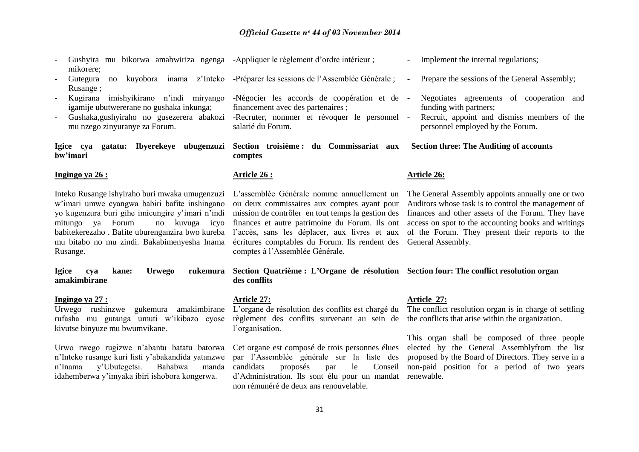| Gushyira mu bikorwa amabwiriza ngenga -Appliquer le règlement d'ordre intérieur;<br>mikorere;                                                                                                                                                                                                           |                                                                                                                                                                                                                                                                                                                                        | Implement the internal regulations;                                                                                                                                                                                                                                                          |
|---------------------------------------------------------------------------------------------------------------------------------------------------------------------------------------------------------------------------------------------------------------------------------------------------------|----------------------------------------------------------------------------------------------------------------------------------------------------------------------------------------------------------------------------------------------------------------------------------------------------------------------------------------|----------------------------------------------------------------------------------------------------------------------------------------------------------------------------------------------------------------------------------------------------------------------------------------------|
| Gutegura<br>Rusange;                                                                                                                                                                                                                                                                                    | no kuyobora inama z'Inteko -Préparer les sessions de l'Assemblée Générale;                                                                                                                                                                                                                                                             | Prepare the sessions of the General Assembly;                                                                                                                                                                                                                                                |
| imishyikirano n'indi miryango<br>Kugirana<br>igamije ubutwererane no gushaka inkunga;                                                                                                                                                                                                                   | -Négocier les accords de coopération et de -<br>financement avec des partenaires;                                                                                                                                                                                                                                                      | Negotiates agreements of cooperation and<br>funding with partners;                                                                                                                                                                                                                           |
| Gushaka, gushyiraho no gusezerera abakozi<br>mu nzego zinyuranye za Forum.                                                                                                                                                                                                                              | -Recruter, nommer et révoquer le personnel -<br>salarié du Forum.                                                                                                                                                                                                                                                                      | Recruit, appoint and dismiss members of the<br>personnel employed by the Forum.                                                                                                                                                                                                              |
| Igice cya gatatu: Ibyerekeye ubugenzuzi<br>bw'imari                                                                                                                                                                                                                                                     | Section troisième : du Commissariat aux<br>comptes                                                                                                                                                                                                                                                                                     | <b>Section three: The Auditing of accounts</b>                                                                                                                                                                                                                                               |
| Ingingo ya 26 :                                                                                                                                                                                                                                                                                         | <u>Article 26 :</u>                                                                                                                                                                                                                                                                                                                    | <b>Article 26:</b>                                                                                                                                                                                                                                                                           |
| Inteko Rusange ishyiraho buri mwaka umugenzuzi<br>w'imari umwe cyangwa babiri bafite inshingano<br>yo kugenzura buri gihe imicungire y'imari n'indi<br>mitungo ya Forum<br>no kuvuga icyo<br>babitekerezaho. Bafite uburenganzira bwo kureba<br>mu bitabo no mu zindi. Bakabimenyesha Inama<br>Rusange. | L'assemblée Générale nomme annuellement un<br>ou deux commissaires aux comptes ayant pour<br>mission de contrôler en tout temps la gestion des<br>finances et autre patrimoine du Forum. Ils ont<br>l'accès, sans les déplacer, aux livres et aux<br>écritures comptables du Forum. Ils rendent des<br>comptes à l'Assemblée Générale. | The General Assembly appoints annually one or two<br>Auditors whose task is to control the management of<br>finances and other assets of the Forum. They have<br>access on spot to the accounting books and writings<br>of the Forum. They present their reports to the<br>General Assembly. |
| <b>Urwego</b><br>rukemura<br>kane:<br><b>Igice</b><br>cya<br>amakimbirane                                                                                                                                                                                                                               | Section Quatrième : L'Organe de résolution Section four: The conflict resolution organ<br>des conflits                                                                                                                                                                                                                                 |                                                                                                                                                                                                                                                                                              |
| Ingingo ya 27 :<br>Urwego rushinzwe gukemura amakimbirane L'organe de résolution des conflits est chargé du<br>rufasha mu gutanga umuti w'ikibazo cyose<br>kivutse binyuze mu bwumvikane.                                                                                                               | Article 27:<br>règlement des conflits survenant au sein de<br>l'organisation.                                                                                                                                                                                                                                                          | Article 27:<br>The conflict resolution organ is in charge of settling<br>the conflicts that arise within the organization.<br>This organ shall be composed of three people                                                                                                                   |
| Urwo rwego rugizwe n'abantu batatu batorwa<br>n'Inteko rusange kuri listi y'abakandida yatanzwe<br>Bahabwa<br>y'Ubutegetsi.<br>manda<br>n'Inama<br>idahemberwa y'imyaka ibiri ishobora kongerwa.                                                                                                        | Cet organe est composé de trois personnes élues<br>par l'Assemblée générale sur la liste des<br>candidats<br>proposés<br>le<br>Conseil<br>par<br>d'Administration. Ils sont élu pour un mandat<br>non rémunéré de deux ans renouvelable.                                                                                               | elected by the General Assemblyfrom the list<br>proposed by the Board of Directors. They serve in a<br>non-paid position for a period of two years<br>renewable.                                                                                                                             |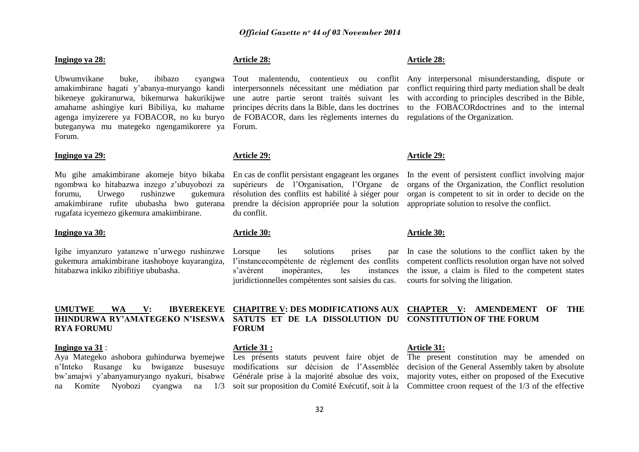#### **Ingingo ya 28:**

Ubwumvikane buke, ibibazo amakimbirane hagati y"abanya-muryango kandi bikeneye gukiranurwa, bikemurwa hakurikijwe amahame ashingiye kuri Bibiliya, ku mahame agenga imyizerere ya FOBACOR, no ku buryo buteganywa mu mategeko ngengamikorere ya Forum. Forum.

### **Ingingo ya 29:**

Mu gihe amakimbirane akomeje bityo bikaba En cas de conflit persistant engageant les organes ngombwa ko hitabazwa inzego z"ubuyobozi za forumu, Urwego rushinzwe gukemura amakimbirane rufite ububasha bwo guterana rugafata icyemezo gikemura amakimbirane.

#### **Ingingo ya 30:**

Igihe imyanzuro yatanzwe n"urwego rushinzwe gukemura amakimbirane itashoboye kuyarangiza, hitabazwa inkiko zibifitiye ububasha.

# **RYA FORUMU**

#### **Ingingo ya 31** :

n"Inteko Rusange ku bwiganze busesuye modifications sur décision de l"Assemblée bw"amajwi y"abanyamuryango nyakuri, bisabwe Générale prise à la majorité absolue des voix,

### **Article 28:**

interpersonnels nécessitant une médiation par une autre partie seront traités suivant les principes décrits dans la Bible, dans les doctrines de FOBACOR, dans les règlements internes du

#### **Article 29:**

supérieurs de l"Organisation, l"Organe de résolution des conflits est habilité à siéger pour prendre la décision appropriée pour la solution du conflit.

#### **Article 30:**

Lorsque les solutions prises par l"instancecompétente de règlement des conflits s"avèrent inopérantes, les instances juridictionnelles compétentes sont saisies du cas.

#### **Article 28:**

Tout malentendu, contentieux ou conflit Any interpersonal misunderstanding, dispute or conflict requiring third party mediation shall be dealt with according to principles described in the Bible. to the FOBACORdoctrines and to the internal regulations of the Organization.

#### **Article 29:**

In the event of persistent conflict involving major organs of the Organization, the Conflict resolution organ is competent to sit in order to decide on the appropriate solution to resolve the conflict.

#### **Article 30:**

In case the solutions to the conflict taken by the competent conflicts resolution organ have not solved the issue, a claim is filed to the competent states courts for solving the litigation.

### **UMUTWE WA V: IBYEREKEYE CHAPITRE V: DES MODIFICATIONS AUX CHAPTER V: AMENDEMENT OF THE IHINDURWA RY'AMATEGEKO N'ISESWA SATUTS ET DE LA DISSOLUTION DU CONSTITUTION OF THE FORUM FORUM**

#### **Article 31 :**

#### **Article 31:**

Aya Mategeko ashobora guhindurwa byemejwe Les présents statuts peuvent faire objet de The present constitution may be amended on na Komite Nyobozi cyangwa na 1/3 soit sur proposition du Comité Exécutif, soit à la Committee croon request of the 1/3 of the effective decision of the General Assembly taken by absolute majority votes, either on proposed of the Executive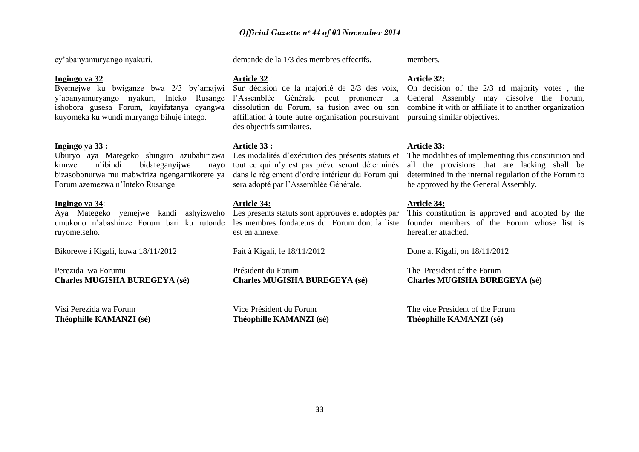cy"abanyamuryango nyakuri.

#### **Ingingo ya 32** :

Byemejwe ku bwiganze bwa 2/3 by"amajwi Sur décision de la majorité de 2/3 des voix, y"abanyamuryango nyakuri, Inteko Rusange ishobora gusesa Forum, kuyifatanya cyangwa kuyomeka ku wundi muryango bihuje intego.

#### **Ingingo ya 33 :**

Uburyo aya Mategeko shingiro azubahirizwa kimwe n"ibindi bidateganyijwe nayo bizasobonurwa mu mabwiriza ngengamikorere ya Forum azemezwa n"Inteko Rusange.

#### **Ingingo ya 34**:

Aya Mategeko yemejwe kandi ashyizweho Les présents statuts sont approuvés et adoptés par umukono n"abashinze Forum bari ku rutonde les membres fondateurs du Forum dont la liste ruyometseho.

Bikorewe i Kigali, kuwa 18/11/2012

Perezida wa Forumu **Charles MUGISHA BUREGEYA (sé)**

Visi Perezida wa Forum **Théophille KAMANZI (sé)** demande de la 1/3 des membres effectifs.

### **Article 32** :

l"Assemblée Générale peut prononcer la dissolution du Forum, sa fusion avec ou son affiliation à toute autre organisation poursuivant des objectifs similaires.

#### **Article 33 :**

Les modalités d"exécution des présents statuts et tout ce qui n"y est pas prévu seront déterminés dans le règlement d"ordre intérieur du Forum qui sera adopté par l"Assemblée Générale.

#### **Article 34:**

est en annexe.

Fait à Kigali, le 18/11/2012

Président du Forum **Charles MUGISHA BUREGEYA (sé)**

Vice Président du Forum **Théophille KAMANZI (sé)** members.

#### **Article 32:**

On decision of the 2/3 rd majority votes , the General Assembly may dissolve the Forum, combine it with or affiliate it to another organization pursuing similar objectives.

#### **Article 33:**

The modalities of implementing this constitution and all the provisions that are lacking shall be determined in the internal regulation of the Forum to be approved by the General Assembly.

#### **Article 34:**

This constitution is approved and adopted by the founder members of the Forum whose list is hereafter attached.

Done at Kigali, on 18/11/2012

The President of the Forum **Charles MUGISHA BUREGEYA (sé)**

The vice President of the Forum **Théophille KAMANZI (sé)**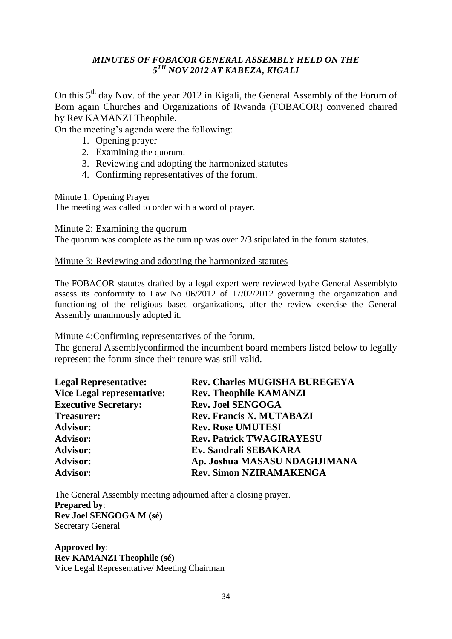# *MINUTES OF FOBACOR GENERAL ASSEMBLY HELD ON THE 5 TH NOV 2012 AT KABEZA, KIGALI*

On this 5<sup>th</sup> day Nov. of the year 2012 in Kigali, the General Assembly of the Forum of Born again Churches and Organizations of Rwanda (FOBACOR) convened chaired by Rev KAMANZI Theophile.

On the meeting"s agenda were the following:

- 1. Opening prayer
- 2. Examining the quorum.
- 3. Reviewing and adopting the harmonized statutes
- 4. Confirming representatives of the forum.

Minute 1: Opening Prayer

The meeting was called to order with a word of prayer.

Minute 2: Examining the quorum

The quorum was complete as the turn up was over 2/3 stipulated in the forum statutes.

### Minute 3: Reviewing and adopting the harmonized statutes

The FOBACOR statutes drafted by a legal expert were reviewed bythe General Assemblyto assess its conformity to Law No 06/2012 of 17/02/2012 governing the organization and functioning of the religious based organizations, after the review exercise the General Assembly unanimously adopted it.

### Minute 4:Confirming representatives of the forum.

The general Assemblyconfirmed the incumbent board members listed below to legally represent the forum since their tenure was still valid.

| <b>Legal Representative:</b>      | <b>Rev. Charles MUGISHA BUREGEYA</b> |
|-----------------------------------|--------------------------------------|
| <b>Vice Legal representative:</b> | <b>Rev. Theophile KAMANZI</b>        |
| <b>Executive Secretary:</b>       | <b>Rev. Joel SENGOGA</b>             |
| <b>Treasurer:</b>                 | <b>Rev. Francis X. MUTABAZI</b>      |
| <b>Advisor:</b>                   | <b>Rev. Rose UMUTESI</b>             |
| <b>Advisor:</b>                   | <b>Rev. Patrick TWAGIRAYESU</b>      |
| <b>Advisor:</b>                   | Ev. Sandrali SEBAKARA                |
| <b>Advisor:</b>                   | Ap. Joshua MASASU NDAGIJIMANA        |
| <b>Advisor:</b>                   | <b>Rev. Simon NZIRAMAKENGA</b>       |

The General Assembly meeting adjourned after a closing prayer. **Prepared by**: **Rev Joel SENGOGA M (sé)** Secretary General

**Approved by**: **Rev KAMANZI Theophile (sé)** Vice Legal Representative/ Meeting Chairman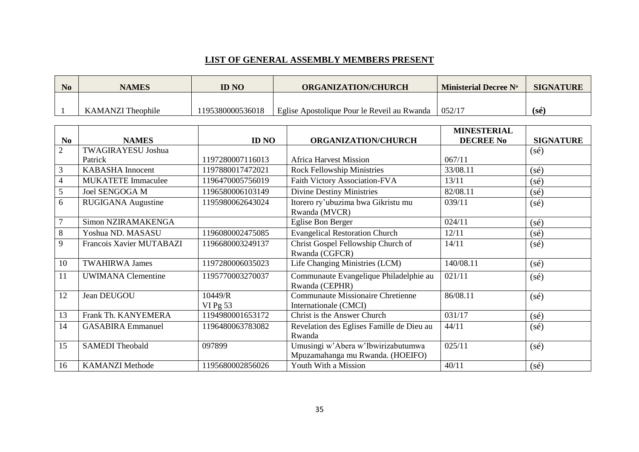### **LIST OF GENERAL ASSEMBLY MEMBERS PRESENT**

| <b>No</b> | <b>NAMES</b>             | ID NO           | <b>ORGANIZATION/CHURCH</b>                  | <b>Ministerial Decree N°</b> | <b>SIGNATURE</b> |
|-----------|--------------------------|-----------------|---------------------------------------------|------------------------------|------------------|
|           |                          |                 |                                             |                              |                  |
|           | <b>KAMANZI</b> Theophile | 195380000536018 | Eglise Apostolique Pour le Reveil au Rwanda | 052/17                       | $(s\acute{e})$   |

|                |                           |                       |                                                                        | <b>MINESTERIAL</b> |                  |
|----------------|---------------------------|-----------------------|------------------------------------------------------------------------|--------------------|------------------|
| N <sub>0</sub> | <b>NAMES</b>              | <b>ID NO</b>          | <b>ORGANIZATION/CHURCH</b>                                             | <b>DECREE No</b>   | <b>SIGNATURE</b> |
| $\overline{2}$ | <b>TWAGIRAYESU Joshua</b> |                       |                                                                        |                    | $(s\acute{e})$   |
|                | Patrick                   | 1197280007116013      | <b>Africa Harvest Mission</b>                                          | 067/11             |                  |
| 3              | <b>KABASHA Innocent</b>   | 1197880017472021      | <b>Rock Fellowship Ministries</b>                                      | 33/08.11           | $(s\acute{e})$   |
| $\overline{4}$ | <b>MUKATETE Immaculee</b> | 1196470005756019      | Faith Victory Association-FVA                                          | 13/11              | (sé)             |
| 5              | Joel SENGOGA M            | 1196580006103149      | <b>Divine Destiny Ministries</b>                                       | 82/08.11           | $(s\acute{e})$   |
| 6              | RUGIGANA Augustine        | 1195980062643024      | Itorero ry'ubuzima bwa Gikristu mu<br>Rwanda (MVCR)                    | 039/11             | $(s\acute{e})$   |
| $\overline{7}$ | Simon NZIRAMAKENGA        |                       | Eglise Bon Berger                                                      | 024/11             | $(s\acute{e})$   |
| 8              | Yoshua ND. MASASU         | 1196080002475085      | <b>Evangelical Restoration Church</b>                                  | 12/11              | (sé)             |
| 9              | Francois Xavier MUTABAZI  | 1196680003249137      | Christ Gospel Fellowship Church of<br>Rwanda (CGFCR)                   | 14/11              | $(s\acute{e})$   |
| 10             | <b>TWAHIRWA James</b>     | 1197280006035023      | Life Changing Ministries (LCM)                                         | 140/08.11          | $(s\acute{e})$   |
| 11             | <b>UWIMANA</b> Clementine | 1195770003270037      | Communaute Evangelique Philadelphie au<br>Rwanda (CEPHR)               | 021/11             | $(s\acute{e})$   |
| 12             | Jean DEUGOU               | 10449/R<br>VI Pg $53$ | <b>Communaute Missionaire Chretienne</b><br>Internationale (CMCI)      | 86/08.11           | $(s\acute{e})$   |
| 13             | Frank Th. KANYEMERA       | 1194980001653172      | Christ is the Answer Church                                            | 031/17             | $(s\acute{e})$   |
| 14             | <b>GASABIRA Emmanuel</b>  | 1196480063783082      | Revelation des Eglises Famille de Dieu au<br>Rwanda                    | 44/11              | $(s\acute{e})$   |
| 15             | <b>SAMEDI</b> Theobald    | 097899                | Umusingi w'Abera w'Ibwirizabutumwa<br>Mpuzamahanga mu Rwanda. (HOEIFO) | 025/11             | $(s\acute{e})$   |
| 16             | <b>KAMANZI Methode</b>    | 1195680002856026      | Youth With a Mission                                                   | 40/11              | $(s\acute{e})$   |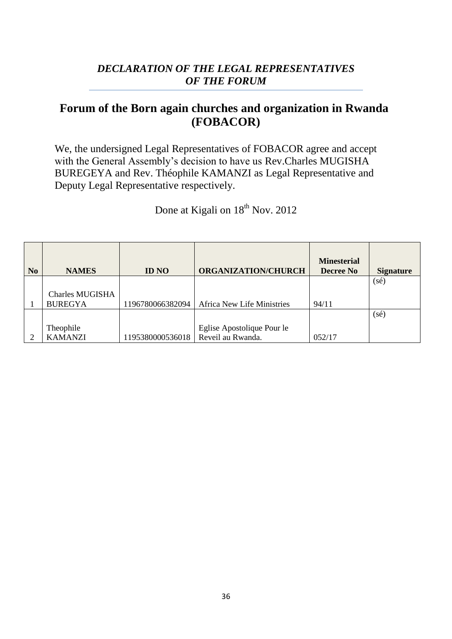# *DECLARATION OF THE LEGAL REPRESENTATIVES OF THE FORUM*

# **Forum of the Born again churches and organization in Rwanda (FOBACOR)**

We, the undersigned Legal Representatives of FOBACOR agree and accept with the General Assembly's decision to have us Rev.Charles MUGISHA BUREGEYA and Rev. Théophile KAMANZI as Legal Representative and Deputy Legal Representative respectively.

Done at Kigali on  $18^{th}$  Nov. 2012

| N <sub>o</sub> | <b>NAMES</b>           | <b>ID NO</b>     | <b>ORGANIZATION/CHURCH</b>        | <b>Minesterial</b><br><b>Decree No</b> | <b>Signature</b> |
|----------------|------------------------|------------------|-----------------------------------|----------------------------------------|------------------|
|                |                        |                  |                                   |                                        | $(s\acute{e})$   |
|                | <b>Charles MUGISHA</b> |                  |                                   |                                        |                  |
|                | <b>BUREGYA</b>         | 1196780066382094 | <b>Africa New Life Ministries</b> | 94/11                                  |                  |
|                |                        |                  |                                   |                                        | $(s\acute{e})$   |
|                | Theophile              |                  | Eglise Apostolique Pour le        |                                        |                  |
|                | <b>KAMANZI</b>         | 1195380000536018 | Reveil au Rwanda.                 | 052/17                                 |                  |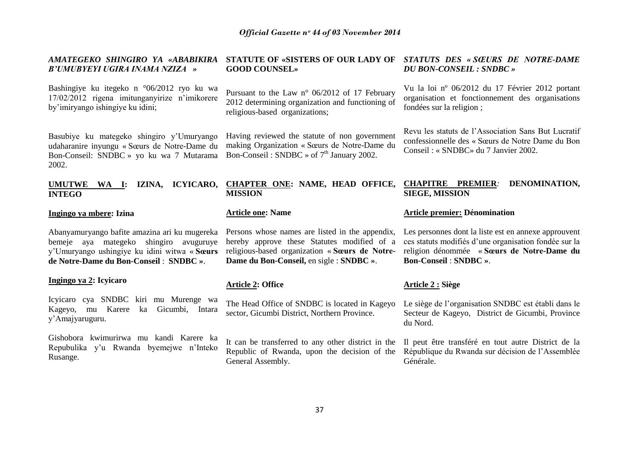| AMATEGEKO SHINGIRO YA «ABABIKIRA<br>B'UMUBYEYI UGIRA INAMA NZIZA »                                                                                                                 | <b>STATUTE OF «SISTERS OF OUR LADY OF</b><br><b>GOOD COUNSEL»</b>                                                                                                                            | STATUTS DES « SŒURS DE NOTRE-DAME<br><b>DU BON-CONSEIL : SNDBC »</b>                                                                                                                        |  |
|------------------------------------------------------------------------------------------------------------------------------------------------------------------------------------|----------------------------------------------------------------------------------------------------------------------------------------------------------------------------------------------|---------------------------------------------------------------------------------------------------------------------------------------------------------------------------------------------|--|
| Bashingiye ku itegeko n °06/2012 ryo ku wa<br>17/02/2012 rigena imitunganyirize n'imikorere<br>by'imiryango ishingiye ku idini;                                                    | Pursuant to the Law n° 06/2012 of 17 February<br>2012 determining organization and functioning of<br>religious-based organizations;                                                          | Vu la loi nº 06/2012 du 17 Février 2012 portant<br>organisation et fonctionnement des organisations<br>fondées sur la religion;                                                             |  |
| Basubiye ku mategeko shingiro y'Umuryango<br>udaharanire inyungu « Sœurs de Notre-Dame du<br>Bon-Conseil: SNDBC » yo ku wa 7 Mutarama<br>2002.                                     | Having reviewed the statute of non government<br>making Organization « Sœurs de Notre-Dame du<br>Bon-Conseil: SNDBC $\rightarrow$ of $7th$ January 2002.                                     | Revu les statuts de l'Association Sans But Lucratif<br>confessionnelle des « Sœurs de Notre Dame du Bon<br>Conseil : « SNDBC» du 7 Janvier 2002.                                            |  |
| IZINA, ICYICARO,<br><b>UMUTWE</b><br>WA I:<br><b>INTEGO</b>                                                                                                                        | <b>CHAPTER ONE: NAME, HEAD OFFICE,</b><br><b>MISSION</b>                                                                                                                                     | <b>CHAPITRE PREMIER:</b><br>DENOMINATION,<br><b>SIEGE, MISSION</b>                                                                                                                          |  |
| Ingingo ya mbere: Izina                                                                                                                                                            | <b>Article one: Name</b>                                                                                                                                                                     | <b>Article premier: Dénomination</b>                                                                                                                                                        |  |
| Abanyamuryango bafite amazina ari ku mugereka<br>bemeje aya mategeko shingiro avuguruye<br>y'Umuryango ushingiye ku idini witwa « Sœurs<br>de Notre-Dame du Bon-Conseil : SNDBC ». | Persons whose names are listed in the appendix,<br>hereby approve these Statutes modified of a<br>religious-based organization « Sœurs de Notre-<br>Dame du Bon-Conseil, en sigle : SNDBC ». | Les personnes dont la liste est en annexe approuvent<br>ces statuts modifiés d'une organisation fondée sur la<br>religion dénommée « Sœurs de Notre-Dame du<br><b>Bon-Conseil: SNDBC ».</b> |  |
|                                                                                                                                                                                    |                                                                                                                                                                                              |                                                                                                                                                                                             |  |
| Ingingo ya 2: Icyicaro                                                                                                                                                             | <b>Article 2: Office</b>                                                                                                                                                                     | <b>Article 2 : Siège</b>                                                                                                                                                                    |  |
| Icyicaro cya SNDBC kiri mu Murenge wa<br>Kageyo, mu Karere<br>Gicumbi, Intara<br>ka<br>y'Amajyaruguru.                                                                             | The Head Office of SNDBC is located in Kageyo<br>sector, Gicumbi District, Northern Province.                                                                                                | Le siège de l'organisation SNDBC est établi dans le<br>Secteur de Kageyo, District de Gicumbi, Province<br>du Nord.                                                                         |  |
| Gishobora kwimurirwa mu kandi Karere ka<br>Repubulika y'u Rwanda byemejwe n'Inteko<br>Rusange.                                                                                     | It can be transferred to any other district in the<br>Republic of Rwanda, upon the decision of the<br>General Assembly.                                                                      | Il peut être transféré en tout autre District de la<br>République du Rwanda sur décision de l'Assemblée<br>Générale.                                                                        |  |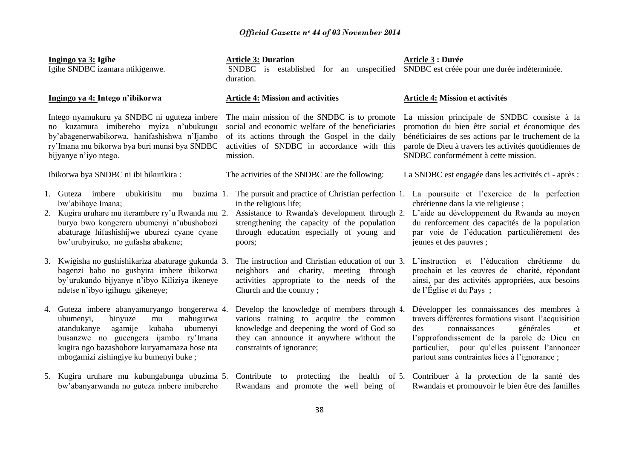| Ingingo ya 3: Igihe<br>Igihe SNDBC izamara ntikigenwe. |                                                                                                                                                                                                                                                                               | <b>Article 3: Duration</b><br>SNDBC is<br>established for an unspecified<br>duration.                                                                                                                                                 | Article 3 : Durée<br>SNDBC est créée pour une durée indéterminée.                                                                                                                                                                                                                              |  |
|--------------------------------------------------------|-------------------------------------------------------------------------------------------------------------------------------------------------------------------------------------------------------------------------------------------------------------------------------|---------------------------------------------------------------------------------------------------------------------------------------------------------------------------------------------------------------------------------------|------------------------------------------------------------------------------------------------------------------------------------------------------------------------------------------------------------------------------------------------------------------------------------------------|--|
|                                                        | Ingingo ya 4: Intego n'ibikorwa                                                                                                                                                                                                                                               | <b>Article 4: Mission and activities</b>                                                                                                                                                                                              | Article 4: Mission et activités                                                                                                                                                                                                                                                                |  |
|                                                        | Intego nyamukuru ya SNDBC ni uguteza imbere<br>no kuzamura imibereho myiza n'ubukungu<br>by'abagenerwabikorwa, hanifashishwa n'Ijambo<br>ry'Imana mu bikorwa bya buri munsi bya SNDBC<br>bijyanye n'iyo ntego.                                                                | The main mission of the SNDBC is to promote<br>social and economic welfare of the beneficiaries<br>of its actions through the Gospel in the daily<br>activities of SNDBC in accordance with this<br>mission.                          | La mission principale de SNDBC consiste à la<br>promotion du bien être social et économique des<br>bénéficiaires de ses actions par le truchement de la<br>parole de Dieu à travers les activités quotidiennes de<br>SNDBC conformément à cette mission.                                       |  |
|                                                        | Ibikorwa bya SNDBC ni ibi bikurikira:                                                                                                                                                                                                                                         | The activities of the SNDBC are the following:                                                                                                                                                                                        | La SNDBC est engagée dans les activités ci - après :                                                                                                                                                                                                                                           |  |
|                                                        | 1. Guteza imbere<br>ubukirisitu<br>buzima 1.<br>mu<br>bw'abihaye Imana;<br>2. Kugira uruhare mu iterambere ry'u Rwanda mu 2.<br>buryo bwo kongerera ubumenyi n'ubushobozi<br>abaturage hifashishijwe uburezi cyane cyane<br>bw'urubyiruko, no gufasha abakene;                | The pursuit and practice of Christian perfection 1.<br>in the religious life;<br>Assistance to Rwanda's development through 2.<br>strengthening the capacity of the population<br>through education especially of young and<br>poors; | La poursuite et l'exercice de la perfection<br>chrétienne dans la vie religieuse;<br>L'aide au développement du Rwanda au moyen<br>du renforcement des capacités de la population<br>par voie de l'éducation particulièrement des<br>jeunes et des pauvres;                                    |  |
|                                                        | 3. Kwigisha no gushishikariza abaturage gukunda 3.<br>bagenzi babo no gushyira imbere ibikorwa<br>by'urukundo bijyanye n'ibyo Kiliziya ikeneye<br>ndetse n'ibyo igihugu gikeneye;                                                                                             | The instruction and Christian education of our 3.<br>neighbors and charity, meeting<br>through<br>activities appropriate to the needs of the<br>Church and the country;                                                               | L'instruction et l'éducation chrétienne du<br>prochain et les œuvres de charité, répondant<br>ainsi, par des activités appropriées, aux besoins<br>de l'Église et du Pays;                                                                                                                     |  |
|                                                        | 4. Guteza imbere abanyamuryango bongererwa 4.<br>mahugurwa<br>binyuze<br>ubumenyi,<br>$\rm{mu}$<br>kubaha ubumenyi<br>atandukanye<br>agamije<br>busanzwe no gucengera ijambo ry'Imana<br>kugira ngo bazashobore kuryamamaza hose nta<br>mbogamizi zishingiye ku bumenyi buke; | Develop the knowledge of members through 4.<br>various training to acquire the common<br>knowledge and deepening the word of God so<br>they can announce it anywhere without the<br>constraints of ignorance;                         | Développer les connaissances des membres à<br>travers différentes formations visant l'acquisition<br>connaissances<br>des<br>générales<br>et<br>l'approfondissement de la parole de Dieu en<br>particulier, pour qu'elles puissent l'annoncer<br>partout sans contraintes liées à l'ignorance; |  |
|                                                        | 5. Kugira uruhare mu kubungabunga ubuzima 5. Contribute<br>bw'abanyarwanda no guteza imbere imibereho                                                                                                                                                                         | protecting the health<br>to<br>Rwandans and promote the well being of                                                                                                                                                                 | of 5. Contribuer à la protection de la santé des<br>Rwandais et promouvoir le bien être des familles                                                                                                                                                                                           |  |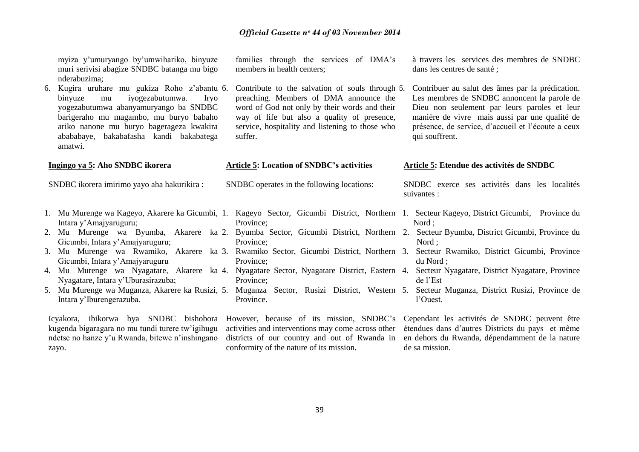|    | myiza y'umuryango by'umwihariko, binyuze<br>muri serivisi abagize SNDBC batanga mu bigo<br>nderabuzima;                                                                                                                                                                           | families through the services of DMA's<br>members in health centers;                                                                                                                                                                                    | à travers les services des membres de SNDBC<br>dans les centres de santé ;                                                                                                                                                                                                            |
|----|-----------------------------------------------------------------------------------------------------------------------------------------------------------------------------------------------------------------------------------------------------------------------------------|---------------------------------------------------------------------------------------------------------------------------------------------------------------------------------------------------------------------------------------------------------|---------------------------------------------------------------------------------------------------------------------------------------------------------------------------------------------------------------------------------------------------------------------------------------|
| 6. | Kugira uruhare mu gukiza Roho z'abantu 6.<br>iyogezabutumwa.<br><b>Irvo</b><br>binyuze<br>mu<br>yogezabutumwa abanyamuryango ba SNDBC<br>barigeraho mu magambo, mu buryo babaho<br>ariko nanone mu buryo bagerageza kwakira<br>abababaye, bakabafasha kandi bakabatega<br>amatwi. | Contribute to the salvation of souls through 6.<br>preaching. Members of DMA announce the<br>word of God not only by their words and their<br>way of life but also a quality of presence,<br>service, hospitality and listening to those who<br>suffer. | Contribuer au salut des âmes par la prédication.<br>Les membres de SNDBC annoncent la parole de<br>Dieu non seulement par leurs paroles et leur<br>manière de vivre mais aussi par une qualité de<br>présence, de service, d'accueil et l'écoute a ceux<br>qui souffrent.             |
|    | Ingingo ya 5: Aho SNDBC ikorera                                                                                                                                                                                                                                                   | <b>Article 5: Location of SNDBC's activities</b>                                                                                                                                                                                                        | Article 5: Etendue des activités de SNDBC                                                                                                                                                                                                                                             |
|    | SNDBC ikorera imirimo yayo aha hakurikira :                                                                                                                                                                                                                                       | SNDBC operates in the following locations:                                                                                                                                                                                                              | SNDBC exerce ses activités dans les localités<br>suivantes :                                                                                                                                                                                                                          |
|    | Intara y'Amajyaruguru;                                                                                                                                                                                                                                                            | Province;                                                                                                                                                                                                                                               | 1. Mu Murenge wa Kageyo, Akarere ka Gicumbi, 1. Kageyo Sector, Gicumbi District, Northern 1. Secteur Kageyo, District Gicumbi, Province du<br>Nord;                                                                                                                                   |
|    | Gicumbi, Intara y'Amajyaruguru;                                                                                                                                                                                                                                                   | Province;                                                                                                                                                                                                                                               | 2. Mu Murenge wa Byumba, Akarere ka 2. Byumba Sector, Gicumbi District, Northern 2. Secteur Byumba, District Gicumbi, Province du<br>Nord;                                                                                                                                            |
|    | 3. Mu Murenge wa Rwamiko, Akarere ka 3. Rwamiko Sector, Gicumbi District, Northern 3.<br>Gicumbi, Intara y'Amajyaruguru                                                                                                                                                           | Province;                                                                                                                                                                                                                                               | Secteur Rwamiko, District Gicumbi, Province<br>du Nord :                                                                                                                                                                                                                              |
|    | 4. Mu Murenge wa Nyagatare, Akarere ka 4. Nyagatare Sector, Nyagatare District, Eastern 4.<br>Nyagatare, Intara y'Uburasirazuba;                                                                                                                                                  | Province;                                                                                                                                                                                                                                               | Secteur Nyagatare, District Nyagatare, Province<br>de l'Est                                                                                                                                                                                                                           |
|    | 5. Mu Murenge wa Muganza, Akarere ka Rusizi, 5. Muganza Sector, Rusizi District, Western 5.<br>Intara y'Iburengerazuba.                                                                                                                                                           | Province.                                                                                                                                                                                                                                               | Secteur Muganza, District Rusizi, Province de<br>l'Ouest.                                                                                                                                                                                                                             |
|    |                                                                                                                                                                                                                                                                                   |                                                                                                                                                                                                                                                         | Icyakora, ibikorwa bya SNDBC bishobora However, because of its mission, SNDBC's Cependant les activités de SNDBC peuvent être<br>kugenda bigaragara no mu tundi turere tw'igihugu activities and interventions may come across other étendues dans d'autres Districts du pays et même |

39

districts of our country and out of Rwanda in

en dehors du Rwanda, dépendamment de la nature

de sa mission.

conformity of the nature of its mission.

ndetse no hanze y'u Rwanda, bitewe n'inshingano

zayo.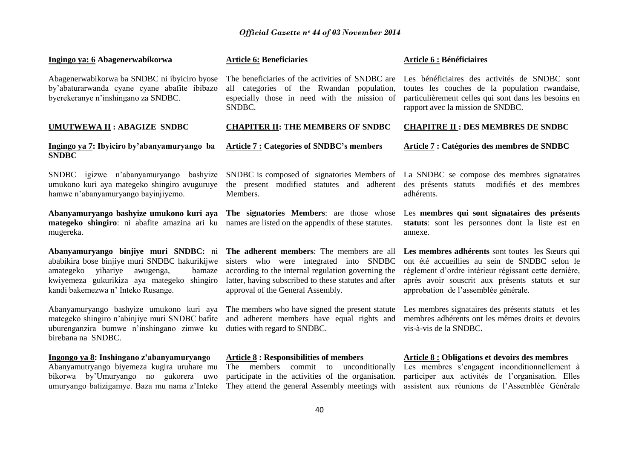| Ingingo ya: 6 Abagenerwabikorwa                                                                                                                                                                                            | <b>Article 6: Beneficiaries</b>                                                                                                                                                                                                         | Article 6 : Bénéficiaires                                                                                                                                                                                                                             |
|----------------------------------------------------------------------------------------------------------------------------------------------------------------------------------------------------------------------------|-----------------------------------------------------------------------------------------------------------------------------------------------------------------------------------------------------------------------------------------|-------------------------------------------------------------------------------------------------------------------------------------------------------------------------------------------------------------------------------------------------------|
| Abagenerwabikorwa ba SNDBC ni ibyiciro byose<br>by'abaturarwanda cyane cyane abafite ibibazo<br>byerekeranye n'inshingano za SNDBC.                                                                                        | The beneficiaries of the activities of SNDBC are<br>all categories of the Rwandan population,<br>especially those in need with the mission of<br>SNDBC.                                                                                 | Les bénéficiaires des activités de SNDBC sont<br>toutes les couches de la population rwandaise,<br>particulièrement celles qui sont dans les besoins en<br>rapport avec la mission de SNDBC.                                                          |
| UMUTWEWA II : ABAGIZE SNDBC                                                                                                                                                                                                | <b>CHAPITER II: THE MEMBERS OF SNDBC</b>                                                                                                                                                                                                | <b>CHAPITRE II : DES MEMBRES DE SNDBC</b>                                                                                                                                                                                                             |
| Ingingo ya 7: Ibyiciro by'abanyamuryango ba<br><b>SNDBC</b>                                                                                                                                                                | <b>Article 7: Categories of SNDBC's members</b>                                                                                                                                                                                         | Article 7 : Catégories des membres de SNDBC                                                                                                                                                                                                           |
| SNDBC igizwe n'abanyamuryango<br>bashyize<br>umukono kuri aya mategeko shingiro avuguruye<br>hamwe n'abanyamuryango bayinjiyemo.                                                                                           | the present modified statutes and adherent<br>Members.                                                                                                                                                                                  | SNDBC is composed of signatories Members of La SNDBC se compose des membres signataires<br>des présents statuts<br>modifiés et des membres<br>adhérents.                                                                                              |
| Abanyamuryango bashyize umukono kuri aya<br>mategeko shingiro: ni abafite amazina ari ku<br>mugereka.                                                                                                                      | The signatories Members: are those whose<br>names are listed on the appendix of these statutes.                                                                                                                                         | Les membres qui sont signataires des présents<br>statuts: sont les personnes dont la liste est en<br>annexe.                                                                                                                                          |
| Abanyamuryango binjiye muri SNDBC: ni<br>ababikira bose binjiye muri SNDBC hakurikijwe<br>yihariye<br>bamaze<br>amategeko<br>awugenga,<br>kwiyemeza gukurikiza aya mategeko shingiro<br>kandi bakemezwa n' Inteko Rusange. | The adherent members: The members are all<br>sisters who were integrated into SNDBC<br>according to the internal regulation governing the<br>latter, having subscribed to these statutes and after<br>approval of the General Assembly. | Les membres adhérents sont toutes les Sœurs qui<br>ont été accueillies au sein de SNDBC selon le<br>règlement d'ordre intérieur régissant cette dernière,<br>après avoir souscrit aux présents statuts et sur<br>approbation de l'assemblée générale. |
| Abanyamuryango bashyize umukono kuri aya<br>mategeko shingiro n'abinjiye muri SNDBC bafite<br>uburenganzira bumwe n'inshingano zimwe ku<br>birebana na SNDBC.                                                              | The members who have signed the present statute<br>and adherent members have equal rights and<br>duties with regard to SNDBC.                                                                                                           | Les membres signataires des présents statuts et les<br>membres adhérents ont les mêmes droits et devoirs<br>vis-à-vis de la SNDBC.                                                                                                                    |
| Ingongo ya 8: Inshingano z'abanyamuryango<br>Abanyamutryango biyemeza kugira uruhare mu<br>bikorwa by'Umuryango no gukorera uwo<br>umuryango batizigamye. Baza mu nama z'Inteko                                            | <b>Article 8: Responsibilities of members</b><br>The members commit to unconditionally<br>participate in the activities of the organisation.<br>They attend the general Assembly meetings with                                          | <b>Article 8 : Obligations et devoirs des membres</b><br>Les membres s'engagent inconditionnellement à<br>participer aux activités de l'organisation. Elles<br>assistent aux réunions de l'Assemblée Générale                                         |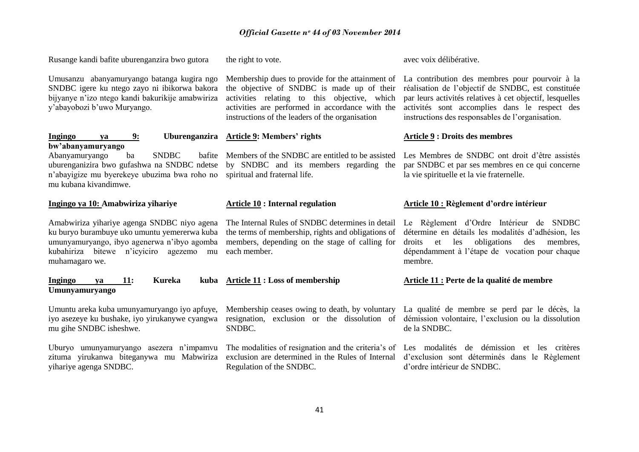Rusange kandi bafite uburenganzira bwo gutora

Umusanzu abanyamuryango batanga kugira ngo SNDBC igere ku ntego zayo ni ibikorwa bakora bijyanye n"izo ntego kandi bakurikije amabwiriza y"abayobozi b"uwo Muryango.

# **Ingingo ya 9: Uburenganzira bw'abanyamuryango**

Abanyamuryango ba SNDBC n"abayigize mu byerekeye ubuzima bwa roho no spiritual and fraternal life. mu kubana kivandimwe.

# **Ingingo ya 10: Amabwiriza yihariye**

ku buryo burambuye uko umuntu yemererwa kuba umunyamuryango, ibyo agenerwa n"ibyo agomba kubahiriza bitewe n"icyiciro agezemo mu muhamagaro we.

# **Ingingo ya 11: Kureka kuba Umunyamuryango**

Umuntu areka kuba umunyamuryango iyo apfuye, iyo asezeye ku bushake, iyo yirukanywe cyangwa mu gihe SNDBC isheshwe.

yihariye agenga SNDBC.

the right to vote.

activities relating to this objective, which activities are performed in accordance with the instructions of the leaders of the organisation

# **Article 9: Members' rights**

uburenganizira bwo gufashwa na SNDBC ndetse by SNDBC and its members regarding the

# **Article 10 : Internal regulation**

the terms of membership, rights and obligations of members, depending on the stage of calling for each member.

# **Article 11 : Loss of membership**

SNDBC.

Regulation of the SNDBC.

Membership dues to provide for the attainment of La contribution des membres pour pourvoir à la the objective of SNDBC is made up of their réalisation de l"objectif de SNDBC, est constituée par leurs activités relatives à cet objectif, lesquelles activités sont accomplies dans le respect des instructions des responsables de l"organisation.

# **Article 9 : Droits des membres**

avec voix délibérative.

Members of the SNDBC are entitled to be assisted Les Membres de SNDBC ont droit d"être assistés par SNDBC et par ses membres en ce qui concerne la vie spirituelle et la vie fraternelle.

# **Article 10 : Règlement d'ordre intérieur**

Amabwiriza yihariye agenga SNDBC niyo agena The Internal Rules of SNDBC determines in detail Le Règlement d'Ordre Intérieur de SNDBC détermine en détails les modalités d"adhésion, les droits et les obligations des membres, dépendamment à l"étape de vocation pour chaque membre.

# **Article 11 : Perte de la qualité de membre**

Membership ceases owing to death, by voluntary La qualité de membre se perd par le décès, la resignation, exclusion or the dissolution of démission volontaire, l'exclusion ou la dissolution de la SNDBC.

Uburyo umunyamuryango asezera n'impamvu The modalities of resignation and the criteria's of Les modalités de démission et les critères zituma yirukanwa biteganywa mu Mabwiriza exclusion are determined in the Rules of Internal d'exclusion sont déterminés dans le Règlement d"ordre intérieur de SNDBC.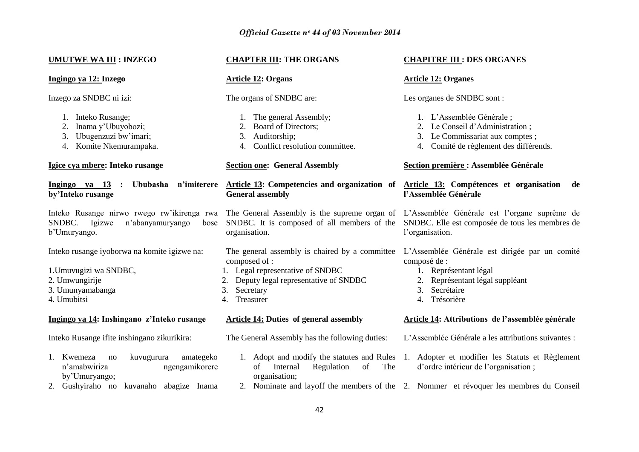# **UMUTWE WA III : INZEGO**

**Ingingo ya 12: Inzego**

Inzego za SNDBC ni izi:

- 1. Inteko Rusange;
- 2. Inama y"Ubuyobozi;
- 3. Ubugenzuzi bw"imari;
- 4. Komite Nkemurampaka.

# **Igice cya mbere: Inteko rusange**

# **Ingingo ya 13 : Ububasha n'imiterere by'Inteko rusange**

SNDBC. Igizwe n'abanyamuryango b"Umuryango.

Inteko rusange iyoborwa na komite igizwe na:

- 1.Umuvugizi wa SNDBC,
- 2. Umwungirije
- 3. Umunyamabanga
- 4. Umubitsi

# **Ingingo ya 14: Inshingano z'Inteko rusange**

Inteko Rusange ifite inshingano zikurikira:

- 1. Kwemeza no kuvugurura amategeko n"amabwiriza ngengamikorere by"Umuryango;
- 2. Gushyiraho no kuvanaho abagize Inama

# **CHAPTER III: THE ORGANS**

# **Article 12: Organs**

The organs of SNDBC are:

- 1. The general Assembly;
- 2. Board of Directors;
- 3. Auditorship;
- 4. Conflict resolution committee.

# **Section one: General Assembly**

# **General assembly**

organisation.

composed of :

- 1. Legal representative of SNDBC
- 2. Deputy legal representative of SNDBC
- 3. Secretary
- 4. Treasurer

# **Article 14: Duties of general assembly**

The General Assembly has the following duties:

- of Internal Regulation of The organisation;
- 2. Nominate and layoff the members of the 2. Nommer et révoquer les membres du Conseil

# **CHAPITRE III : DES ORGANES**

# **Article 12: Organes**

Les organes de SNDBC sont :

- 1. L"Assemblée Générale ;
- 2. Le Conseil d"Administration ;
- 3. Le Commissariat aux comptes ;
- 4. Comité de règlement des différends.

# **Section première : Assemblée Générale**

# **Article 13: Competencies and organization of Article 13: Compétences et organisation de l'Assemblée Générale**

Inteko Rusange nirwo rwego rw'ikirenga rwa The General Assembly is the supreme organ of L'Assemblée Générale est l'organe suprême de SNDBC. It is composed of all members of the SNDBC. Elle est composée de tous les membres de l'organisation.

> The general assembly is chaired by a committee L"Assemblée Générale est dirigée par un comité composé de :

- 1. Représentant légal
- 2. Représentant légal suppléant
- 3. Secrétaire
- 4. Trésorière

# **Article 14: Attributions de l'assemblée générale**

- L"Assemblée Générale a les attributions suivantes :
- 1. Adopt and modify the statutes and Rules 1. Adopter et modifier les Statuts et Règlement d"ordre intérieur de l"organisation ;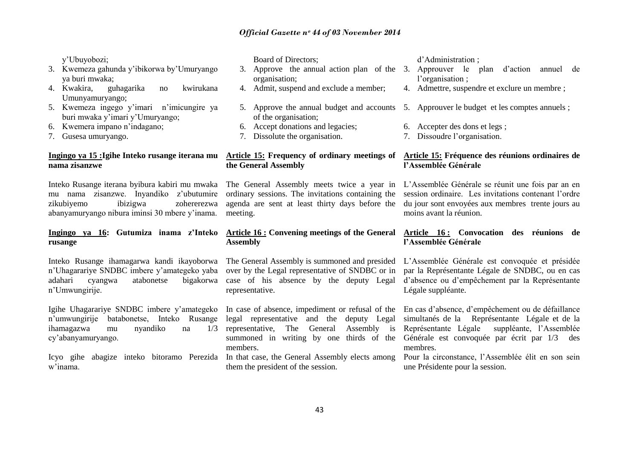y"Ubuyobozi;

- 3. Kwemeza gahunda y"ibikorwa by"Umuryango ya buri mwaka;
- 4. Kwakira, guhagarika no kwirukana Umunyamuryango;
- 5. Kwemeza ingego y"imari n"imicungire ya buri mwaka y"imari y"Umuryango;
- 6. Kwemera impano n"indagano;
- 7. Gusesa umuryango.

# **nama zisanzwe**

Inteko Rusange iterana byibura kabiri mu mwaka mu nama zisanzwe. Inyandiko z"ubutumire zikubiyemo ibizigwa zohererezwa abanyamuryango nibura iminsi 30 mbere y"inama.

# **Ingingo ya 16: Gutumiza inama z'Inteko rusange**

n"Uhagarariye SNDBC imbere y"amategeko yaba adahari cyangwa atabonetse bigakorwa n"Umwungirije.

Igihe Uhagarariye SNDBC imbere y"amategeko n"umwungirije batabonetse, Inteko Rusange ihamagazwa mu nyandiko na 1/3 cy"abanyamuryango.

w"inama.

| Board of Directors;                     | d'Administration;                                                                        |
|-----------------------------------------|------------------------------------------------------------------------------------------|
|                                         | 3. Approve the annual action plan of the 3. Approuver le plan d'action annuel de         |
| organisation;                           | l'organisation;                                                                          |
| 4. Admit, suspend and exclude a member; | 4. Admettre, suspendre et exclure un membre;                                             |
|                                         |                                                                                          |
|                                         | 5. Approve the annual budget and accounts 5. Approuver le budget et les comptes annuels; |
| of the organisation;                    |                                                                                          |
| 6. Accept donations and legacies;       | 6. Accepter des dons et legs;                                                            |
| 7. Dissolute the organisation.          | 7. Dissoudre l'organisation.                                                             |
|                                         |                                                                                          |

# **Ingingo ya 15 :Igihe Inteko rusange iterana mu Article 15: Frequency of ordinary meetings of Article 15: Fréquence des réunions ordinaires de the General Assembly**

meeting.

# **Assembly**

over by the Legal representative of SNDBC or in case of his absence by the deputy Legal representative.

members.

them the president of the session.

# **l'Assemblée Générale**

The General Assembly meets twice a year in L"Assemblée Générale se réunit une fois par an en ordinary sessions. The invitations containing the session ordinaire. Les invitations contenant l'ordre agenda are sent at least thirty days before the du jour sont envoyées aux membres trente jours au moins avant la réunion.

# **Article 16 : Convening meetings of the General Article 16 : Convocation des réunions de l'Assemblée Générale**

Inteko Rusange ihamagarwa kandi ikayoborwa The General Assembly is summoned and presided L'Assemblée Générale est convoquée et présidée par la Représentante Légale de SNDBC, ou en cas d"absence ou d"empêchement par la Représentante Légale suppléante.

> In case of absence, impediment or refusal of the En cas d'absence, d'empêchement ou de défaillance legal representative and the deputy Legal simultanés de la Représentante Légale et de la representative, The General Assembly is Représentante Légale suppléante, l"Assemblée summoned in writing by one thirds of the Générale est convoquée par écrit par 1/3 des membres.

Icyo gihe abagize inteko bitoramo Perezida In that case, the General Assembly elects among Pour la circonstance, l"Assemblée élit en son sein une Présidente pour la session.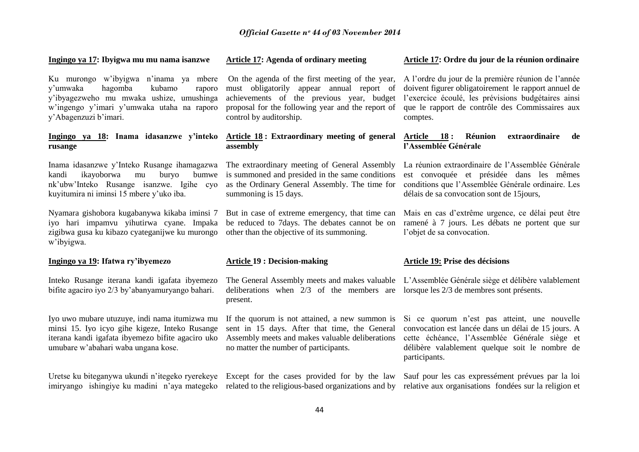# **Ingingo ya 17: Ibyigwa mu mu nama isanzwe**

Ku murongo w"ibyigwa n"inama ya mbere y"umwaka hagomba kubamo raporo y"ibyagezweho mu mwaka ushize, umushinga w"ingengo y"imari y"umwaka utaha na raporo y"Abagenzuzi b"imari.

# **Ingingo ya 18: Inama idasanzwe y'inteko rusange**

Inama idasanzwe y'Inteko Rusange ihamagazwa The extraordinary meeting of General Assembly La réunion extraordinaire de l'Assemblée Générale kandi ikayoborwa mu buryo nk"ubw"Inteko Rusange isanzwe. Igihe cyo kuyitumira ni iminsi 15 mbere y"uko iba.

Nyamara gishobora kugabanywa kikaba iminsi 7 iyo hari impamvu yihutirwa cyane. Impaka zigibwa gusa ku kibazo cyateganijwe ku murongo w"ibyigwa.

# **Ingingo ya 19: Ifatwa ry'ibyemezo**

Inteko Rusange iterana kandi igafata ibyemezo bifite agaciro iyo 2/3 by"abanyamuryango bahari.

Iyo uwo mubare utuzuye, indi nama itumizwa mu minsi 15. Iyo icyo gihe kigeze, Inteko Rusange iterana kandi igafata ibyemezo bifite agaciro uko umubare w"abahari waba ungana kose.

Uretse ku biteganywa ukundi n"itegeko ryerekeye Except for the cases provided for by the law Sauf pour les cas expressément prévues par la loi

# **Article 17: Agenda of ordinary meeting**

control by auditorship.

# **Article 18 : Extraordinary meeting of general assembly**

bumwe is summoned and presided in the same conditions as the Ordinary General Assembly. The time for summoning is 15 days.

> But in case of extreme emergency, that time can be reduced to 7days. The debates cannot be on other than the objective of its summoning.

# **Article 19 : Decision-making**

The General Assembly meets and makes valuable L"Assemblée Générale siège et délibère valablement deliberations when 2/3 of the members are lorsque les 2/3 de membres sont présents. present.

If the quorum is not attained, a new summon is sent in 15 days. After that time, the General no matter the number of participants.

# **Article 17: Ordre du jour de la réunion ordinaire**

On the agenda of the first meeting of the year, A l'ordre du jour de la première réunion de l'année must obligatorily appear annual report of doivent figurer obligatoirement le rapport annuel de achievements of the previous year, budget l'exercice écoulé, les prévisions budgétaires ainsi proposal for the following year and the report of que le rapport de contrôle des Commissaires aux comptes.

# **Article 18 : Réunion extraordinaire de l'Assemblée Générale**

est convoquée et présidée dans les mêmes conditions que l"Assemblée Générale ordinaire. Les délais de sa convocation sont de 15jours,

Mais en cas d"extrême urgence, ce délai peut être ramené à 7 jours. Les débats ne portent que sur l'objet de sa convocation.

# **Article 19: Prise des décisions**

Assembly meets and makes valuable deliberations cette échéance, l"Assemblée Générale siège et Si ce quorum n'est pas atteint, une nouvelle convocation est lancée dans un délai de 15 jours. A délibère valablement quelque soit le nombre de participants.

imiryango ishingiye ku madini n'aya mategeko related to the religious-based organizations and by relative aux organisations fondées sur la religion et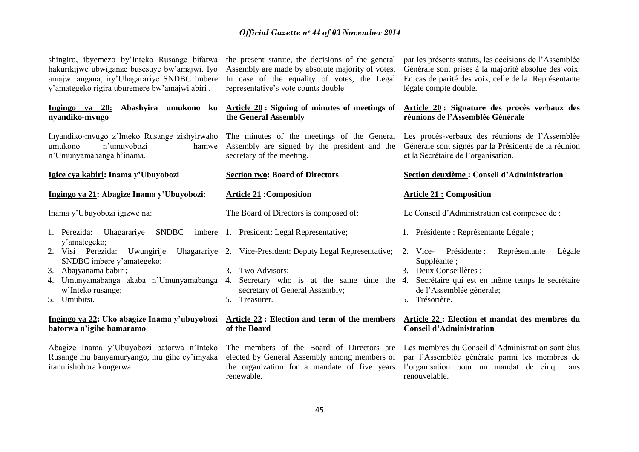| shingiro, ibyemezo by'Inteko Rusange bifatwa<br>hakurikijwe ubwiganze busesuye bw'amajwi. Iyo<br>amajwi angana, iry'Uhagarariye SNDBC imbere<br>y'amategeko rigira uburemere bw'amajwi abiri. | the present statute, the decisions of the general<br>Assembly are made by absolute majority of votes.<br>In case of the equality of votes, the Legal<br>representative's vote counts double. | par les présents statuts, les décisions de l'Assemblée<br>Générale sont prises à la majorité absolue des voix.<br>En cas de parité des voix, celle de la Représentante<br>légale compte double.                           |  |
|-----------------------------------------------------------------------------------------------------------------------------------------------------------------------------------------------|----------------------------------------------------------------------------------------------------------------------------------------------------------------------------------------------|---------------------------------------------------------------------------------------------------------------------------------------------------------------------------------------------------------------------------|--|
| Ingingo ya 20:<br>nyandiko-mvugo                                                                                                                                                              | Abashyira umukono ku Article 20: Signing of minutes of meetings of<br>the General Assembly                                                                                                   | Article 20: Signature des procès verbaux des<br>réunions de l'Assemblée Générale                                                                                                                                          |  |
| umukono<br>n'umuyobozi<br>hamwe<br>n'Umunyamabanga b'inama.                                                                                                                                   | Inyandiko-mvugo z'Inteko Rusange zishyirwaho The minutes of the meetings of the General<br>Assembly are signed by the president and the<br>secretary of the meeting.                         | Les procès-verbaux des réunions de l'Assemblée<br>Générale sont signés par la Présidente de la réunion<br>et la Secrétaire de l'organisation.                                                                             |  |
| Igice cya kabiri: Inama y'Ubuyobozi                                                                                                                                                           | <b>Section two: Board of Directors</b>                                                                                                                                                       | Section deuxième : Conseil d'Administration                                                                                                                                                                               |  |
| Ingingo ya 21: Abagize Inama y'Ubuyobozi:                                                                                                                                                     | <b>Article 21: Composition</b>                                                                                                                                                               | <b>Article 21 : Composition</b>                                                                                                                                                                                           |  |
| Inama y'Ubuyobozi igizwe na:                                                                                                                                                                  | The Board of Directors is composed of:                                                                                                                                                       | Le Conseil d'Administration est composée de :                                                                                                                                                                             |  |
| SNDBC<br>1. Perezida: Uhagarariye<br>y'amategeko;                                                                                                                                             | imbere 1. President: Legal Representative;                                                                                                                                                   | 1. Présidente : Représentante Légale;                                                                                                                                                                                     |  |
| 2. Visi Perezida:<br>Uwungirije<br>SNDBC imbere y'amategeko;<br>Abajyanama babiri;<br>3.<br>Umunyamabanga akaba n'Umunyamabanga 4.<br>4.<br>w'Inteko rusange;<br>5. Umubitsi.                 | Uhagarariye 2. Vice-President: Deputy Legal Representative; 2. Vice-<br>3. Two Advisors;<br>secretary of General Assembly;<br>5. Treasurer.                                                  | Présidente :<br>Représentante<br>Légale<br>Suppléante;<br>3. Deux Conseillères ;<br>Secretary who is at the same time the 4. Secretaire qui est en même temps le secretaire<br>de l'Assemblée générale;<br>5. Trésorière. |  |
| batorwa n'igihe bamaramo                                                                                                                                                                      | Ingingo ya 22: Uko abagize Inama y'ubuyobozi Article 22: Election and term of the members<br>of the Board                                                                                    | Article 22 : Election et mandat des membres du<br><b>Conseil d'Administration</b>                                                                                                                                         |  |

Rusange mu banyamuryango, mu gihe cy"imyaka itanu ishobora kongerwa.

renewable.

# Abagize Inama y"Ubuyobozi batorwa n"Inteko The members of the Board of Directors are Les membres du Conseil d"Administration sont élus elected by General Assembly among members of par l"Assemblée générale parmi les membres de the organization for a mandate of five years l"organisation pour un mandat de cinq ans renouvelable.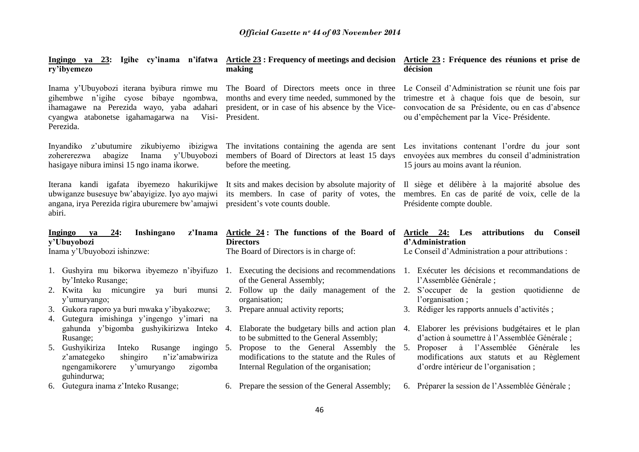| ry'ibyemezo                                                                                                                                                             | Ingingo ya 23: Igihe cy'inama n'ifatwa Article 23: Frequency of meetings and decision Article 23: Fréquence des réunions et prise de<br>making                                                            | décision                                                                                                                                                                                             |
|-------------------------------------------------------------------------------------------------------------------------------------------------------------------------|-----------------------------------------------------------------------------------------------------------------------------------------------------------------------------------------------------------|------------------------------------------------------------------------------------------------------------------------------------------------------------------------------------------------------|
| gihembwe n'igihe cyose bibaye ngombwa,<br>ihamagawe na Perezida wayo, yaba adahari<br>cyangwa atabonetse igahamagarwa na<br>Visi-<br>Perezida.                          | Inama y'Ubuyobozi iterana byibura rimwe mu The Board of Directors meets once in three<br>months and every time needed, summoned by the<br>president, or in case of his absence by the Vice-<br>President. | Le Conseil d'Administration se réunit une fois par<br>trimestre et à chaque fois que de besoin, sur<br>convocation de sa Présidente, ou en cas d'absence<br>ou d'empêchement par la Vice-Présidente. |
| Inyandiko z'ubutumire zikubiyemo ibizigwa<br>abagize<br>y'Ubuyobozi<br>zohererezwa<br>Inama<br>hasigaye nibura iminsi 15 ngo inama ikorwe.                              | The invitations containing the agenda are sent<br>members of Board of Directors at least 15 days<br>before the meeting.                                                                                   | Les invitations contenant l'ordre du jour sont<br>envoyées aux membres du conseil d'administration<br>15 jours au moins avant la réunion.                                                            |
| Iterana kandi igafata ibyemezo hakurikijwe<br>ubwiganze busesuye bw'abayigize. Iyo ayo majwi<br>angana, irya Perezida rigira uburemere bw'amajwi<br>abiri.              | It sits and makes decision by absolute majority of<br>its members. In case of parity of votes, the<br>president's vote counts double.                                                                     | Il siège et délibère à la majorité absolue des<br>membres. En cas de parité de voix, celle de la<br>Présidente compte double.                                                                        |
| Ingingo<br>24:<br>Inshingano<br>z'Inama<br>ya                                                                                                                           | Article 24: The functions of the Board of                                                                                                                                                                 | Article 24: Les<br>attributions<br><b>Conseil</b><br>du                                                                                                                                              |
|                                                                                                                                                                         |                                                                                                                                                                                                           |                                                                                                                                                                                                      |
| y'Ubuyobozi                                                                                                                                                             | <b>Directors</b>                                                                                                                                                                                          | d'Administration                                                                                                                                                                                     |
| Inama y'Ubuyobozi ishinzwe:                                                                                                                                             | The Board of Directors is in charge of:                                                                                                                                                                   | Le Conseil d'Administration a pour attributions :                                                                                                                                                    |
|                                                                                                                                                                         |                                                                                                                                                                                                           | 1. Gushyira mu bikorwa ibyemezo n'ibyifuzo 1. Executing the decisions and recommendations 1. Exécuter les décisions et recommandations de                                                            |
| by'Inteko Rusange;                                                                                                                                                      | of the General Assembly;                                                                                                                                                                                  | l'Assemblée Générale ;                                                                                                                                                                               |
|                                                                                                                                                                         | 2. Kwita ku micungire ya buri munsi 2. Follow up the daily management of the                                                                                                                              | 2. S'occuper de la gestion quotidienne de<br>l'organisation;                                                                                                                                         |
| y'umuryango;<br>3. Gukora raporo ya buri mwaka y'ibyakozwe;                                                                                                             | organisation;<br>3. Prepare annual activity reports;                                                                                                                                                      | 3. Rédiger les rapports annuels d'activités ;                                                                                                                                                        |
| 4. Gutegura imishinga y'ingengo y'imari na                                                                                                                              |                                                                                                                                                                                                           |                                                                                                                                                                                                      |
| gahunda y'bigomba gushyikirizwa Inteko                                                                                                                                  | 4. Elaborate the budgetary bills and action plan                                                                                                                                                          | 4. Elaborer les prévisions budgétaires et le plan                                                                                                                                                    |
| Rusange;<br>5. Gushyikiriza<br>Inteko<br>ingingo 5.<br>Rusange<br>n'iz'amabwiriza<br>z'amategeko<br>shingiro<br>ngengamikorere<br>y'umuryango<br>zigomba<br>guhindurwa; | to be submitted to the General Assembly;<br>Propose to the General Assembly the<br>modifications to the statute and the Rules of<br>Internal Regulation of the organisation;                              | d'action à soumettre à l'Assemblée Générale ;<br>Proposer à l'Assemblée<br>Générale<br>5.<br>les<br>modifications aux statuts et au Règlement<br>d'ordre intérieur de l'organisation;                |
| 6. Gutegura inama z'Inteko Rusange;                                                                                                                                     | 6. Prepare the session of the General Assembly;                                                                                                                                                           | 6. Préparer la session de l'Assemblée Générale ;                                                                                                                                                     |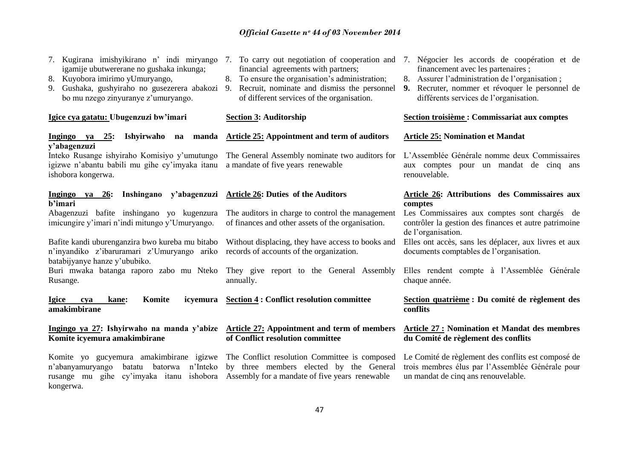- 7. Kugirana imishyikirano n" indi miryango 7. To carry out negotiation of cooperation and 7. Négocier les accords de coopération et de igamije ubutwererane no gushaka inkunga;
- 8. Kuyobora imirimo yUmuryango,
- bo mu nzego zinyuranye z'umuryango.

**Igice cya gatatu: Ubugenzuzi bw'imari**

# **Ingingo ya 25: Ishyirwaho na manda y'abagenzuzi**

Inteko Rusange ishyiraho Komisiyo y"umutungo igizwe n"abantu babili mu gihe cy"imyaka itanu ishobora kongerwa.

# **Ingingo ya 26: Inshingano y'abagenzuzi b'imari** Abagenzuzi bafite inshingano yo kugenzura

imicungire y"imari n"indi mitungo y"Umuryango.

Bafite kandi uburenganzira bwo kureba mu bitabo n"inyandiko z"ibaruramari z"Umuryango ariko batabijyanye hanze y"ububiko.

Rusange.

**Igice cya kane: Komite icyemura amakimbirane**

**Komite icyemura amakimbirane**

Komite yo gucyemura amakimbirane igizwe The Conflict resolution Committee is composed n'abanyamuryango batatu batorwa n'Inteko by three members elected by the General rusange mu gihe cy"imyaka itanu ishobora Assembly for a mandate of five years renewable kongerwa.

- financial agreements with partners;
- 8. To ensure the organisation's administration;
- 9. Gushaka, gushyiraho no gusezerera abakozi 9. Recruit, nominate and dismiss the personnel of different services of the organisation.

#### **Section 3: Auditorship**

# **Article 25: Appointment and term of auditors**

The General Assembly nominate two auditors for L"Assemblée Générale nomme deux Commissaires a mandate of five years renewable

# **Article 26: Duties of the Auditors**

The auditors in charge to control the management of finances and other assets of the organisation.

records of accounts of the organization.

Buri mwaka batanga raporo zabo mu Nteko They give report to the General Assembly annually.

**Section 4 : Conflict resolution committee**

**Ingingo ya 27: Ishyirwaho na manda y'abize Article 27: Appointment and term of members of Conflict resolution committee**

- financement avec les partenaires ;
- 8. Assurer l"administration de l"organisation ;
- **9.** Recruter, nommer et révoquer le personnel de différents services de l'organisation.

# **Section troisième : Commissariat aux comptes**

## **Article 25: Nomination et Mandat**

aux comptes pour un mandat de cinq ans renouvelable.

# **Article 26: Attributions des Commissaires aux comptes**

Les Commissaires aux comptes sont chargés de contrôler la gestion des finances et autre patrimoine de l'organisation.

Without displacing, they have access to books and Elles ont accès, sans les déplacer, aux livres et aux documents comptables de l"organisation.

> Elles rendent compte à l"Assemblée Générale chaque année.

# **Section quatrième : Du comité de règlement des conflits**

# **Article 27 : Nomination et Mandat des membres du Comité de règlement des conflits**

Le Comité de règlement des conflits est composé de trois membres élus par l"Assemblée Générale pour un mandat de cinq ans renouvelable.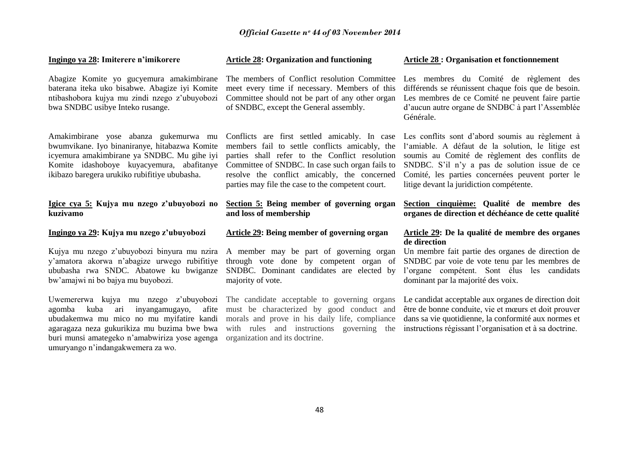# **Ingingo ya 28: Imiterere n'imikorere**

Abagize Komite yo gucyemura amakimbirane baterana iteka uko bisabwe. Abagize iyi Komite ntibashobora kujya mu zindi nzego z"ubuyobozi bwa SNDBC usibye Inteko rusange.

Amakimbirane yose abanza gukemurwa mu bwumvikane. Iyo binaniranye, hitabazwa Komite icyemura amakimbirane ya SNDBC. Mu gihe iyi Komite idashoboye kuyacyemura, abafitanye ikibazo baregera urukiko rubifitiye ububasha.

# **Igice cya 5: Kujya mu nzego z'ubuyobozi no kuzivamo**

# **Ingingo ya 29: Kujya mu nzego z'ubuyobozi**

y"amatora akorwa n"abagize urwego rubifitiye bw"amajwi ni bo bajya mu buyobozi.

Uwemererwa kujya mu nzego z"ubuyobozi agomba kuba ari inyangamugayo, afite agaragaza neza gukurikiza mu buzima bwe bwa buri munsi amategeko n"amabwiriza yose agenga organization and its doctrine. umuryango n"indangakwemera za wo.

# **Article 28: Organization and functioning**

meet every time if necessary. Members of this of SNDBC, except the General assembly.

Conflicts are first settled amicably. In case members fail to settle conflicts amicably, the Committee of SNDBC. In case such organ fails to resolve the conflict amicably, the concerned parties may file the case to the competent court.

# **Section 5: Being member of governing organ and loss of membership**

# **Article 29: Being member of governing organ**

through vote done by competent organ of majority of vote.

must be characterized by good conduct and

# **Article 28 : Organisation et fonctionnement**

The members of Conflict resolution Committee Les membres du Comité de règlement des Committee should not be part of any other organ Les membres de ce Comité ne peuvent faire partie différends se réunissent chaque fois que de besoin. d"aucun autre organe de SNDBC à part l"Assemblée Générale.

parties shall refer to the Conflict resolution soumis au Comité de règlement des conflits de Les conflits sont d"abord soumis au règlement à l"amiable. A défaut de la solution, le litige est SNDBC. S"il n"y a pas de solution issue de ce Comité, les parties concernées peuvent porter le litige devant la juridiction compétente.

> **Section cinquième: Qualité de membre des organes de direction et déchéance de cette qualité**

# **Article 29: De la qualité de membre des organes de direction**

Kujya mu nzego z'ubuyobozi binyura mu nzira A member may be part of governing organ Un membre fait partie des organes de direction de ububasha rwa SNDC. Abatowe ku bwiganze SNDBC. Dominant candidates are elected by l'organe compétent. Sont élus les candidats SNDBC par voie de vote tenu par les membres de dominant par la majorité des voix.

ubudakemwa mu mico no mu myifatire kandi morals and prove in his daily life, compliance dans sa vie quotidienne, la conformité aux normes et The candidate acceptable to governing organs Le candidat acceptable aux organes de direction doit with rules and instructions governing the instructions régissant l'organisation et à sa doctrine. être de bonne conduite, vie et mœurs et doit prouver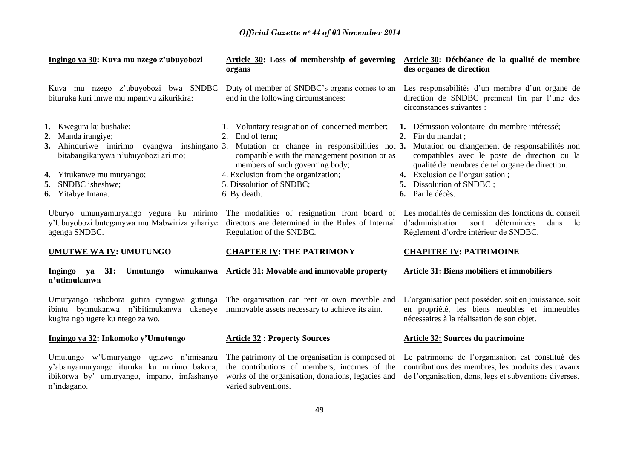| Ingingo ya 30: Kuva mu nzego z'ubuyobozi                                                                                                                                                                                                                                                                                    | Article 30: Loss of membership of governing<br>organs                                                                                                                                                                                                                                                                                                                        | Article 30: Déchéance de la qualité de membre<br>des organes de direction                                                                                                                                                                                                                                                                                                                                                                                                                                     |
|-----------------------------------------------------------------------------------------------------------------------------------------------------------------------------------------------------------------------------------------------------------------------------------------------------------------------------|------------------------------------------------------------------------------------------------------------------------------------------------------------------------------------------------------------------------------------------------------------------------------------------------------------------------------------------------------------------------------|---------------------------------------------------------------------------------------------------------------------------------------------------------------------------------------------------------------------------------------------------------------------------------------------------------------------------------------------------------------------------------------------------------------------------------------------------------------------------------------------------------------|
| Kuva mu nzego z'ubuyobozi bwa SNDBC<br>bituruka kuri imwe mu mpamvu zikurikira:                                                                                                                                                                                                                                             | Duty of member of SNDBC's organs comes to an<br>end in the following circumstances:                                                                                                                                                                                                                                                                                          | Les responsabilités d'un membre d'un organe de<br>direction de SNDBC prennent fin par l'une des<br>circonstances suivantes :                                                                                                                                                                                                                                                                                                                                                                                  |
| 1. Kwegura ku bushake;<br>Manda irangiye;<br>2.<br>3. Ahinduriwe imirimo cyangwa inshingano 3.<br>bitabangikanywa n'ubuyobozi ari mo;<br>4. Yirukanwe mu muryango;<br>SNDBC isheshwe;<br>5.<br>6. Yitabye Imana.<br>Uburyo umunyamuryango yegura ku mirimo<br>y'Ubuyobozi buteganywa mu Mabwiriza yihariye<br>agenga SNDBC. | 1. Voluntary resignation of concerned member;<br>End of term;<br>2.<br>Mutation or change in responsibilities not 3.<br>compatible with the management position or as<br>members of such governing body;<br>4. Exclusion from the organization;<br>5. Dissolution of SNDBC;<br>6. By death.<br>directors are determined in the Rules of Internal<br>Regulation of the SNDBC. | 1. Démission volontaire du membre intéressé;<br>2. Fin du mandat ;<br>Mutation ou changement de responsabilités non<br>compatibles avec le poste de direction ou la<br>qualité de membres de tel organe de direction.<br>4. Exclusion de l'organisation;<br>5. Dissolution of SNDBC;<br>6. Par le décès.<br>The modalities of resignation from board of Les modalités de démission des fonctions du conseil<br>d'administration<br>déterminées<br>sont<br>dans<br>le<br>Règlement d'ordre intérieur de SNDBC. |
| <b>UMUTWE WA IV: UMUTUNGO</b>                                                                                                                                                                                                                                                                                               | <b>CHAPTER IV: THE PATRIMONY</b>                                                                                                                                                                                                                                                                                                                                             | <b>CHAPITRE IV: PATRIMOINE</b>                                                                                                                                                                                                                                                                                                                                                                                                                                                                                |
| Ingingo ya 31:<br>Umutungo<br>n'utimukanwa                                                                                                                                                                                                                                                                                  | wimukanwa Article 31: Movable and immovable property                                                                                                                                                                                                                                                                                                                         | <b>Article 31: Biens mobiliers et immobiliers</b>                                                                                                                                                                                                                                                                                                                                                                                                                                                             |
| Umuryango ushobora gutira cyangwa gutunga<br>ibintu byimukanwa n'ibitimukanwa ukeneye<br>kugira ngo ugere ku ntego za wo.                                                                                                                                                                                                   | The organisation can rent or own movable and<br>immovable assets necessary to achieve its aim.                                                                                                                                                                                                                                                                               | L'organisation peut posséder, soit en jouissance, soit<br>en propriété, les biens meubles et immeubles<br>nécessaires à la réalisation de son objet.                                                                                                                                                                                                                                                                                                                                                          |
| Ingingo ya 32: Inkomoko y'Umutungo                                                                                                                                                                                                                                                                                          | <b>Article 32 : Property Sources</b>                                                                                                                                                                                                                                                                                                                                         | Article 32: Sources du patrimoine                                                                                                                                                                                                                                                                                                                                                                                                                                                                             |
| Umutungo w'Umuryango ugizwe n'imisanzu<br>y'abanyamuryango ituruka ku mirimo bakora,<br>ibikorwa by' umuryango, impano, imfashanyo<br>n'indagano.                                                                                                                                                                           | The patrimony of the organisation is composed of<br>the contributions of members, incomes of the<br>works of the organisation, donations, legacies and<br>varied subventions.                                                                                                                                                                                                | Le patrimoine de l'organisation est constitué des<br>contributions des membres, les produits des travaux<br>de l'organisation, dons, legs et subventions diverses.                                                                                                                                                                                                                                                                                                                                            |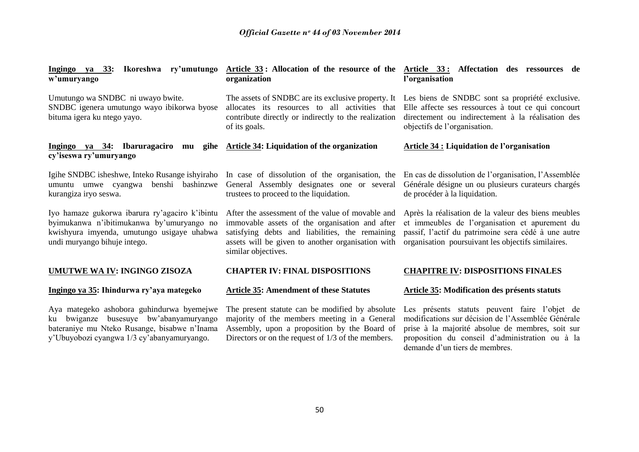| Ikoreshwa ry'umutungo<br>Ingingo ya 33:<br>w'umuryango                                                                                                                            | Article 33: Allocation of the resource of the<br>organization                                                                                                                                                                     | Article 33: Affectation des ressources de<br>l'organisation                                                                                                                                                                                  |  |
|-----------------------------------------------------------------------------------------------------------------------------------------------------------------------------------|-----------------------------------------------------------------------------------------------------------------------------------------------------------------------------------------------------------------------------------|----------------------------------------------------------------------------------------------------------------------------------------------------------------------------------------------------------------------------------------------|--|
| Umutungo wa SNDBC ni uwayo bwite.<br>SNDBC igenera umutungo wayo ibikorwa byose<br>bituma igera ku ntego yayo.                                                                    | The assets of SNDBC are its exclusive property. It<br>allocates its resources to all activities that<br>contribute directly or indirectly to the realization<br>of its goals.                                                     | Les biens de SNDBC sont sa propriété exclusive.<br>Elle affecte ses ressources à tout ce qui concourt<br>directement ou indirectement à la réalisation des<br>objectifs de l'organisation.                                                   |  |
| Ingingo ya 34: Ibaruragaciro mu<br>gihe<br>cy'iseswa ry'umuryango                                                                                                                 | Article 34: Liquidation of the organization                                                                                                                                                                                       | <b>Article 34 : Liquidation de l'organisation</b>                                                                                                                                                                                            |  |
| Igihe SNDBC isheshwe, Inteko Rusange ishyiraho<br>benshi bashinzwe<br>umuntu umwe cyangwa<br>kurangiza iryo seswa.                                                                | In case of dissolution of the organisation, the<br>General Assembly designates one or several<br>trustees to proceed to the liquidation.                                                                                          | En cas de dissolution de l'organisation, l'Assemblée<br>Générale désigne un ou plusieurs curateurs chargés<br>de procéder à la liquidation.                                                                                                  |  |
| Iyo hamaze gukorwa ibarura ry'agaciro k'ibintu<br>byimukanwa n'ibitimukanwa by'umuryango no<br>kwishyura imyenda, umutungo usigaye uhabwa<br>undi muryango bihuje intego.         | After the assessment of the value of movable and<br>immovable assets of the organisation and after<br>satisfying debts and liabilities, the remaining<br>assets will be given to another organisation with<br>similar objectives. | Après la réalisation de la valeur des biens meubles<br>et immeubles de l'organisation et apurement du<br>passif, l'actif du patrimoine sera cédé à une autre<br>organisation poursuivant les objectifs similaires.                           |  |
| <b>UMUTWE WA IV: INGINGO ZISOZA</b>                                                                                                                                               | <b>CHAPTER IV: FINAL DISPOSITIONS</b>                                                                                                                                                                                             | <b>CHAPITRE IV: DISPOSITIONS FINALES</b>                                                                                                                                                                                                     |  |
| Ingingo ya 35: Ihindurwa ry'aya mategeko                                                                                                                                          | <b>Article 35: Amendment of these Statutes</b>                                                                                                                                                                                    | Article 35: Modification des présents statuts                                                                                                                                                                                                |  |
| Aya mategeko ashobora guhindurwa byemejwe<br>ku bwiganze busesuye bw'abanyamuryango<br>bateraniye mu Nteko Rusange, bisabwe n'Inama<br>y'Ubuyobozi cyangwa 1/3 cy'abanyamuryango. | The present statute can be modified by absolute<br>majority of the members meeting in a General<br>Assembly, upon a proposition by the Board of<br>Directors or on the request of $1/3$ of the members.                           | Les présents statuts peuvent faire l'objet de<br>modifications sur décision de l'Assemblée Générale<br>prise à la majorité absolue de membres, soit sur<br>proposition du conseil d'administration ou à la<br>demande d'un tiers de membres. |  |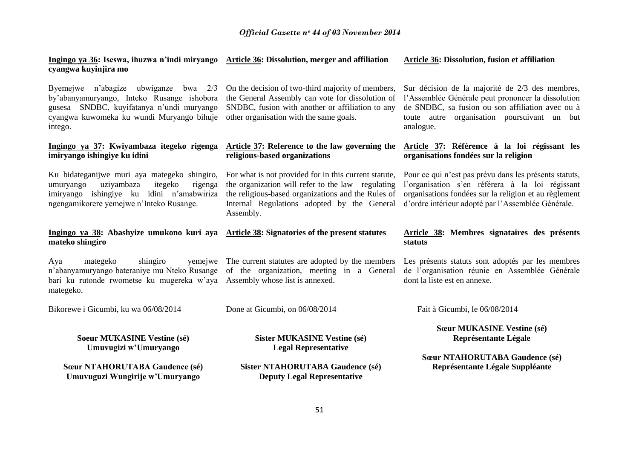|                      | Ingingo ya 36: Iseswa, ihuzwa n'indi miryango Article 36: Dissolution, merger and affiliation | Article 36: Dissolution, fusion et affiliation |
|----------------------|-----------------------------------------------------------------------------------------------|------------------------------------------------|
| cyangwa kuyinjira mo |                                                                                               |                                                |

Byemejwe n"abagize ubwiganze bwa 2/3 by"abanyamuryango, Inteko Rusange ishobora gusesa SNDBC, kuyifatanya n"undi muryango cyangwa kuwomeka ku wundi Muryango bihuje intego.

# **Ingingo ya 37: Kwiyambaza itegeko rigenga imiryango ishingiye ku idini**

umuryango uziyambaza itegeko rigenga imiryango ishingiye ku idini n"amabwiriza ngengamikorere yemejwe n"Inteko Rusange.

# **Ingingo ya 38: Abashyize umukono kuri aya Article 38: Signatories of the present statutes mateko shingiro**

Aya mategeko shingiro n"abanyamuryango bateraniye mu Nteko Rusange of the organization, meeting in a General bari ku rutonde rwometse ku mugereka w"aya Assembly whose list is annexed. mategeko.

Bikorewe i Gicumbi, ku wa 06/08/2014

**Soeur MUKASINE Vestine (sé) Umuvugizi w'Umuryango**

**Sœur NTAHORUTABA Gaudence (sé) Umuvuguzi Wungirije w'Umuryango**

On the decision of two-third majority of members, the General Assembly can vote for dissolution of SNDBC, fusion with another or affiliation to any other organisation with the same goals.

# **Article 37: Reference to the law governing the religious-based organizations**

Ku bidateganijwe muri aya mategeko shingiro, For what is not provided for in this current statute, the organization will refer to the law regulating the religious-based organizations and the Rules of Internal Regulations adopted by the General Assembly.

The current statutes are adopted by the members

Done at Gicumbi, on 06/08/2014

# **Sister MUKASINE Vestine (sé) Legal Representative**

**Sister NTAHORUTABA Gaudence (sé) Deputy Legal Representative**

# **Article 36: Dissolution, fusion et affiliation**

Sur décision de la majorité de 2/3 des membres, l"Assemblée Générale peut prononcer la dissolution de SNDBC, sa fusion ou son affiliation avec ou à toute autre organisation poursuivant un but analogue.

# **Article 37: Référence à la loi régissant les organisations fondées sur la religion**

Pour ce qui n"est pas prévu dans les présents statuts, l'organisation s'en référera à la loi régissant organisations fondées sur la religion et au règlement d"ordre intérieur adopté par l"Assemblée Générale.

# **Article 38: Membres signataires des présents statuts**

Les présents statuts sont adoptés par les membres de l"organisation réunie en Assemblée Générale dont la liste est en annexe.

Fait à Gicumbi, le 06/08/2014

**Sœur MUKASINE Vestine (sé) Représentante Légale**

**Sœur NTAHORUTABA Gaudence (sé) Représentante Légale Suppléante**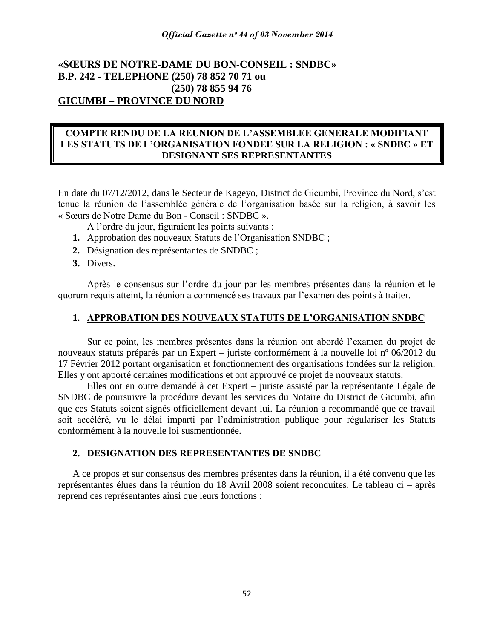# **«SŒURS DE NOTRE-DAME DU BON-CONSEIL : SNDBC» B.P. 242 - TELEPHONE (250) 78 852 70 71 ou (250) 78 855 94 76 GICUMBI - PROVINCE DU NORD**

# **COMPTE RENDU DE LA REUNION DE L'ASSEMBLEE GENERALE MODIFIANT LES STATUTS DE L'ORGANISATION FONDEE SUR LA RELIGION : « SNDBC » ET DESIGNANT SES REPRESENTANTES**

En date du 07/12/2012, dans le Secteur de Kageyo, District de Gicumbi, Province du Nord, s"est tenue la réunion de l"assemblée générale de l"organisation basée sur la religion, à savoir les « Sœurs de Notre Dame du Bon - Conseil : SNDBC ».

A l"ordre du jour, figuraient les points suivants :

- **1.** Approbation des nouveaux Statuts de l"Organisation SNDBC ;
- **2.** Désignation des représentantes de SNDBC ;
- **3.** Divers.

Après le consensus sur l"ordre du jour par les membres présentes dans la réunion et le quorum requis atteint, la réunion a commencé ses travaux par l"examen des points à traiter.

# **1. APPROBATION DES NOUVEAUX STATUTS DE L'ORGANISATION SNDBC**

Sur ce point, les membres présentes dans la réunion ont abordé l"examen du projet de nouveaux statuts préparés par un Expert – juriste conformément à la nouvelle loi n° 06/2012 du 17 Février 2012 portant organisation et fonctionnement des organisations fondées sur la religion. Elles y ont apporté certaines modifications et ont approuvé ce projet de nouveaux statuts.

Elles ont en outre demandé à cet Expert  $-$  juriste assisté par la représentante Légale de SNDBC de poursuivre la procédure devant les services du Notaire du District de Gicumbi, afin que ces Statuts soient signés officiellement devant lui. La réunion a recommandé que ce travail soit accéléré, vu le délai imparti par l"administration publique pour régulariser les Statuts conformément à la nouvelle loi susmentionnée.

# **2. DESIGNATION DES REPRESENTANTES DE SNDBC**

A ce propos et sur consensus des membres présentes dans la réunion, il a été convenu que les représentantes élues dans la réunion du 18 Avril 2008 soient reconduites. Le tableau ci – après reprend ces représentantes ainsi que leurs fonctions :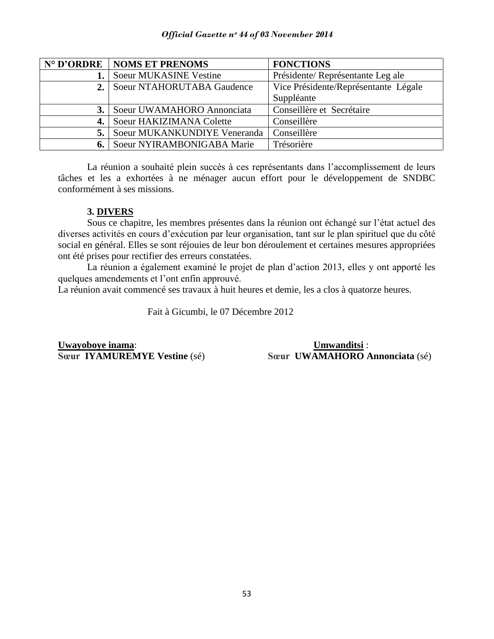|                               | N° D'ORDRE   NOMS ET PRENOMS  | <b>FONCTIONS</b>                     |
|-------------------------------|-------------------------------|--------------------------------------|
|                               | <b>Soeur MUKASINE Vestine</b> | Présidente/Représentante Leg ale     |
| 2. Soeur NTAHORUTABA Gaudence |                               | Vice Présidente/Représentante Légale |
|                               |                               | Suppléante                           |
|                               | Soeur UWAMAHORO Annonciata    | Conseillère et Secrétaire            |
|                               | Soeur HAKIZIMANA Colette      | Conseillère                          |
| 5. l                          | Soeur MUKANKUNDIYE Veneranda  | Conseillère                          |
|                               | Soeur NYIRAMBONIGABA Marie    | Trésorière                           |

La réunion a souhaité plein succès à ces représentants dans l"accomplissement de leurs tâches et les a exhortées à ne ménager aucun effort pour le développement de SNDBC conformément à ses missions.

# **3. DIVERS**

Sous ce chapitre, les membres présentes dans la réunion ont échangé sur l"état actuel des diverses activités en cours d"exécution par leur organisation, tant sur le plan spirituel que du côté social en général. Elles se sont réjouies de leur bon déroulement et certaines mesures appropriées ont été prises pour rectifier des erreurs constatées.

La réunion a également examiné le projet de plan d"action 2013, elles y ont apporté les quelques amendements et l"ont enfin approuvé.

La réunion avait commencé ses travaux à huit heures et demie, les a clos à quatorze heures.

Fait à Gicumbi, le 07 Décembre 2012

**Uwayoboye inama**: **Umwanditsi** :

**Sœur IYAMUREMYE Vestine** (sé) **Sœur UWAMAHORO Annonciata** (sé)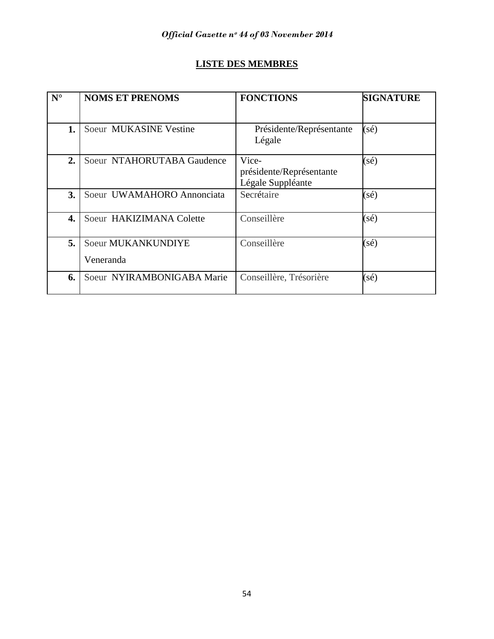# **LISTE DES MEMBRES**

| $N^{\circ}$ | <b>NOMS ET PRENOMS</b>          | <b>FONCTIONS</b>                                       | <b>SIGNATURE</b> |
|-------------|---------------------------------|--------------------------------------------------------|------------------|
|             |                                 |                                                        |                  |
| 1.          | Soeur MUKASINE Vestine          | Présidente/Représentante<br>Légale                     | $(s\acute{e})$   |
| 2.          | Soeur NTAHORUTABA Gaudence      | Vice-<br>présidente/Représentante<br>Légale Suppléante | $(s\acute{e})$   |
| 3.          | Soeur UWAMAHORO Annonciata      | Secrétaire                                             | $(s\acute{e})$   |
| 4.          | Soeur HAKIZIMANA Colette        | Conseillère                                            | (sé)             |
| 5.          | Soeur MUKANKUNDIYE<br>Veneranda | Conseillère                                            | (sé)             |
| 6.          | Soeur NYIRAMBONIGABA Marie      | Conseillère, Trésorière                                | (sé)             |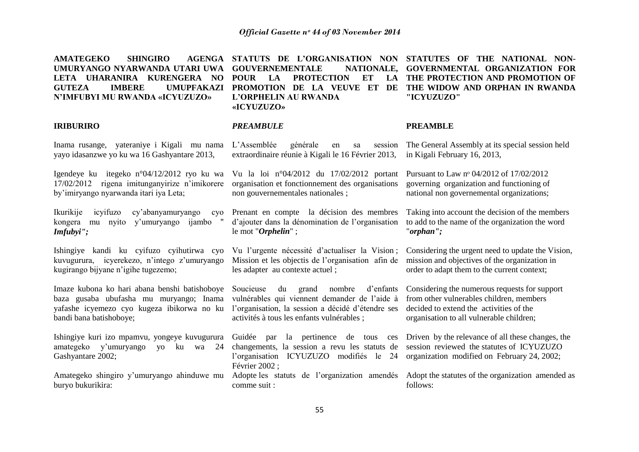| <b>AMATEGEKO</b><br><b>SHINGIRO</b><br><b>AGENGA</b><br>UMURYANGO NYARWANDA UTARI UWA<br>LETA UHARANIRA KURENGERA NO<br><b>GUTEZA</b><br><b>IMBERE</b><br><b>UMUPFAKAZI</b><br>N'IMFUBYI MU RWANDA «ICYUZUZO» | STATUTS DE L'ORGANISATION NON<br><b>GOUVERNEMENTALE</b><br>NATIONALE.<br><b>POUR</b><br>LA<br><b>PROTECTION</b><br><b>ET</b><br>LA<br>PROMOTION DE LA VEUVE<br>ET<br>DE<br>L'ORPHELIN AU RWANDA<br>«ICYUZUZO» | STATUTES OF THE NATIONAL NON-<br>GOVERNMENTAL ORGANIZATION FOR<br>THE PROTECTION AND PROMOTION OF<br>THE WIDOW AND ORPHAN IN RWANDA<br>"ICYUZUZO"                                |
|---------------------------------------------------------------------------------------------------------------------------------------------------------------------------------------------------------------|---------------------------------------------------------------------------------------------------------------------------------------------------------------------------------------------------------------|----------------------------------------------------------------------------------------------------------------------------------------------------------------------------------|
| <b>IRIBURIRO</b>                                                                                                                                                                                              | <b>PREAMBULE</b>                                                                                                                                                                                              | <b>PREAMBLE</b>                                                                                                                                                                  |
| Inama rusange, yateraniye i Kigali mu nama<br>yayo idasanzwe yo ku wa 16 Gashyantare 2013,                                                                                                                    | L'Assemblée<br>générale<br>session<br>sa<br>en<br>extraordinaire réunie à Kigali le 16 Février 2013,                                                                                                          | The General Assembly at its special session held<br>in Kigali February 16, 2013,                                                                                                 |
| Igendeye ku itegeko n°04/12/2012 ryo ku wa<br>17/02/2012 rigena imitunganyirize n'imikorere<br>by'imiryango nyarwanda itari iya Leta;                                                                         | Vu la loi nº04/2012 du 17/02/2012 portant<br>organisation et fonctionnement des organisations<br>non gouvernementales nationales;                                                                             | Pursuant to Law nº 04/2012 of 17/02/2012<br>governing organization and functioning of<br>national non governemental organizations;                                               |
| Ikurikije<br>icyifuzo<br>cy'abanyamuryango<br>cyo<br>kongera<br>mu nyito y'umuryango ijambo<br>Imfubyi'';                                                                                                     | Prenant en compte la décision des membres<br>d'ajouter dans la dénomination de l'organisation<br>le mot "Orphelin";                                                                                           | Taking into account the decision of the members<br>to add to the name of the organization the word<br>"orphan";                                                                  |
| Ishingiye kandi ku cyifuzo cyihutirwa cyo<br>kuvugurura, icyerekezo, n'intego z'umuryango<br>kugirango bijyane n'igihe tugezemo;                                                                              | Vu l'urgente nécessité d'actualiser la Vision;<br>Mission et les objectis de l'organisation afin de<br>les adapter au contexte actuel;                                                                        | Considering the urgent need to update the Vision,<br>mission and objectives of the organization in<br>order to adapt them to the current context;                                |
| Imaze kubona ko hari abana benshi batishoboye<br>baza gusaba ubufasha mu muryango; Inama<br>yafashe icyemezo cyo kugeza ibikorwa no ku<br>bandi bana batishoboye;                                             | Soucieuse<br>du grand nombre<br>d'enfants<br>vulnérables qui viennent demander de l'aide à<br>l'organisation, la session a décidé d'étendre ses<br>activités à tous les enfants vulnérables ;                 | Considering the numerous requests for support<br>from other vulnerables children, members<br>decided to extend the activities of the<br>organisation to all vulnerable children; |
| Ishingiye kuri izo mpamvu, yongeye kuvugurura<br>amategeko<br>y'umuryango<br>ku<br>24<br>$\gamma$ O<br>wa<br>Gashyantare 2002;                                                                                | la pertinence de tous<br>Guidée par<br>ces<br>changements, la session a revu les statuts de<br>l'organisation ICYUZUZO modifiés le 24<br>Février 2002 ;                                                       | Driven by the relevance of all these changes, the<br>session reviewed the statutes of ICYUZUZO<br>organization modified on February 24, 2002;                                    |
| Amategeko shingiro y'umuryango ahinduwe mu<br>buryo bukurikira:                                                                                                                                               | Adopte les statuts de l'organization amendés<br>comme suit :                                                                                                                                                  | Adopt the statutes of the organization amended as<br>follows:                                                                                                                    |
|                                                                                                                                                                                                               |                                                                                                                                                                                                               |                                                                                                                                                                                  |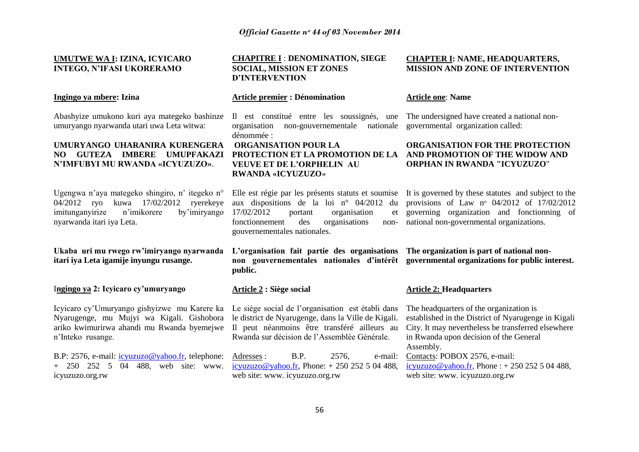# **UMUTWE WA I: IZINA, ICYICARO INTEGO, N'IFASI UKORERAMO**

#### **Ingingo ya mbere: Izina**

Abashyize umukono kuri aya mategeko bashinze umuryango nyarwanda utari uwa Leta witwa:

# **UMURYANGO UHARANIRA KURENGERA**  NO GUTEZA IMBERE UMUPFAKAZI PROTECTION ET LA PROMOTION DE LA AND PROMOTION OF THE WIDOW AND **N'IMFUBYI MU RWANDA «ICYUZUZO»**.

Ugengwa n'aya mategeko shingiro, n' itegeko n<sup>o</sup> 04/2012 ryo kuwa 17/02/2012 ryerekeye imitunganyirize n"imikorere by"imiryango nyarwanda itari iya Leta.

**Ukaba uri mu rwego rw'imiryango nyarwanda itari iya Leta igamije inyungu rusange.**

I**ngingo ya 2: Icyicaro cy'umuryango**

Icyicaro cy'Umuryango gishyizwe mu Karere ka Le siège social de l'organisation est établi dans Nyarugenge, mu Mujyi wa Kigali. Gishobora ariko kwimurirwa ahandi mu Rwanda byemejwe Il peut néanmoins être transféré ailleurs au n"Inteko rusange.

B.P: 2576, e-mail: [icyuzuzo@yahoo.fr,](mailto:icyuzuzo@yahoo.fr) telephone: + 250 252 5 04 488, web site: www. icyuzuzo.org.rw

# **CHAPITRE I** : **DENOMINATION, SIEGE SOCIAL, MISSION ET ZONES D'INTERVENTION**

#### **Article premier : Dénomination**

Il est constitué entre les soussignés, une The undersigned have created a national nonorganisation non-gouvernementale nationale governmental organization called: dénommée :

# **ORGANISATION POUR LA VEUVE ET DE L'ORPHELIN AU RWANDA «ICYUZUZO**»

 $17/02/2012$  portant organisation fonctionnement des organisations gouvernementales nationales.

**L'organisation fait partie des organisations The organization is part of national non**non gouvernementales nationales d'intérêt governmental organizations for public interest. **public.**

# **Article 2 : Siège social**

le district de Nyarugenge, dans la Ville de Kigali. Rwanda sur décision de l"Assemblée Générale.

Adresses : B.P. 2576, e-mail: [icyuzuzo@yahoo.fr,](mailto:icyuzuzo@yahoo.fr) Phone:  $+250252504488$ , web site: www. icyuzuzo.org.rw

# **CHAPTER I: NAME, HEADQUARTERS, MISSION AND ZONE OF INTERVENTION**

# **Article one**: **Name**

# **ORGANISATION FOR THE PROTECTION ORPHAN IN RWANDA "ICYUZUZO**"

Elle est régie par les présents statuts et soumise It is governed by these statutes and subject to the aux dispositions de la loi nº 04/2012 du provisions of Law nº 04/2012 of 17/02/2012 governing organization and fonctionning of non- national non-governmental organizations.

### **Article 2: Headquarters**

The headquarters of the organization is established in the District of Nyarugenge in Kigali City. It may nevertheless be transferred elsewhere in Rwanda upon decision of the General Assembly. Contacts: POBOX 2576, e-mail: [icyuzuzo@yahoo.fr,](mailto:icyuzuzo@yahoo.fr) Phone :  $+ 250 252 5 04 488$ , web site: www. icyuzuzo.org.rw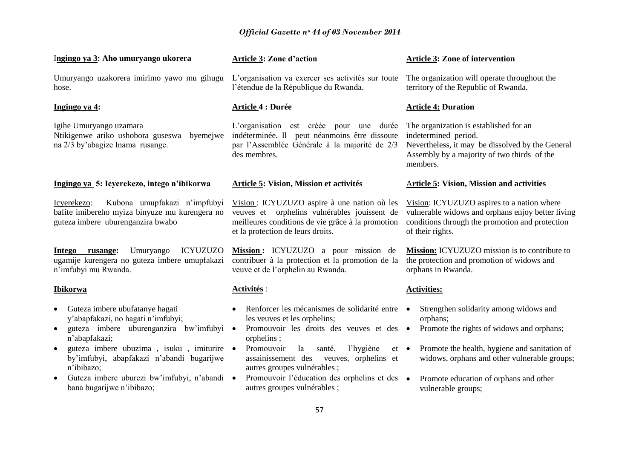| Ingingo ya 3: Aho umuryango ukorera                                                                                                                                                                                                                                                                                                                                         | <b>Article 3: Zone d'action</b>                                                                                                                                                                                                                                                                                                                                       | <b>Article 3: Zone of intervention</b>                                                                                                                                                                                                                           |
|-----------------------------------------------------------------------------------------------------------------------------------------------------------------------------------------------------------------------------------------------------------------------------------------------------------------------------------------------------------------------------|-----------------------------------------------------------------------------------------------------------------------------------------------------------------------------------------------------------------------------------------------------------------------------------------------------------------------------------------------------------------------|------------------------------------------------------------------------------------------------------------------------------------------------------------------------------------------------------------------------------------------------------------------|
| Umuryango uzakorera imirimo yawo mu gihugu<br>hose.                                                                                                                                                                                                                                                                                                                         | L'organisation va exercer ses activités sur toute<br>l'étendue de la République du Rwanda.                                                                                                                                                                                                                                                                            | The organization will operate throughout the<br>territory of the Republic of Rwanda.                                                                                                                                                                             |
| <u>Ingingo ya 4:</u>                                                                                                                                                                                                                                                                                                                                                        | <b>Article 4 : Durée</b>                                                                                                                                                                                                                                                                                                                                              | <b>Article 4: Duration</b>                                                                                                                                                                                                                                       |
| Igihe Umuryango uzamara<br>Ntikigenwe ariko ushobora guseswa<br>byemejwe<br>na 2/3 by'abagize Inama rusange.                                                                                                                                                                                                                                                                | L'organisation est créée pour une durée<br>indéterminée. Il peut néanmoins être dissoute<br>par l'Assemblée Générale à la majorité de 2/3<br>des membres.                                                                                                                                                                                                             | The organization is established for an<br>indetermined period.<br>Nevertheless, it may be dissolved by the General<br>Assembly by a majority of two thirds of the<br>members.                                                                                    |
| Ingingo ya 5: Icyerekezo, intego n'ibikorwa                                                                                                                                                                                                                                                                                                                                 | <b>Article 5: Vision, Mission et activités</b>                                                                                                                                                                                                                                                                                                                        | <b>Article 5: Vision, Mission and activities</b>                                                                                                                                                                                                                 |
| Kubona umupfakazi n'impfubyi<br>Icyerekezo:<br>bafite imibereho myiza binyuze mu kurengera no<br>guteza imbere uburenganzira bwabo                                                                                                                                                                                                                                          | Vision: ICYUZUZO aspire à une nation où les<br>veuves et orphelins vulnérables jouissent de<br>meilleures conditions de vie grâce à la promotion<br>et la protection de leurs droits.                                                                                                                                                                                 | Vision: ICYUZUZO aspires to a nation where<br>vulnerable widows and orphans enjoy better living<br>conditions through the promotion and protection<br>of their rights.                                                                                           |
| <b>ICYUZUZO</b><br>Intego<br>rusange:<br>Umuryango<br>ugamije kurengera no guteza imbere umupfakazi<br>n'imfubyi mu Rwanda.                                                                                                                                                                                                                                                 | Mission: ICYUZUZO a pour mission de<br>contribuer à la protection et la promotion de la<br>veuve et de l'orphelin au Rwanda.                                                                                                                                                                                                                                          | <b>Mission:</b> ICYUZUZO mission is to contribute to<br>the protection and promotion of widows and<br>orphans in Rwanda.                                                                                                                                         |
| <u>Ibikorwa</u>                                                                                                                                                                                                                                                                                                                                                             | Activités :                                                                                                                                                                                                                                                                                                                                                           | <b>Activities:</b>                                                                                                                                                                                                                                               |
| Guteza imbere ubufatanye hagati<br>$\bullet$<br>y'abapfakazi, no hagati n'imfubyi;<br>guteza imbere uburenganzira bw'imfubyi ·<br>$\bullet$<br>n'abapfakazi;<br>guteza imbere ubuzima, isuku, imiturire ·<br>$\bullet$<br>by'imfubyi, abapfakazi n'abandi bugarijwe<br>n'ibibazo;<br>Guteza imbere uburezi bw'imfubyi, n'abandi ·<br>$\bullet$<br>bana bugarijwe n'ibibazo; | Renforcer les mécanismes de solidarité entre •<br>les veuves et les orphelins;<br>Promouvoir les droits des veuves et des<br>orphelins;<br>Promouvoir<br>la<br>l'hygiène<br>santé,<br>$et \bullet$<br>assainissement des<br>veuves, orphelins et<br>autres groupes vulnérables;<br>Promouvoir l'éducation des orphelins et des ·<br>autres groupes vulnérables;<br>57 | Strengthen solidarity among widows and<br>orphans;<br>Promote the rights of widows and orphans;<br>Promote the health, hygiene and sanitation of<br>widows, orphans and other vulnerable groups;<br>Promote education of orphans and other<br>vulnerable groups; |
|                                                                                                                                                                                                                                                                                                                                                                             |                                                                                                                                                                                                                                                                                                                                                                       |                                                                                                                                                                                                                                                                  |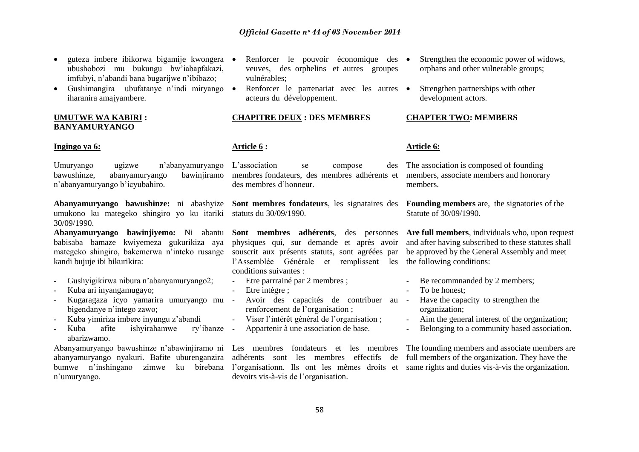- guteza imbere ibikorwa bigamije kwongera ubushobozi mu bukungu bw"iabapfakazi, imfubyi, n"abandi bana bugarijwe n"ibibazo;
- Gushimangira ubufatanye n'indi miryango  $\bullet$ iharanira amajyambere.

# **UMUTWE WA KABIRI : BANYAMURYANGO**

# **Ingingo ya 6:**

Umuryango ugizwe n"abanyamuryango L"association se compose des bawushinze, abanyamuryango n"abanyamuryango b"icyubahiro.

**Abanyamuryango bawushinze:** ni abashyize **Sont membres fondateurs**, les signataires des umukono ku mategeko shingiro yo ku itariki statuts du 30/09/1990. 30/09/1990.

**Abanyamuryango bawinjiyemo:** Ni abantu babisaba bamaze kwiyemeza gukurikiza aya mategeko shingiro, bakemerwa n"inteko rusange souscrit aux présents statuts, sont agréées par kandi bujuje ibi bikurikira:

- Gushyigikirwa nibura n"abanyamuryango2;
- Kuba ari inyangamugayo;
- Kugaragaza icyo yamarira umuryango mu bigendanye n"intego zawo;
- Kuba yimiriza imbere inyungu z"abandi
- Kuba afite ishyirahamwe ry"ibanze abarizwamo.

Abanyamuryango bawushinze n"abawinjiramo ni Les membres fondateurs et les membres The founding members and associate members are abanyamuryango nyakuri. Bafite uburenganzira bumwe n'inshingano zimwe ku birebana l'organisationn. Ils ont les mêmes droits et same rights and duties vis-à-vis the organization. n"umuryango.

- Renforcer le pouvoir économique des veuves, des orphelins et autres groupes vulnérables;
- Renforcer le partenariat avec les autres acteurs du développement.

# **CHAPITRE DEUX : DES MEMBRES**

# **Article 6 :**

membres fondateurs, des membres adhérents et members, associate members and honorary des membres d"honneur.

**Sont membres adhérents**, des personnes physiques qui, sur demande et après avoir l"Assemblée Générale et remplissent les the following conditions: conditions suivantes :

- Etre parrrainé par 2 membres :
- Etre intègre ;
- Avoir des capacités de contribuer au renforcement de l'organisation ;
- Viser l"intérêt général de l"organisation ;
- Appartenir à une association de base.

devoirs vis-à-vis de l"organisation.

- Strengthen the economic power of widows, orphans and other vulnerable groups;
- Strengthen partnerships with other development actors.

# **CHAPTER TWO: MEMBERS**

# **Article 6:**

The association is composed of founding members.

> **Founding members** are, the signatories of the Statute of 30/09/1990.

**Are full members**, individuals who, upon request and after having subscribed to these statutes shall be approved by the General Assembly and meet

- Be recommnanded by 2 members;
- To be honest:
- Have the capacity to strengthen the organization;
- Aim the general interest of the organization;
- Belonging to a community based association.

adhérents sont les membres effectifs de full members of the organization. They have the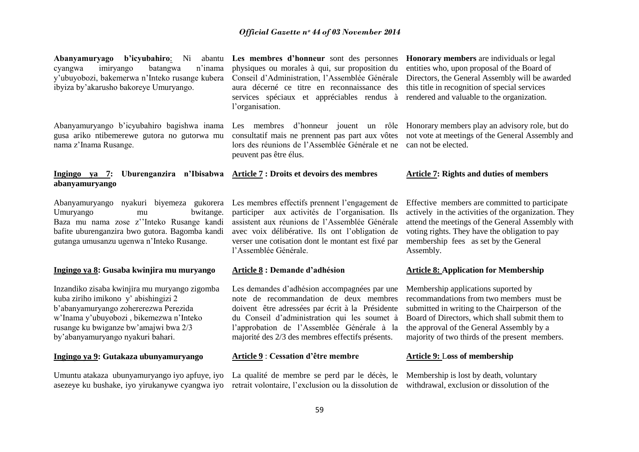**Abanyamuryago b'icyubahiro:** Ni cyangwa imiryango batangwa n"inama y"ubuyobozi, bakemerwa n"Inteko rusange kubera ibyiza by"akarusho bakoreye Umuryango.

Abanyamuryango b"icyubahiro bagishwa inama gusa ariko ntibemerewe gutora no gutorwa mu nama z"Inama Rusange.

# **Ingingo ya 7: Uburenganzira n'Ibisabwa Article 7 : Droits et devoirs des membres abanyamuryango**

Abanyamuryango nyakuri biyemeza gukorera Les membres effectifs prennent l'engagement de Umuryango mu bwitange. Baza mu nama zose z""Inteko Rusange kandi bafite uburenganzira bwo gutora. Bagomba kandi gutanga umusanzu ugenwa n"Inteko Rusange.

# **Ingingo ya 8: Gusaba kwinjira mu muryango**

Inzandiko zisaba kwinjira mu muryango zigomba kuba ziriho imikono y" abishingizi 2 b"abanyamuryango zohererezwa Perezida w"Inama y"ubuyobozi , bikemezwa n"Inteko rusange ku bwiganze bw"amajwi bwa 2/3 by"abanyamuryango nyakuri bahari.

# **Ingingo ya 9: Gutakaza ubunyamuryango**

Umuntu atakaza ubunyamuryango iyo apfuye, iyo La qualité de membre se perd par le décès, le asezeye ku bushake, iyo yirukanywe cyangwa iyo retrait volontaire, l'exclusion ou la dissolution de withdrawal, exclusion or dissolution of the

**Les membres d'honneur** sont des personnes physiques ou morales à qui, sur proposition du Conseil d"Administration, l"Assemblée Générale aura décerné ce titre en reconnaissance des services spéciaux et appréciables rendus à l'organisation.

> consultatif mais ne prennent pas part aux vôtes lors des réunions de l"Assemblée Générale et ne can not be elected. peuvent pas être élus.

**Honorary members** are individuals or legal entities who, upon proposal of the Board of Directors, the General Assembly will be awarded this title in recognition of special services rendered and valuable to the organization.

Les membres d"honneur jouent un rôle Honorary members play an advisory role, but do not vote at meetings of the General Assembly and

#### **Article 7: Rights and duties of members**

participer aux activités de l"organisation. Ils assistent aux réunions de l"Assemblée Générale avec voix délibérative. Ils ont l"obligation de verser une cotisation dont le montant est fixé par l"Assemblée Générale.

# **Article 8 : Demande d'adhésion**

Les demandes d'adhésion accompagnées par une note de recommandation de deux membres doivent être adressées par écrit à la Présidente du Conseil d"administration qui les soumet à l"approbation de l"Assemblée Générale à la majorité des 2/3 des membres effectifs présents.

# **Article 9** : **Cessation d'être membre**

Effective members are committed to participate actively in the activities of the organization. They attend the meetings of the General Assembly with voting rights. They have the obligation to pay membership fees as set by the General Assembly.

# **Article 8: Application for Membership**

Membership applications suported by recommandations from two members must be submitted in writing to the Chairperson of the Board of Directors, which shall submit them to the approval of the General Assembly by a majority of two thirds of the present members.

# **Article 9:** L**oss of membership**

Membership is lost by death, voluntary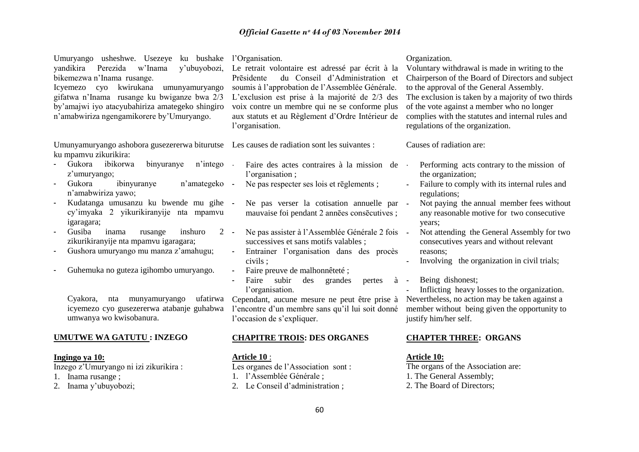| Umuryango usheshwe. Usezeye ku bushake<br>yandikira<br>Perezida<br>w'Inama<br>y'ubuyobozi,<br>bikemezwa n'Inama rusange.<br>kwirukana<br>Icyemezo<br>cyo<br>umunyamuryango<br>gifatwa n'Inama rusange ku bwiganze bwa 2/3<br>by'amajwi iyo atacyubahiriza amategeko shingiro<br>n'amabwiriza ngengamikorere by'Umuryango. | l'Organisation.<br>Le retrait volontaire est adressé par écrit à la<br>Prēsidente<br>du Conseil d'Administration et<br>soumis à l'approbation de l'Assemblée Générale.<br>L'exclusion est prise à la majorité de 2/3 des<br>voix contre un membre qui ne se conforme plus<br>aux statuts et au Règlement d'Ordre Intérieur de<br>l'organisation. | Organization.<br>Voluntary withdrawal is made in writing to the<br>Chairperson of the Board of Directors and subject<br>to the approval of the General Assembly.<br>The exclusion is taken by a majority of two thirds<br>of the vote against a member who no longer<br>complies with the statutes and internal rules and<br>regulations of the organization. |
|---------------------------------------------------------------------------------------------------------------------------------------------------------------------------------------------------------------------------------------------------------------------------------------------------------------------------|--------------------------------------------------------------------------------------------------------------------------------------------------------------------------------------------------------------------------------------------------------------------------------------------------------------------------------------------------|---------------------------------------------------------------------------------------------------------------------------------------------------------------------------------------------------------------------------------------------------------------------------------------------------------------------------------------------------------------|
| Umunyamuryango ashobora gusezererwa biturutse Les causes de radiation sont les suivantes :<br>ku mpamvu zikurikira:                                                                                                                                                                                                       |                                                                                                                                                                                                                                                                                                                                                  | Causes of radiation are:                                                                                                                                                                                                                                                                                                                                      |
| Gukora<br>ibikorwa<br>binyuranye<br>n'intego<br>z'umuryango;<br>Gukora<br>ibinyuranye<br>n'amategeko                                                                                                                                                                                                                      | Faire des actes contraires à la mission de<br>l'organisation;<br>Ne pas respecter ses lois et rēglements;<br>$\sim$                                                                                                                                                                                                                              | Performing acts contrary to the mission of<br>the organization;<br>Failure to comply with its internal rules and                                                                                                                                                                                                                                              |
| n'amabwiriza yawo;<br>Kudatanga umusanzu ku bwende mu gihe -<br>cy'imyaka 2 yikurikiranyije nta mpamvu<br>igaragara;                                                                                                                                                                                                      | Ne pas verser la cotisation annuelle par -<br>mauvaise foi pendant 2 annes consecutives;                                                                                                                                                                                                                                                         | regulations;<br>Not paying the annual member fees without<br>any reasonable motive for two consecutive<br>years;                                                                                                                                                                                                                                              |
| Gusiba<br>inama<br>inshuro<br>$2 -$<br>rusange<br>zikurikiranyije nta mpamvu igaragara;<br>Gushora umuryango mu manza z'amahugu;<br>$\overline{\phantom{a}}$                                                                                                                                                              | Ne pas assister à l'Assemblée Générale 2 fois -<br>successives et sans motifs valables;<br>Entrainer l'organisation dans des procès                                                                                                                                                                                                              | Not attending the General Assembly for two<br>consecutives years and without relevant<br>reasons;                                                                                                                                                                                                                                                             |
| Guhemuka no guteza igihombo umuryango.                                                                                                                                                                                                                                                                                    | civils;<br>Faire preuve de malhonnêteté;<br>Faire<br>subir<br>des<br>grandes<br>pertes<br>à<br>l'organisation.                                                                                                                                                                                                                                   | Involving the organization in civil trials;<br>Being dishonest;<br>$\sim$ $-$<br>Inflicting heavy losses to the organization.                                                                                                                                                                                                                                 |
| nta munyamuryango<br>ufatirwa<br>Cyakora,<br>icyemezo cyo gusezererwa atabanje guhabwa<br>umwanya wo kwisobanura.                                                                                                                                                                                                         | Cependant, aucune mesure ne peut être prise à<br>l'encontre d'un membre sans qu'il lui soit donné<br>l'occasion de s'expliquer.                                                                                                                                                                                                                  | Nevertheless, no action may be taken against a<br>member without being given the opportunity to<br>justify him/her self.                                                                                                                                                                                                                                      |
| <b>UMUTWE WA GATUTU: INZEGO</b>                                                                                                                                                                                                                                                                                           | <b>CHAPITRE TROIS: DES ORGANES</b>                                                                                                                                                                                                                                                                                                               | <b>CHAPTER THREE: ORGANS</b>                                                                                                                                                                                                                                                                                                                                  |
| Ingingo ya 10:<br>Inzego z'Umuryango ni izi zikurikira:<br>1. Inama rusange;<br>2. Inama y'ubuyobozi;                                                                                                                                                                                                                     | <u>Article 10 :</u><br>Les organes de l'Association sont :<br>1. l'Assemblée Générale;<br>2. Le Conseil d'administration;                                                                                                                                                                                                                        | <u>Article 10:</u><br>The organs of the Association are:<br>1. The General Assembly;<br>2. The Board of Directors;                                                                                                                                                                                                                                            |

60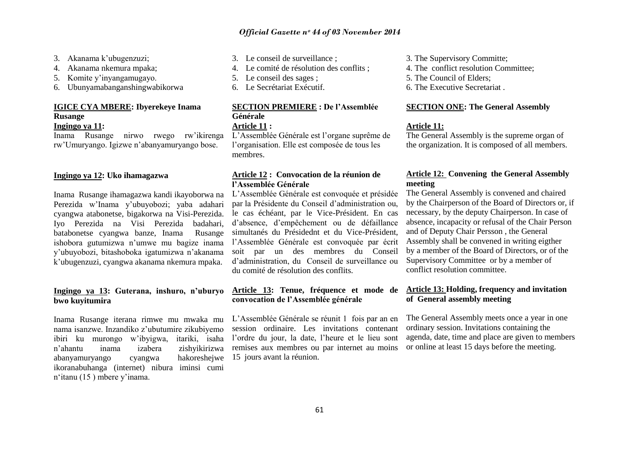- 3. Akanama k"ubugenzuzi;
- 4. Akanama nkemura mpaka;
- 5. Komite y"inyangamugayo.
- 6. Ubunyamabanganshingwabikorwa

# **IGICE CYA MBERE: Ibyerekeye Inama Rusange**

# **Ingingo ya 11:**

Inama Rusange nirwo rwego rw"ikirenga rw"Umuryango. Igizwe n"abanyamuryango bose.

# **Ingingo ya 12: Uko ihamagazwa**

Inama Rusange ihamagazwa kandi ikayoborwa na Perezida w"Inama y"ubuyobozi; yaba adahari cyangwa atabonetse, bigakorwa na Visi-Perezida. Iyo Perezida na Visi Perezida badahari, batabonetse cyangwa banze, Inama Rusange ishobora gutumizwa n"umwe mu bagize inama y"ubuyobozi, bitashoboka igatumizwa n"akanama k"ubugenzuzi, cyangwa akanama nkemura mpaka.

# **Ingingo ya 13: Guterana, inshuro, n'uburyo bwo kuyitumira**

Inama Rusange iterana rimwe mu mwaka mu nama isanzwe. Inzandiko z"ubutumire zikubiyemo ibiri ku murongo w"ibyigwa, itariki, isaha n"ahantu inama izabera zishyikirizwa abanyamuryango cyangwa hakoreshejwe ikoranabuhanga (internet) nibura iminsi cumi n"itanu (15 ) mbere y"inama.

- 3. Le conseil de surveillance ;
- 4. Le comité de résolution des conflits ;
- 5. Le conseil des sages ;
- 6. Le Secrétariat Exécutif.

# **SECTION PREMIERE : De l'Assemblée Générale Article 11 :**

L"Assemblée Générale est l"organe suprême de l"organisation. Elle est composée de tous les membres.

# **Article 12 : Convocation de la réunion de l'Assemblée Générale**

L"Assemblée Générale est convoquée et présidée par la Présidente du Conseil d"administration ou, le cas échéant, par le Vice-Président. En cas d"absence, d"empêchement ou de défaillance simultanés du Présidednt et du Vice-Président, l"Assemblée Générale est convoquée par écrit soit par un des membres du Conseil d"administration, du Conseil de surveillance ou du comité de résolution des conflits.

# **Article 13: Tenue, fréquence et mode de convocation de l'Assemblée générale**

L"Assemblée Générale se réunit 1 fois par an en session ordinaire. Les invitations contenant l"ordre du jour, la date, l"heure et le lieu sont remises aux membres ou par internet au moins 15 jours avant la réunion.

- 3. The Supervisory Committe;
- 4. The conflict resolution Committee;
- 5. The Council of Elders;
- 6. The Executive Secretariat .

# **SECTION ONE: The General Assembly**

# **Article 11:**

The General Assembly is the supreme organ of the organization. It is composed of all members.

# **Article 12: Convening the General Assembly meeting**

The General Assembly is convened and chaired by the Chairperson of the Board of Directors or, if necessary, by the deputy Chairperson. In case of absence, incapacity or refusal of the Chair Person and of Deputy Chair Persson , the General Assembly shall be convened in writing eigther by a member of the Board of Directors, or of the Supervisory Committee or by a member of conflict resolution committee.

# **Article 13: Holding, frequency and invitation of General assembly meeting**

The General Assembly meets once a year in one ordinary session. Invitations containing the agenda, date, time and place are given to members or online at least 15 days before the meeting.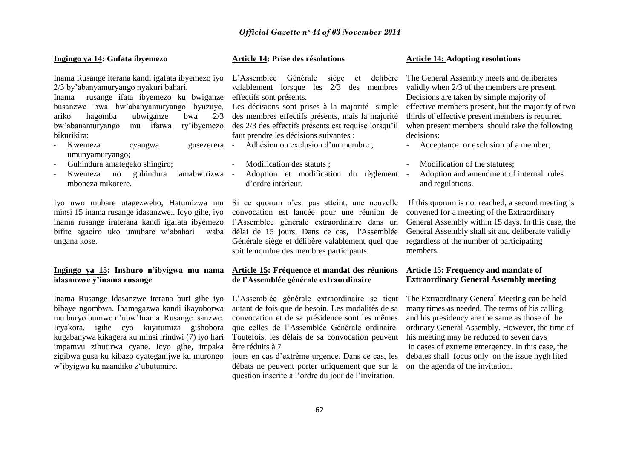# **Ingingo ya 14: Gufata ibyemezo**

2/3 by"abanyamuryango nyakuri bahari.

Inama rusange ifata ibyemezo ku bwiganze busanzwe bwa bw"abanyamuryango byuzuye, ariko hagomba ubwiganze bwa 2/3 bw"abanamuryango mu ifatwa ry"ibyemezo des 2/3 des effectifs présents est requise lorsqu"il bikurikira:

- Kwemeza cyangwa gusezerera umunyamuryango;
- Guhindura amategeko shingiro;
- Kwemeza no guhindura amabwirizwa mboneza mikorere.

Iyo uwo mubare utagezweho, Hatumizwa mu Si ce quorum n'est pas atteint, une nouvelle minsi 15 inama rusange idasanzwe.. Icyo gihe, iyo inama rusange iraterana kandi igafata ibyemezo bifite agaciro uko umubare w"abahari waba ungana kose.

# **Ingingo ya 15: Inshuro n'ibyigwa mu nama idasanzwe y'inama rusange**

Inama Rusange idasanzwe iterana buri gihe iyo bibaye ngombwa. Ihamagazwa kandi ikayoborwa mu buryo bumwe n"ubw"Inama Rusange isanzwe. Icyakora, igihe cyo kuyitumiza gishobora kugabanywa kikagera ku minsi irindwi (7) iyo hari impamvu zihutirwa cyane. Icyo gihe, impaka zigibwa gusa ku kibazo cyateganijwe ku murongo w"ibyigwa ku nzandiko z"ubutumire.

# **Article 14: Prise des résolutions**

Inama Rusange iterana kandi igafata ibyemezo iyo L"Assemblée Générale siège et délibère valablement lorsque les 2/3 des membres effectifs sont présents.

> Les décisions sont prises à la majorité simple des membres effectifs présents, mais la majorité faut prendre les décisions suivantes :

Adhésion ou exclusion d'un membre :

- Modification des statuts ;
- Adoption et modification du règlement d"ordre intérieur.

convocation est lancée pour une réunion de l"Assemblee générale extraordinaire dans un délai de 15 jours. Dans ce cas, l'Assemblée Générale siège et délibère valablement quel que soit le nombre des membres participants.

# **Article 15: Fréquence et mandat des réunions de l'Assemblée générale extraordinaire**

L"Assemblée générale extraordinaire se tient autant de fois que de besoin. Les modalités de sa convocation et de sa présidence sont les mêmes que celles de l"Assemblée Générale ordinaire. Toutefois, les délais de sa convocation peuvent être réduits à 7

jours en cas d"extrême urgence. Dans ce cas, les débats ne peuvent porter uniquement que sur la question inscrite à l"ordre du jour de l"invitation.

# **Article 14: Adopting resolutions**

The General Assembly meets and deliberates validly when 2/3 of the members are present. Decisions are taken by simple majority of effective members present, but the majority of two thirds of effective present members is required when present members should take the following decisions:

- Acceptance or exclusion of a member;
- Modification of the statutes;
- Adoption and amendment of internal rules and regulations.

If this quorum is not reached, a second meeting is convened for a meeting of the Extraordinary General Assembly within 15 days. In this case, the General Assembly shall sit and deliberate validly regardless of the number of participating members.

# **Article 15: Frequency and mandate of Extraordinary General Assembly meeting**

The Extraordinary General Meeting can be held many times as needed. The terms of his calling and his presidency are the same as those of the ordinary General Assembly. However, the time of his meeting may be reduced to seven days in cases of extreme emergency. In this case, the debates shall focus only on the issue hygh lited on the agenda of the invitation.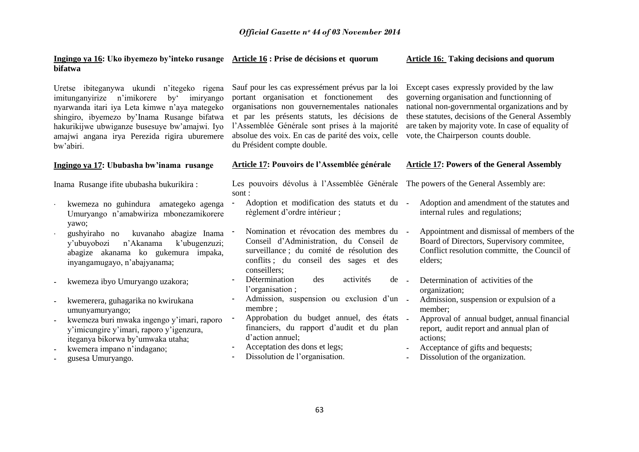# **Ingingo ya 16: Uko ibyemezo by'inteko rusange Article 16 : Prise de décisions et quorum bifatwa**

Uretse ibiteganywa ukundi n"itegeko rigena imitunganyirize n"imikorere by" imiryango nyarwanda itari iya Leta kimwe n"aya mategeko shingiro, ibyemezo by"Inama Rusange bifatwa hakurikijwe ubwiganze busesuye bw"amajwi. Iyo amajwi angana irya Perezida rigira uburemere bw"abiri.

# **Ingingo ya 17: Ububasha bw'inama rusange**

Inama Rusange ifite ububasha bukurikira :

- kwemeza no guhindura amategeko agenga Umuryango n"amabwiriza mbonezamikorere yawo;
- gushyiraho no kuvanaho abagize Inama y"ubuyobozi n"Akanama k"ubugenzuzi; abagize akanama ko gukemura impaka, inyangamugayo, n"abajyanama;
- kwemeza ibyo Umuryango uzakora;
- kwemerera, guhagarika no kwirukana umunyamuryango;
- kwemeza buri mwaka ingengo y"imari, raporo y"imicungire y"imari, raporo y"igenzura, iteganya bikorwa by"umwaka utaha;
- kwemera impano n'indagano;
- gusesa Umuryango.

Sauf pour les cas expressément prévus par la loi portant organisation et fonctionement des organisations non gouvernementales nationales et par les présents statuts, les décisions de l"Assemblée Générale sont prises à la majorité absolue des voix. En cas de parité des voix, celle du Président compte double.

# **Article 17: Pouvoirs de l'Assemblée générale**

Les pouvoirs dévolus à l"Assemblée Générale sont :

- Adoption et modification des statuts et du règlement d"ordre intérieur ;
- Nomination et révocation des membres du Conseil d"Administration, du Conseil de surveillance ; du comité de résolution des conflits ; du conseil des sages et des conseillers;
- Détermination des activités de l'organisation ;
- Admission, suspension ou exclusion d'un membre ;
- Approbation du budget annuel, des états financiers, du rapport d"audit et du plan d"action annuel;
- Acceptation des dons et legs;
- Dissolution de l'organisation.

# **Article 16: Taking decisions and quorum**

Except cases expressly provided by the law governing organisation and functionning of national non-governmental organizations and by these statutes, decisions of the General Assembly are taken by majority vote. In case of equality of vote, the Chairperson counts double.

# **Article 17: Powers of the General Assembly**

The powers of the General Assembly are:

- Adoption and amendment of the statutes and internal rules and regulations;
- Appointment and dismissal of members of the Board of Directors, Supervisory commitee, Conflict resolution committe, the Council of elders;
- Determination of activities of the organization;
	- Admission, suspension or expulsion of a member;
- Approval of annual budget, annual financial report, audit report and annual plan of actions;
- Acceptance of gifts and bequests;
- Dissolution of the organization.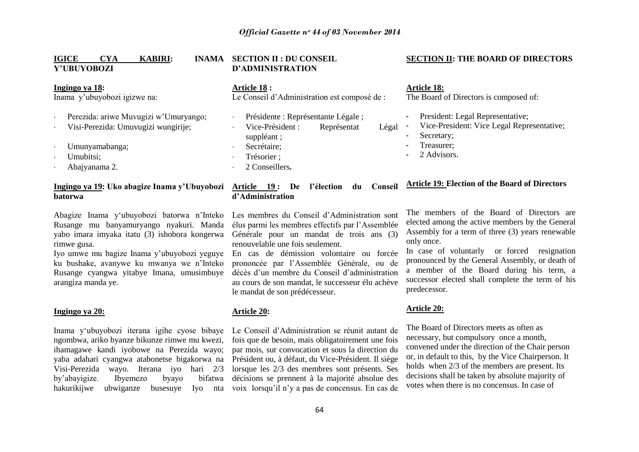# **IGICE CYA KABIRI: Y'UBUYOBOZI**

#### **Ingingo ya 18:**

Inama y"ubuyobozi igizwe na:

- Perezida: ariwe Muvugizi w"Umuryango;
- Visi-Perezida: Umuvugizi wungirije;
- Umunyamabanga;
- Umubitsi;
- Abajyanama 2.

# **Ingingo ya 19: Uko abagize Inama y'Ubuyobozi batorwa**

Abagize Inama y"ubuyobozi batorwa n"Inteko Rusange mu banyamuryango nyakuri. Manda yabo imara imyaka itatu (3) ishobora kongerwa rimwe gusa.

Iyo umwe mu bagize Inama y"ubuyobozi yeguye ku bushake, avanywe ku mwanya we n"Inteko Rusange cyangwa yitabye Imana, umusimbuye arangiza manda ye.

# **Ingingo ya 20:**

ngombwa, ariko byanze bikunze rimwe mu kwezi, ihamagawe kandi iyobowe na Perezida wayo; yaba adahari cyangwa atabonetse bigakorwa na Visi-Perezida wayo. Iterana iyo hari 2/3 by"abayigize. Ibyemezo byayo bifatwa hakurikijwe ubwiganze

# **INAMA SECTION II : DU CONSEIL D'ADMINISTRATION**

**Article 18 :**  Le Conseil d"Administration est composé de :

- Présidente : Représentante Légale ; Vice-Président : Représentat Légal suppléant ; Secrétaire; Trésorier ;
- 2 Conseillers**.**

# **Article 19 : De l'élection du Conseil d'Administration**

Les membres du Conseil d"Administration sont élus parmi les membres effectifs par l"Assemblée Générale pour un mandat de trois ans (3) renouvelable une fois seulement.

En cas de démission volontaire ou forcée prononcée par l"Assemblée Générale, ou de décès d"un membre du Conseil d"administration au cours de son mandat, le successeur élu achève le mandat de son prédécesseur.

# **Article 20:**

Inama y"ubuyobozi iterana igihe cyose bibaye Le Conseil d"Administration se réunit autant de fois que de besoin, mais obligatoirement une fois par mois, sur convocation et sous la direction du Président ou, à défaut, du Vice-Président. Il siège lorsque les 2/3 des membres sont présents. Ses décisions se prennent à la majorité absolue des busesuye Iyo nta voix lorsqu'il n'y a pas de concensus. En cas de

# **SECTION II: THE BOARD OF DIRECTORS**

**Article 18:** The Board of Directors is composed of:

- President: Legal Representative;
- Vice-President: Vice Legal Representative;
- Secretary;
- Treasurer:
- 2. Advisors.

# **Article 19: Election of the Board of Directors**

The members of the Board of Directors are elected among the active members by the General Assembly for a term of three (3) years renewable only once.

In case of voluntarly or forced resignation pronounced by the General Assembly, or death of a member of the Board during his term, a successor elected shall complete the term of his predecessor.

#### **Article 20:**

The Board of Directors meets as often as necessary, but compulsory once a month, convened under the direction of the Chair person or, in default to this, by the Vice Chairperson. It holds when 2/3 of the members are present. Its decisions shall be taken by absolute majority of votes when there is no concensus. In case of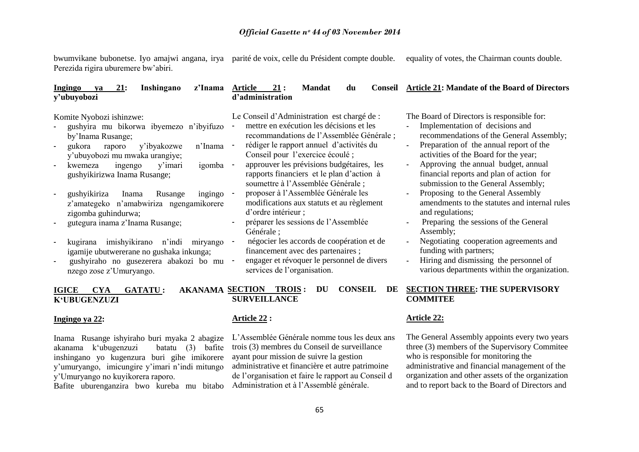bwumvikane bubonetse. Iyo amajwi angana, irya parité de voix, celle du Président compte double. Perezida rigira uburemere bw"abiri. equality of votes, the Chairman counts double.

| 21:<br>Ingingo<br>Inshingano<br>z'Inama<br>ya<br>y'ubuyobozi                                                                                                     | 21:<br>Article<br><b>Mandat</b><br>du<br><b>Conseil</b><br>d'administration                                                                                                                                 | <b>Article 21: Mandate of the Board of Directors</b>                                                                                                                                                       |
|------------------------------------------------------------------------------------------------------------------------------------------------------------------|-------------------------------------------------------------------------------------------------------------------------------------------------------------------------------------------------------------|------------------------------------------------------------------------------------------------------------------------------------------------------------------------------------------------------------|
| Komite Nyobozi ishinzwe:<br>gushyira mu bikorwa ibyemezo n'ibyifuzo<br>by'Inama Rusange;                                                                         | Le Conseil d'Administration est chargé de :<br>mettre en exécution les décisions et les<br>recommandations de l'Assemblée Générale;                                                                         | The Board of Directors is responsible for:<br>Implementation of decisions and<br>recommendations of the General Assembly;                                                                                  |
| n'Inama<br>y'ibyakozwe<br>gukora<br>raporo<br>y'ubuyobozi mu mwaka urangiye;<br>igomba<br>y'imari<br>ingengo<br>kwemeza<br>gushyikirizwa Inama Rusange;          | rédiger le rapport annuel d'activités du<br>Conseil pour l'exercice écoulé ;<br>approuver les prévisions budgétaires, les<br>rapports financiers et le plan d'action à<br>soumettre à l'Assemblée Générale; | Preparation of the annual report of the<br>activities of the Board for the year;<br>Approving the annual budget, annual<br>financial reports and plan of action for<br>submission to the General Assembly; |
| gushyikiriza<br>Rusange<br>Inama<br>ingingo<br>z'amategeko n'amabwiriza ngengamikorere<br>zigomba guhindurwa;<br>gutegura inama z'Inama Rusange;                 | proposer à l'Assemblée Générale les<br>modifications aux statuts et au règlement<br>d'ordre intérieur ;<br>préparer les sessions de l'Assemblée<br>Générale ;                                               | Proposing to the General Assembly<br>amendments to the statutes and internal rules<br>and regulations;<br>Preparing the sessions of the General<br>Assembly;                                               |
| imishyikirano<br>n'indi<br>kugirana<br>miryango<br>igamije ubutwererane no gushaka inkunga;<br>gushyiraho no gusezerera abakozi bo mu<br>nzego zose z'Umuryango. | négocier les accords de coopération et de<br>financement avec des partenaires ;<br>engager et révoquer le personnel de divers<br>services de l'organisation.                                                | Negotiating cooperation agreements and<br>funding with partners;<br>Hiring and dismissing the personnel of<br>various departments within the organization.                                                 |
| <b>AKANAMA SECTION</b><br><b>IGICE</b><br><b>CYA</b><br><b>GATATU:</b><br><b>K'UBUGENZUZI</b>                                                                    | <b>CONSEIL</b><br><b>TROIS:</b><br>DE<br>DU<br><b>SURVEILLANCE</b>                                                                                                                                          | <b>SECTION THREE: THE SUPERVISORY</b><br><b>COMMITEE</b>                                                                                                                                                   |

# **Ingingo ya 22:**

Inama Rusange ishyiraho buri myaka 2 abagize akanama k"ubugenzuzi batatu (3) bafite inshingano yo kugenzura buri gihe imikorere y"umuryango, imicungire y"imari n"indi mitungo y"Umuryango no kuyikorera raporo.

Bafite uburenganzira bwo kureba mu bitabo

# **Article 22 :**

L"Assemblée Générale nomme tous les deux ans trois (3) membres du Conseil de surveillance ayant pour mission de suivre la gestion administrative et financière et autre patrimoine de l"organisation et faire le rapport au Conseil d Administration et à l"Assemblé générale.

# **Article 22:**

The General Assembly appoints every two years three (3) members of the Supervisory Commitee who is responsible for monitoring the administrative and financial management of the organization and other assets of the organization and to report back to the Board of Directors and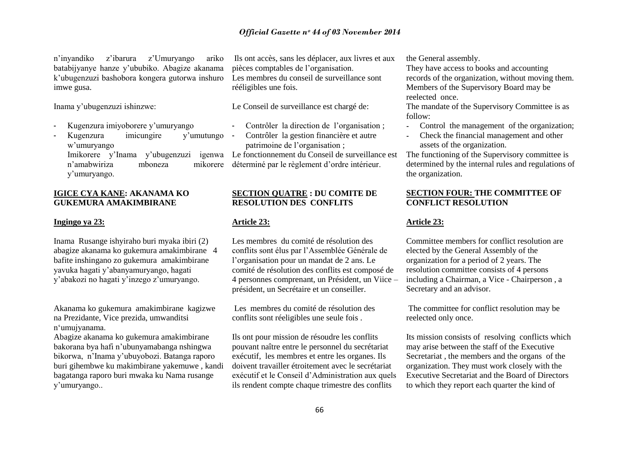n"inyandiko z"ibarura z"Umuryango ariko batabijyanye hanze y"ububiko. Abagize akanama k"ubugenzuzi bashobora kongera gutorwa inshuro imwe gusa.

Inama y"ubugenzuzi ishinzwe:

- Kugenzura imiyoborere y"umuryango
- Kugenzura imicungire y'umutungo w"umuryango Imikorere y'Inama y'ubugenzuzi n"amabwiriza mboneza mikorere y"umuryango.

# **IGICE CYA KANE: AKANAMA KO GUKEMURA AMAKIMBIRANE**

# **Ingingo ya 23:**

Inama Rusange ishyiraho buri myaka ibiri (2) abagize akanama ko gukemura amakimbirane 4 bafite inshingano zo gukemura amakimbirane yavuka hagati y"abanyamuryango, hagati y"abakozi no hagati y"inzego z"umuryango.

Akanama ko gukemura amakimbirane kagizwe na Prezidante, Vice prezida, umwanditsi n"umujyanama.

Abagize akanama ko gukemura amakimbirane bakorana bya hafi n"ubunyamabanga nshingwa bikorwa, n"Inama y"ubuyobozi. Batanga raporo buri gihembwe ku makimbirane yakemuwe , kandi bagatanga raporo buri mwaka ku Nama rusange y"umuryango..

Ils ont accès, sans les déplacer, aux livres et aux pièces comptables de l"organisation. Les membres du conseil de surveillance sont rééligibles une fois.

Le Conseil de surveillance est chargé de:

- Contrôler la direction de l'organisation :
- Contrôler la gestion financière et autre patrimoine de l"organisation ;

Le fonctionnement du Conseil de surveillance est déterminé par le règlement d"ordre intérieur.

# **SECTION QUATRE : DU COMITE DE RESOLUTION DES CONFLITS**

# **Article 23:**

Les membres du comité de résolution des conflits sont élus par l"Assemblée Générale de l"organisation pour un mandat de 2 ans. Le comité de résolution des conflits est composé de 4 personnes comprenant, un Président, un Viice – président, un Secrétaire et un conseiller.

Les membres du comité de résolution des conflits sont réeligibles une seule fois .

Ils ont pour mission de résoudre les conflits pouvant naître entre le personnel du secrétariat exécutif, les membres et entre les organes. Ils doivent travailler étroitement avec le secrétariat exécutif et le Conseil d"Administration aux quels ils rendent compte chaque trimestre des conflits

the General assembly.

They have access to books and accounting records of the organization, without moving them. Members of the Supervisory Board may be reelected once.

The mandate of the Supervisory Committee is as follow:

- Control the management of the organization;
- Check the financial management and other assets of the organization.

The functioning of the Supervisory committee is determined by the internal rules and regulations of the organization.

# **SECTION FOUR: THE COMMITTEE OF CONFLICT RESOLUTION**

# **Article 23:**

Committee members for conflict resolution are elected by the General Assembly of the organization for a period of 2 years. The resolution committee consists of 4 persons including a Chairman, a Vice - Chairperson , a Secretary and an advisor.

The committee for conflict resolution may be reelected only once.

Its mission consists of resolving conflicts which may arise between the staff of the Executive Secretariat , the members and the organs of the organization. They must work closely with the Executive Secretariat and the Board of Directors to which they report each quarter the kind of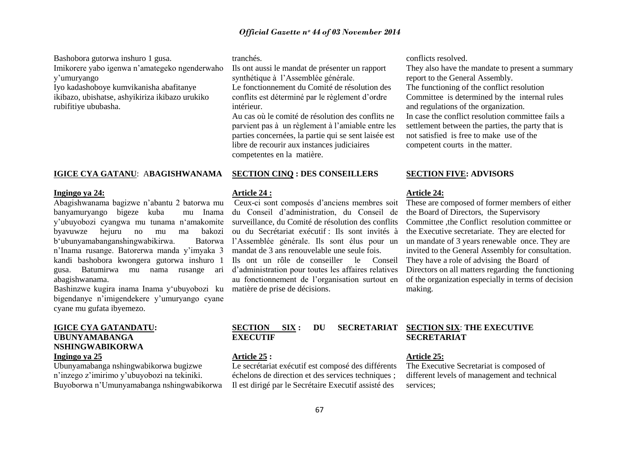Bashobora gutorwa inshuro 1 gusa. Imikorere yabo igenwa n"amategeko ngenderwaho y"umuryango

Iyo kadashoboye kumvikanisha abafitanye ikibazo, ubishatse, ashyikiriza ikibazo urukiko rubifitiye ububasha.

# **IGICE CYA GATANU**: A**BAGISHWANAMA**

#### **Ingingo ya 24:**

Abagishwanama bagizwe n"abantu 2 batorwa mu banyamuryango bigeze kuba mu Inama y"ubuyobozi cyangwa mu tunama n"amakomite byavuwze hejuru no mu ma bakozi b'ubunyamabanganshingwabikirwa. n"Inama rusange. Batorerwa manda y"imyaka 3 kandi bashobora kwongera gutorwa inshuro 1 gusa. Batumirwa mu nama rusange ari d"administration pour toutes les affaires relatives abagishwanama.

Bashinzwe kugira inama Inama y"ubuyobozi ku bigendanye n"imigendekere y"umuryango cyane cyane mu gufata ibyemezo.

# **IGICE CYA GATANDATU: UBUNYAMABANGA NSHINGWABIKORWA Ingingo ya 25**

Ubunyamabanga nshingwabikorwa bugizwe n"inzego z"imirimo y"ubuyobozi na tekiniki. Buyoborwa n"Umunyamabanga nshingwabikorwa tranchés.

Ils ont aussi le mandat de présenter un rapport synthétique à l"Assemblée générale. Le fonctionnement du Comité de résolution des conflits est déterminé par le règlement d"ordre intérieur.

Au cas où le comité de résolution des conflits ne parvient pas à un règlement à l"amiable entre les parties concernées, la partie qui se sent laisée est libre de recourir aux instances judiciaires competentes en la matière.

# **SECTION CINQ : DES CONSEILLERS**

#### **Article 24 :**

Ceux-ci sont composés d"anciens membres soit du Conseil d"administration, du Conseil de surveillance, du Comité de résolution des conflits ou du Secrétariat exécutif : Ils sont invités à Batorwa l'Assemblée générale. Ils sont élus pour un mandat de 3 ans renouvelable une seule fois. Ils ont un rôle de conseiller le Conseil au fonctionnement de l"organisation surtout en matière de prise de décisions.

conflicts resolved.

They also have the mandate to present a summary report to the General Assembly. The functioning of the conflict resolution Committee is determined by the internal rules and regulations of the organization. In case the conflict resolution committee fails a settlement between the parties, the party that is not satisfied is free to make use of the competent courts in the matter.

# **SECTION FIVE: ADVISORS**

#### **Article 24:**

These are composed of former members of either the Board of Directors, the Supervisory Committee ,the Conflict resolution committee or the Executive secretariate. They are elected for un mandate of 3 years renewable once. They are invited to the General Assembly for consultation. They have a role of advising the Board of Directors on all matters regarding the functioning of the organization especially in terms of decision making.

# **SECTION SIX : DU SECRETARIAT EXECUTIF**

# **Article 25 :**

Le secrétariat exécutif est composé des différents échelons de direction et des services techniques ; Il est dirigé par le Secrétaire Executif assisté des

# **SECTION SIX**: **THE EXECUTIVE SECRETARIAT**

# **Article 25:**

The Executive Secretariat is composed of different levels of management and technical services;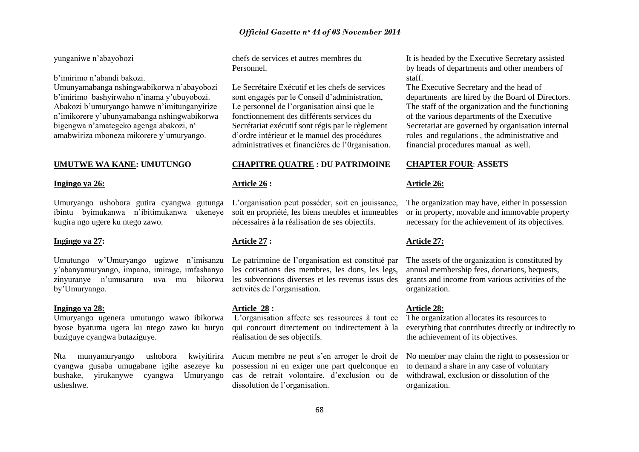# yunganiwe n"abayobozi

b"imirimo n"abandi bakozi.

Umunyamabanga nshingwabikorwa n"abayobozi b"imirimo bashyirwaho n"inama y"ubuyobozi. Abakozi b"umuryango hamwe n"imitunganyirize n"imikorere y"ubunyamabanga nshingwabikorwa bigengwa n'amategeko agenga abakozi, n' amabwiriza mboneza mikorere y"umuryango.

# **UMUTWE WA KANE: UMUTUNGO**

# **Ingingo ya 26:**

Umuryango ushobora gutira cyangwa gutunga L"organisation peut posséder, soit en jouissance, ibintu byimukanwa n"ibitimukanwa ukeneye kugira ngo ugere ku ntego zawo.

# **Ingingo ya 27:**

Umutungo w'Umuryango ugizwe n'imisanzu Le patrimoine de l'organisation est constitué par y"abanyamuryango, impano, imirage, imfashanyo zinyuranye n'umusaruro by"Umuryango.

#### **Ingingo ya 28:**

Umuryango ugenera umutungo wawo ibikorwa byose byatuma ugera ku ntego zawo ku buryo buziguye cyangwa butaziguye.

Nta munyamuryango ushobora cyangwa gusaba umugabane igihe asezeye ku bushake, yirukanywe cyangwa Umuryango usheshwe.

chefs de services et autres membres du Personnel.

Le Secrétaire Exécutif et les chefs de services sont engagés par le Conseil d"administration, Le personnel de l"organisation ainsi que le fonctionnement des différents services du Secrétariat exécutif sont régis par le règlement d"ordre intérieur et le manuel des procédures administratives et financières de l"0rganisation.

# **CHAPITRE QUATRE : DU PATRIMOINE**

# **Article 26 :**

soit en propriété, les biens meubles et immeubles nécessaires à la réalisation de ses objectifs.

# **Article 27 :**

les cotisations des membres, les dons, les legs, uva mu bikorwa les subventions diverses et les revenus issus des activités de l"organisation.

#### **Article 28 :**

L"organisation affecte ses ressources à tout ce qui concourt directement ou indirectement à la réalisation de ses objectifs.

Aucun membre ne peut s"en arroger le droit de possession ni en exiger une part quelconque en cas de retrait volontaire, d"exclusion ou de dissolution de l"organisation.

It is headed by the Executive Secretary assisted by heads of departments and other members of staff.

The Executive Secretary and the head of departments are hired by the Board of Directors. The staff of the organization and the functioning of the various departments of the Executive Secretariat are governed by organisation internal rules and regulations , the administrative and financial procedures manual as well.

# **CHAPTER FOUR**: **ASSETS**

#### **Article 26:**

The organization may have, either in possession or in property, movable and immovable property necessary for the achievement of its objectives.

# **Article 27:**

The assets of the organization is constituted by annual membership fees, donations, bequests, grants and income from various activities of the organization.

# **Article 28:**

The organization allocates its resources to everything that contributes directly or indirectly to the achievement of its objectives.

No member may claim the right to possession or to demand a share in any case of voluntary withdrawal, exclusion or dissolution of the organization.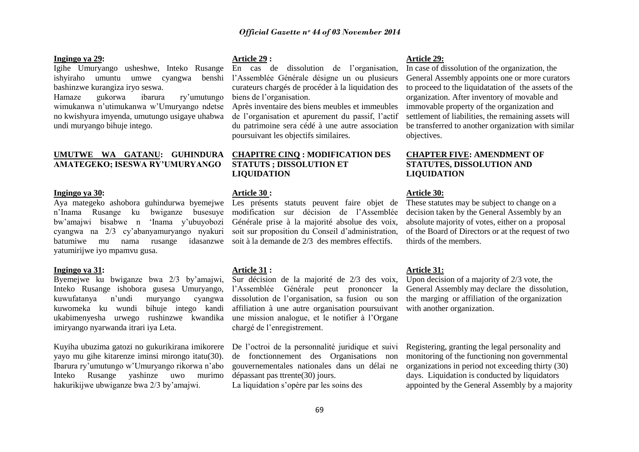# **Ingingo ya 29:**

Igihe Umuryango usheshwe, Inteko Rusange ishyiraho umuntu umwe cyangwa benshi l"Assemblée Générale désigne un ou plusieurs bashinzwe kurangiza iryo seswa.

Hamaze gukorwa ibarura ry"umutungo wimukanwa n"utimukanwa w"Umuryango ndetse no kwishyura imyenda, umutungo usigaye uhabwa undi muryango bihuje intego.

# **UMUTWE WA GATANU: GUHINDURA CHAPITRE CINQ : MODIFICATION DES AMATEGEKO; ISESWA RY'UMURYANGO**

# **Ingingo ya 30:**

Aya mategeko ashobora guhindurwa byemejwe Les présents statuts peuvent faire objet de n"Inama Rusange ku bwiganze busesuye bw"amajwi bisabwe n "Inama y"ubuyobozi Générale prise à la majorité absolue des voix, cyangwa na 2/3 cy"abanyamuryango nyakuri batumiwe mu nama rusange idasanzwe soit à la demande de 2/3 des membres effectifs. yatumirijwe iyo mpamvu gusa.

#### **Ingingo ya 31:**

Byemejwe ku bwiganze bwa 2/3 by"amajwi, Inteko Rusange ishobora gusesa Umuryango, kuwufatanya n"undi muryango cyangwa kuwomeka ku wundi bihuje intego kandi ukabimenyesha urwego rushinzwe kwandika imiryango nyarwanda itrari iya Leta.

Kuyiha ubuzima gatozi no gukurikirana imikorere De l"octroi de la personnalité juridique et suivi yayo mu gihe kitarenze iminsi mirongo itatu(30). Ibarura ry"umutungo w"Umuryango rikorwa n"abo Inteko Rusange yashinze uwo murimo hakurikijwe ubwiganze bwa 2/3 by"amajwi.

# **Article 29 :**

En cas de dissolution de l"organisation, curateurs chargés de procéder à la liquidation des biens de l"organisation.

Après inventaire des biens meubles et immeubles de l"organisation et apurement du passif, l"actif du patrimoine sera cédé à une autre association poursuivant les objectifs similaires.

# **STATUTS ; DISSOLUTION ET LIQUIDATION**

## **Article 30 :**

modification sur décision de l"Assemblée soit sur proposition du Conseil d"administration,

#### **Article 31 :**

Sur décision de la majorité de 2/3 des voix, l"Assemblée Générale peut prononcer la dissolution de l"organisation, sa fusion ou son affiliation à une autre organisation poursuivant une mission analogue, et le notifier à l"Organe chargé de l"enregistrement.

de fonctionnement des Organisations non gouvernementales nationales dans un délai ne dépassant pas ttrente(30) jours. La liquidation s'opère par les soins des

# **Article 29:**

In case of dissolution of the organization, the General Assembly appoints one or more curators to proceed to the liquidatation of the assets of the organization. After inventory of movable and immovable property of the organization and settlement of liabilities, the remaining assets will be transferred to another organization with similar objectives.

# **CHAPTER FIVE: AMENDMENT OF STATUTES, DISSOLUTION AND LIQUIDATION**

#### **Article 30:**

These statutes may be subject to change on a decision taken by the General Assembly by an absolute majority of votes, either on a proposal of the Board of Directors or at the request of two thirds of the members.

# **Article 31:**

Upon decision of a majority of 2/3 vote, the General Assembly may declare the dissolution, the marging or affiliation of the organization with another organization.

Registering, granting the legal personality and monitoring of the functioning non governmental organizations in period not exceeding thirty (30) days. Liquidation is conducted by liquidators appointed by the General Assembly by a majority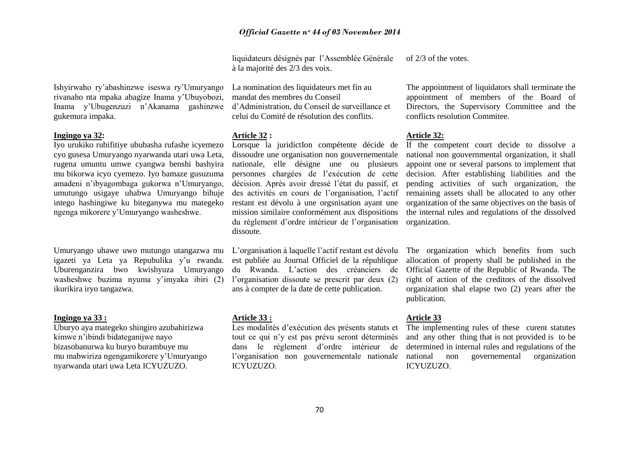liquidateurs désignés par l"Assemblée Générale à la majorité des 2/3 des voix. of 2/3 of the votes.

Ishyirwaho ry"abashinzwe iseswa ry"Umuryango rivanaho nta mpaka abagize Inama y"Ubuyobozi, Inama y"Ubugenzuzi n"Akanama gashinzwe gukemura impaka.

# **Ingingo ya 32:**

Iyo urukiko rubifitiye ububasha rufashe icyemezo cyo gusesa Umuryango nyarwanda utari uwa Leta, rugena umuntu umwe cyangwa benshi bashyira mu bikorwa icyo cyemezo. Iyo bamaze gusuzuma amadeni n"ibyagombaga gukorwa n"Umuryango, umutungo usigaye uhabwa Umuryango bihuje intego hashingiwe ku biteganywa mu mategeko ngenga mikorere y"Umuryango washeshwe.

Umuryango uhawe uwo mutungo utangazwa mu igazeti ya Leta ya Repubulika y"u rwanda. Uburenganzira bwo kwishyuza Umuryango washeshwe buzima nyuma y"imyaka ibiri (2) ikurikira iryo tangazwa.

# **Ingingo ya 33 :**

Uburyo aya mategeko shingiro azubahirizwa kimwe n"ibindi bidateganijwe nayo bizasobanurwa ku buryo burambuye mu mu mabwiriza ngengamikorere y"Umuryango nyarwanda utari uwa Leta ICYUZUZO.

La nomination des liquidateurs met fin au mandat des membres du Conseil d"Administration, du Conseil de surveillance et celui du Comité de résolution des conflits.

# **Article 32 :**

Lorsque la juridictIon compétente décide de dissoudre une organisation non gouvernementale nationale, elle désigne une ou plusieurs personnes chargées de l"exécution de cette décision. Après avoir dressé l"état du passif, et des activités en cours de l"organisation, l"actif restant est dévolu à une orgsnisation ayant une mission similaire conformément aux dispositions du règlement d"ordre intérieur de l"organisation dissoute.

L"organisation à laquelle l"actif restant est dévolu est publiée au Journal Officiel de la république du Rwanda. L"action des créanciers de l'organisation dissoute se prescrit par deux (2) ans à compter de la date de cette publication.

# **Article 33 :**

Les modalités d"exécution des présents statuts et tout ce qui n"y est pas prévu seront déterminés dans le règlement d"ordre intérieur de ICYUZUZO.

The appointment of liquidators shall terminate the appointment of members of the Board of Directors, the Supervisory Committee and the conflicts resolution Commitee.

# **Article 32:**

If the competent court decide to dissolve a national non gouvernmental organization, it shall appoint one or several parsons to implement that decision. After establishing liabilities and the pending activities of such organization, the remaining assets shall be allocated to any other organization of the same objectives on the basis of the internal rules and regulations of the dissolved organization.

The organization which benefits from such allocation of property shall be published in the Official Gazette of the Republic of Rwanda. The right of action of the creditors of the dissolved organization shal elapse two (2) years after the publication.

# **Article 33**

l'organisation non gouvernementale nationale national non governemental organization The implementing rules of these curent statutes and any other thing that is not provided is to be determined in internal rules and regulations of the ICYUZUZO.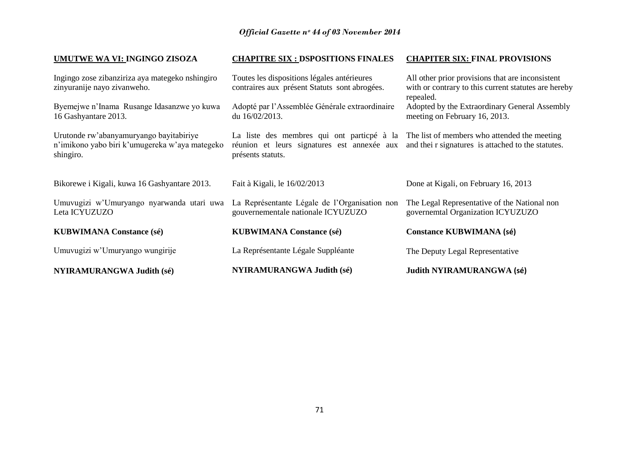| UMUTWE WA VI: INGINGO ZISOZA                                                                           | <b>CHAPITRE SIX : DSPOSITIONS FINALES</b>                                                                      | <b>CHAPITER SIX: FINAL PROVISIONS</b>                                                                                 |
|--------------------------------------------------------------------------------------------------------|----------------------------------------------------------------------------------------------------------------|-----------------------------------------------------------------------------------------------------------------------|
| Ingingo zose zibanziriza aya mategeko nshingiro<br>zinyuranije nayo zivanweho.                         | Toutes les dispositions légales antérieures<br>contraires aux présent Statuts sont abrogées.                   | All other prior provisions that are inconsistent<br>with or contrary to this current statutes are hereby<br>repealed. |
| Byemejwe n'Inama Rusange Idasanzwe yo kuwa<br>16 Gashyantare 2013.                                     | Adopté par l'Assemblée Générale extraordinaire<br>du 16/02/2013.                                               | Adopted by the Extraordinary General Assembly<br>meeting on February 16, 2013.                                        |
| Urutonde rw'abanyamuryango bayitabiriye<br>n'imikono yabo biri k'umugereka w'aya mategeko<br>shingiro. | La liste des membres qui ont particpé à la<br>réunion et leurs signatures est annexée aux<br>présents statuts. | The list of members who attended the meeting<br>and their signatures is attached to the statutes.                     |
| Bikorewe i Kigali, kuwa 16 Gashyantare 2013.                                                           | Fait à Kigali, le 16/02/2013                                                                                   | Done at Kigali, on February 16, 2013                                                                                  |
| Umuvugizi w'Umuryango nyarwanda utari uwa<br>Leta ICYUZUZO                                             | La Représentante Légale de l'Organisation non<br>gouvernementale nationale ICYUZUZO                            | The Legal Representative of the National non<br>governemtal Organization ICYUZUZO                                     |
| <b>KUBWIMANA Constance (sé)</b>                                                                        | <b>KUBWIMANA Constance (sé)</b>                                                                                | <b>Constance KUBWIMANA (sé)</b>                                                                                       |
| Umuvugizi w'Umuryango wungirije                                                                        | La Représentante Légale Suppléante                                                                             | The Deputy Legal Representative                                                                                       |
| <b>NYIRAMURANGWA Judith (sé)</b>                                                                       | <b>NYIRAMURANGWA Judith (sé)</b>                                                                               | Judith NYIRAMURANGWA (sé)                                                                                             |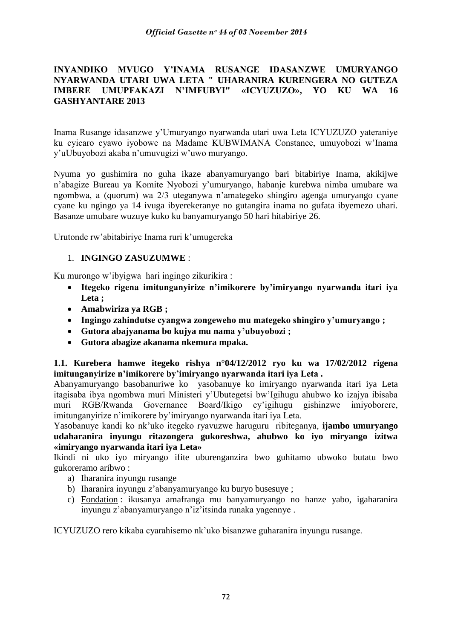# **INYANDIKO MVUGO Y'INAMA RUSANGE IDASANZWE UMURYANGO NYARWANDA UTARI UWA LETA " UHARANIRA KURENGERA NO GUTEZA IMBERE UMUPFAKAZI N'IMFUBYI" «ICYUZUZO», YO KU WA 16 GASHYANTARE 2013**

Inama Rusange idasanzwe y"Umuryango nyarwanda utari uwa Leta ICYUZUZO yateraniye ku cyicaro cyawo iyobowe na Madame KUBWIMANA Constance, umuyobozi w"Inama y"uUbuyobozi akaba n"umuvugizi w"uwo muryango.

Nyuma yo gushimira no guha ikaze abanyamuryango bari bitabiriye Inama, akikijwe n"abagize Bureau ya Komite Nyobozi y"umuryango, habanje kurebwa nimba umubare wa ngombwa, a (quorum) wa 2/3 uteganywa n"amategeko shingiro agenga umuryango cyane cyane ku ngingo ya 14 ivuga ibyerekeranye no gutangira inama no gufata ibyemezo uhari. Basanze umubare wuzuye kuko ku banyamuryango 50 hari hitabiriye 26.

Urutonde rw'abitabiriye Inama ruri k'umugereka

# 1. **INGINGO ZASUZUMWE** :

Ku murongo w"ibyigwa hari ingingo zikurikira :

- **Itegeko rigena imitunganyirize n'imikorere by'imiryango nyarwanda itari iya Leta ;**
- **Amabwiriza ya RGB ;**
- **Ingingo zahindutse cyangwa zongeweho mu mategeko shingiro y'umuryango ;**
- **Gutora abajyanama bo kujya mu nama y'ubuyobozi ;**
- **Gutora abagize akanama nkemura mpaka.**

**1.1. Kurebera hamwe itegeko rishya n°04/12/2012 ryo ku wa 17/02/2012 rigena imitunganyirize n'imikorere by'imiryango nyarwanda itari iya Leta .**

Abanyamuryango basobanuriwe ko yasobanuye ko imiryango nyarwanda itari iya Leta itagisaba ibya ngombwa muri Ministeri y"Ubutegetsi bw"Igihugu ahubwo ko izajya ibisaba muri RGB/Rwanda Governance Board/Ikigo cy"igihugu gishinzwe imiyoborere, imitunganyirize n"imikorere by"imiryango nyarwanda itari iya Leta.

Yasobanuye kandi ko nk"uko itegeko ryavuzwe haruguru ribiteganya, **ijambo umuryango udaharanira inyungu ritazongera gukoreshwa, ahubwo ko iyo miryango izitwa «imiryango nyarwanda itari iya Leta»**

Ikindi ni uko iyo miryango ifite uburenganzira bwo guhitamo ubwoko butatu bwo gukoreramo aribwo :

- a) Iharanira inyungu rusange
- b) Iharanira inyungu z"abanyamuryango ku buryo busesuye ;
- c) Fondation : ikusanya amafranga mu banyamuryango no hanze yabo, igaharanira inyungu z"abanyamuryango n"iz"itsinda runaka yagennye .

ICYUZUZO rero kikaba cyarahisemo nk"uko bisanzwe guharanira inyungu rusange.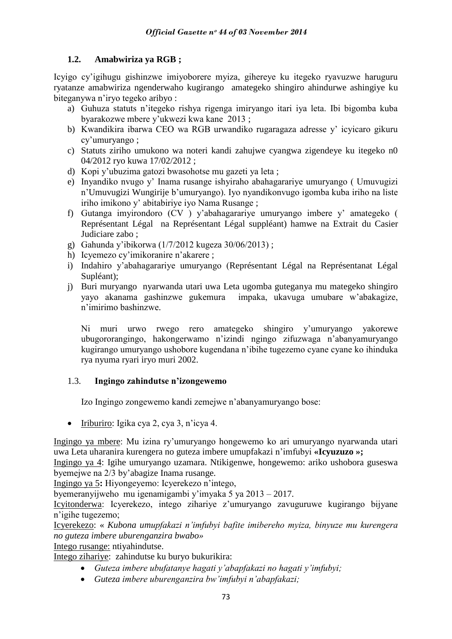# **1.2. Amabwiriza ya RGB ;**

Icyigo cy"igihugu gishinzwe imiyoborere myiza, gihereye ku itegeko ryavuzwe haruguru ryatanze amabwiriza ngenderwaho kugirango amategeko shingiro ahindurwe ashingiye ku biteganywa n"iryo tegeko aribyo :

- a) Guhuza statuts n"itegeko rishya rigenga imiryango itari iya leta. Ibi bigomba kuba byarakozwe mbere y"ukwezi kwa kane 2013 ;
- b) Kwandikira ibarwa CEO wa RGB urwandiko rugaragaza adresse y" icyicaro gikuru cy"umuryango ;
- c) Statuts ziriho umukono wa noteri kandi zahujwe cyangwa zigendeye ku itegeko n0 04/2012 ryo kuwa 17/02/2012 ;
- d) Kopi y"ubuzima gatozi bwasohotse mu gazeti ya leta ;
- e) Inyandiko nvugo y" Inama rusange ishyiraho abahagarariye umuryango ( Umuvugizi n"Umuvugizi Wungirije b"umuryango). Iyo nyandikonvugo igomba kuba iriho na liste iriho imikono y" abitabiriye iyo Nama Rusange ;
- f) Gutanga imyirondoro (CV ) y"abahagarariye umuryango imbere y" amategeko ( Représentant Légal na Représentant Légal suppléant) hamwe na Extrait du Casier Judiciare zabo ;
- g) Gahunda y"ibikorwa (1/7/2012 kugeza 30/06/2013) ;
- h) Icyemezo cy'imikoranire n'akarere ;
- i) Indahiro y"abahagarariye umuryango (Représentant Légal na Représentanat Légal Supléant);
- j) Buri muryango nyarwanda utari uwa Leta ugomba guteganya mu mategeko shingiro yayo akanama gashinzwe gukemura impaka, ukavuga umubare w"abakagize, n"imirimo bashinzwe.

Ni muri urwo rwego rero amategeko shingiro y"umuryango yakorewe ubugororangingo, hakongerwamo n"izindi ngingo zifuzwaga n"abanyamuryango kugirango umuryango ushobore kugendana n"ibihe tugezemo cyane cyane ko ihinduka rya nyuma ryari iryo muri 2002.

# 1.3. **Ingingo zahindutse n'izongewemo**

Izo Ingingo zongewemo kandi zemejwe n"abanyamuryango bose:

 $\bullet$  Iriburiro: Igika cya 2, cya 3, n'icya 4.

Ingingo ya mbere: Mu izina ry"umuryango hongewemo ko ari umuryango nyarwanda utari uwa Leta uharanira kurengera no guteza imbere umupfakazi n"imfubyi **«Icyuzuzo »;**

Ingingo ya 4: Igihe umuryango uzamara. Ntikigenwe, hongewemo: ariko ushobora guseswa byemejwe na 2/3 by"abagize Inama rusange.

Ingingo ya 5**:** Hiyongeyemo: Icyerekezo n"intego,

byemeranyijweho mu igenamigambi y'imyaka 5 ya  $2013 - 2017$ .

Icyitonderwa: Icyerekezo, intego zihariye z"umuryango zavuguruwe kugirango bijyane n"igihe tugezemo;

Icyerekezo: « *Kubona umupfakazi n'imfubyi bafite imibereho myiza, binyuze mu kurengera no guteza imbere uburenganzira bwabo»*

Intego rusange: ntiyahindutse.

Intego zihariye: zahindutse ku buryo bukurikira:

- *Guteza imbere ubufatanye hagati y'abapfakazi no hagati y'imfubyi;*
- *Guteza imbere uburenganzira bw'imfubyi n'abapfakazi;*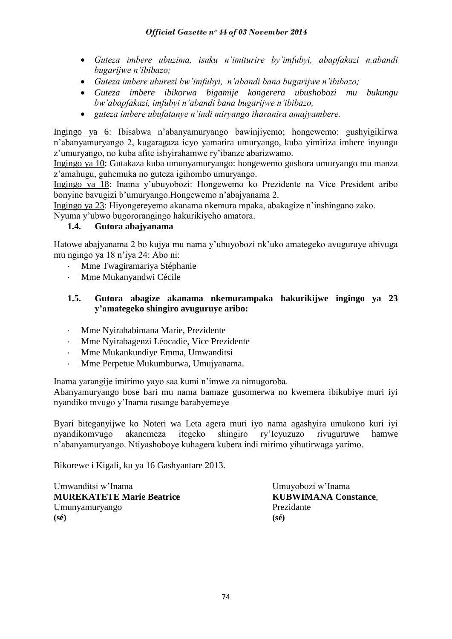- *Guteza imbere ubuzima, isuku n'imiturire by'imfubyi, abapfakazi n.abandi bugarijwe n'ibibazo;*
- *Guteza imbere uburezi bw'imfubyi, n'abandi bana bugarijwe n'ibibazo;*
- *Guteza imbere ibikorwa bigamije kongerera ubushobozi mu bukungu bw'abapfakazi, imfubyi n'abandi bana bugarijwe n'ibibazo,*
- *guteza imbere ubufatanye n'indi miryango iharanira amajyambere.*

Ingingo ya 6: Ibisabwa n"abanyamuryango bawinjiyemo; hongewemo: gushyigikirwa n"abanyamuryango 2, kugaragaza icyo yamarira umuryango, kuba yimiriza imbere inyungu z'umuryango, no kuba afite ishyirahamwe ry'ibanze abarizwamo.

Ingingo ya 10: Gutakaza kuba umunyamuryango: hongewemo gushora umuryango mu manza z"amahugu, guhemuka no guteza igihombo umuryango.

Ingingo ya 18: Inama y"ubuyobozi: Hongewemo ko Prezidente na Vice President aribo bonyine bavugizi b'umuryango.Hongewemo n'abajyanama 2.

Ingingo ya 23: Hiyongereyemo akanama nkemura mpaka, abakagize n"inshingano zako.

Nyuma y"ubwo bugororangingo hakurikiyeho amatora.

# **1.4. Gutora abajyanama**

Hatowe abajyanama 2 bo kujya mu nama y"ubuyobozi nk"uko amategeko avuguruye abivuga mu ngingo ya 18 n"iya 24: Abo ni:

- Mme Twagiramariya Stéphanie
- Mme Mukanyandwi Cécile

# **1.5. Gutora abagize akanama nkemurampaka hakurikijwe ingingo ya 23 y'amategeko shingiro avuguruye aribo:**

- Mme Nyirahabimana Marie, Prezidente
- Mme Nyirabagenzi Léocadie, Vice Prezidente
- Mme Mukankundiye Emma, Umwanditsi
- Mme Perpetue Mukumburwa, Umujyanama.

Inama yarangije imirimo yayo saa kumi n"imwe za nimugoroba.

Abanyamuryango bose bari mu nama bamaze gusomerwa no kwemera ibikubiye muri iyi nyandiko mvugo y"Inama rusange barabyemeye

Byari biteganyijwe ko Noteri wa Leta agera muri iyo nama agashyira umukono kuri iyi nyandikomvugo akanemeza itegeko shingiro ry"Icyuzuzo rivuguruwe hamwe n"abanyamuryango. Ntiyashoboye kuhagera kubera indi mirimo yihutirwaga yarimo.

Bikorewe i Kigali, ku ya 16 Gashyantare 2013.

Umwanditsi w"Inama Umuyobozi w"Inama **MUREKATETE Marie Beatrice KUBWIMANA Constance**, Umunyamuryango Prezidante **(sé) (sé)**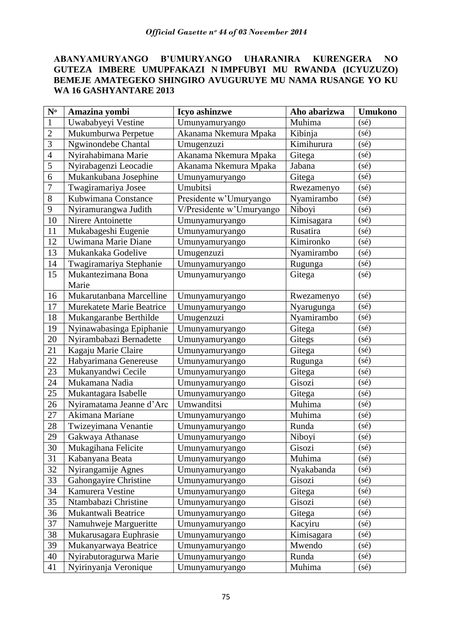## **ABANYAMURYANGO B'UMURYANGO UHARANIRA KURENGERA NO GUTEZA IMBERE UMUPFAKAZI N IMPFUBYI MU RWANDA (ICYUZUZO) BEMEJE AMATEGEKO SHINGIRO AVUGURUYE MU NAMA RUSANGE YO KU WA 16 GASHYANTARE 2013**

| $N^{\rm o}$    | Amazina yombi                                       | Icyo ashinzwe                    | Aho abarizwa             | <b>Umukono</b> |
|----------------|-----------------------------------------------------|----------------------------------|--------------------------|----------------|
| $\mathbf{1}$   | Uwababyeyi Vestine                                  | Umunyamuryango                   | Muhima                   | (sé)           |
| $\overline{2}$ | Mukumburwa Perpetue                                 | Akanama Nkemura Mpaka            | Kibinja                  | (sé)           |
| 3              | Ngwinondebe Chantal                                 | Umugenzuzi                       | Kimihurura               | $(s\acute{e})$ |
| $\overline{4}$ | Nyirahabimana Marie                                 | Akanama Nkemura Mpaka            | Gitega                   | (sé)           |
| 5              | Nyirabagenzi Leocadie                               | Akanama Nkemura Mpaka            | Jabana                   | $(s\acute{e})$ |
| 6              | Mukankubana Josephine                               | Umunyamuryango                   | Gitega                   | (sé)           |
| 7              | Twagiramariya Josee                                 | Umubitsi                         | Rwezamenyo               | $(s\acute{e})$ |
| 8              | Kubwimana Constance                                 | Presidente w'Umuryango           | Nyamirambo               | $(s\acute{e})$ |
| 9              | Nyiramurangwa Judith                                | V/Presidente w'Umuryango         | Niboyi                   | (sé)           |
| 10             | Nirere Antoinette                                   | Umunyamuryango                   | Kimisagara               | (sé)           |
| 11             | Mukabageshi Eugenie                                 | Umunyamuryango                   | Rusatira                 | (sé)           |
| 12             | Uwimana Marie Diane                                 | Umunyamuryango                   | Kimironko                | $(s\acute{e})$ |
| 13             | Mukankaka Godelive                                  | Umugenzuzi                       | Nyamirambo               | (sé)           |
| 14             | Twagiramariya Stephanie                             | Umunyamuryango                   | Rugunga                  | (sé)           |
| 15             | Mukantezimana Bona<br>Marie                         | Umunyamuryango                   | Gitega                   | $(s\acute{e})$ |
| 16             | Mukarutanbana Marcelline                            |                                  |                          | (sé)           |
| 17             | Murekatete Marie Beatrice                           | Umunyamuryango                   | Rwezamenyo               | $(s\acute{e})$ |
| 18             | Mukangaranbe Berthilde                              | Umunyamuryango<br>Umugenzuzi     | Nyarugunga<br>Nyamirambo | (sé)           |
| 19             |                                                     |                                  |                          | $(s\acute{e})$ |
| 20             | Nyinawabasinga Epiphanie<br>Nyirambabazi Bernadette | Umunyamuryango<br>Umunyamuryango | Gitega                   | (sé)           |
| 21             | Kagaju Marie Claire                                 |                                  | Gitegs<br>Gitega         | (sé)           |
| 22             | Habyarimana Genereuse                               | Umunyamuryango<br>Umunyamuryango | Rugunga                  | (sé)           |
| 23             | Mukanyandwi Cecile                                  |                                  | Gitega                   | (sé)           |
| 24             | Mukamana Nadia                                      | Umunyamuryango<br>Umunyamuryango | Gisozi                   | (sé)           |
| 25             | Mukantagara Isabelle                                | Umunyamuryango                   | Gitega                   | $(s\acute{e})$ |
| 26             | Nyiramatama Jeanne d'Arc                            | Umwanditsi                       | Muhima                   | (sé)           |
| 27             | Akimana Mariane                                     | Umunyamuryango                   | Muhima                   | $(s\acute{e})$ |
| 28             | Twizeyimana Venantie                                | Umunyamuryango                   | Runda                    | $(s\acute{e})$ |
| 29             | Gakwaya Athanase                                    | Umunyamuryango                   | Niboyi                   | (sé)           |
| 30             | Mukagihana Felicite                                 | Umunyamuryango                   | Gisozi                   | (sé)           |
| 31             | Kabanyana Beata                                     | Umunyamuryango                   | Muhima                   | $(s\acute{e})$ |
| 32             | Nyirangamije Agnes                                  | Umunyamuryango                   | Nyakabanda               | $(s\acute{e})$ |
| 33             | Gahongayire Christine                               | Umunyamuryango                   | Gisozi                   | $(s\acute{e})$ |
| 34             | Kamurera Vestine                                    | Umunyamuryango                   | Gitega                   | $(s\acute{e})$ |
| 35             | Ntambabazi Christine                                | Umunyamuryango                   | Gisozi                   | $(s\acute{e})$ |
| 36             | Mukantwali Beatrice                                 | Umunyamuryango                   | Gitega                   | $(s\acute{e})$ |
| 37             | Namuhweje Margueritte                               | Umunyamuryango                   | Kacyiru                  | $(s\acute{e})$ |
| 38             | Mukarusagara Euphrasie                              | Umunyamuryango                   | Kimisagara               | $(s\acute{e})$ |
| 39             | Mukanyarwaya Beatrice                               | Umunyamuryango                   | Mwendo                   | $(s\acute{e})$ |
| 40             | Nyirabutoragurwa Marie                              | Umunyamuryango                   | Runda                    | $(s\acute{e})$ |
| 41             | Nyirinyanja Veronique                               | Umunyamuryango                   | Muhima                   | $(s\acute{e})$ |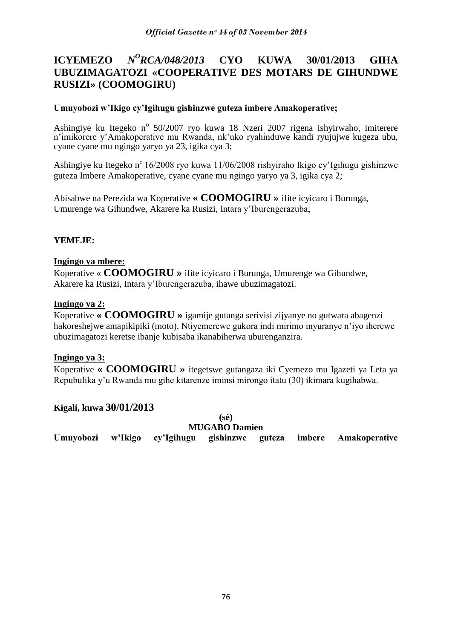#### **ICYEMEZO** *N <sup>O</sup>RCA/048/2013* **CYO KUWA 30/01/2013 GIHA UBUZIMAGATOZI «COOPERATIVE DES MOTARS DE GIHUNDWE RUSIZI» (COOMOGIRU)**

## **Umuyobozi w'Ikigo cy'Igihugu gishinzwe guteza imbere Amakoperative;**

Ashingiye ku Itegeko nº 50/2007 ryo kuwa 18 Nzeri 2007 rigena ishyirwaho, imiterere n"imikorere y"Amakoperative mu Rwanda, nk"uko ryahinduwe kandi ryujujwe kugeza ubu, cyane cyane mu ngingo yaryo ya 23, igika cya 3;

Ashingiye ku Itegeko n<sup>o</sup> 16/2008 ryo kuwa 11/06/2008 rishyiraho Ikigo cy'Igihugu gishinzwe guteza Imbere Amakoperative, cyane cyane mu ngingo yaryo ya 3, igika cya 2;

Abisabwe na Perezida wa Koperative **« COOMOGIRU »** ifite icyicaro i Burunga, Umurenge wa Gihundwe, Akarere ka Rusizi, Intara y"Iburengerazuba;

## **YEMEJE:**

## **Ingingo ya mbere:**

Koperative « **COOMOGIRU »** ifite icyicaro i Burunga, Umurenge wa Gihundwe, Akarere ka Rusizi, Intara y"Iburengerazuba, ihawe ubuzimagatozi.

## **Ingingo ya 2:**

Koperative **« COOMOGIRU »** igamije gutanga serivisi zijyanye no gutwara abagenzi hakoreshejwe amapikipiki (moto). Ntiyemerewe gukora indi mirimo inyuranye n"iyo iherewe ubuzimagatozi keretse ibanje kubisaba ikanabiherwa uburenganzira.

## **Ingingo ya 3:**

Koperative **« COOMOGIRU »** itegetswe gutangaza iki Cyemezo mu Igazeti ya Leta ya Repubulika y"u Rwanda mu gihe kitarenze iminsi mirongo itatu (30) ikimara kugihabwa.

## **Kigali, kuwa 30/01/2013**

**(sé) MUGABO Damien**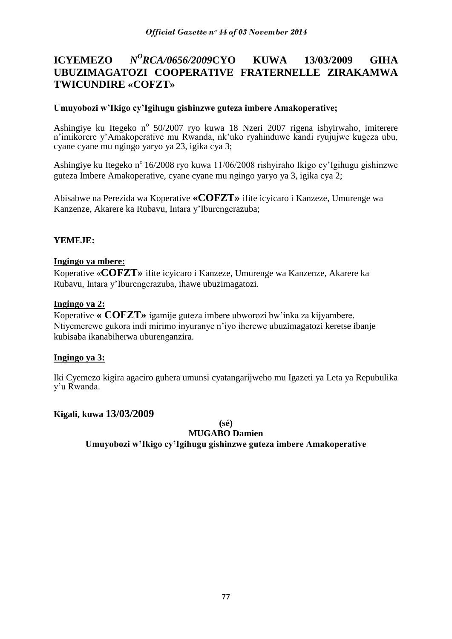### **ICYEMEZO** *N <sup>O</sup>RCA/0656/2009***CYO KUWA 13/03/2009 GIHA UBUZIMAGATOZI COOPERATIVE FRATERNELLE ZIRAKAMWA TWICUNDIRE «COFZT»**

## **Umuyobozi w'Ikigo cy'Igihugu gishinzwe guteza imbere Amakoperative;**

Ashingiye ku Itegeko nº 50/2007 ryo kuwa 18 Nzeri 2007 rigena ishyirwaho, imiterere n"imikorere y"Amakoperative mu Rwanda, nk"uko ryahinduwe kandi ryujujwe kugeza ubu, cyane cyane mu ngingo yaryo ya 23, igika cya 3;

Ashingiye ku Itegeko n<sup>o</sup> 16/2008 ryo kuwa 11/06/2008 rishyiraho Ikigo cy'Igihugu gishinzwe guteza Imbere Amakoperative, cyane cyane mu ngingo yaryo ya 3, igika cya 2;

Abisabwe na Perezida wa Koperative **«COFZT»** ifite icyicaro i Kanzeze, Umurenge wa Kanzenze, Akarere ka Rubavu, Intara y"Iburengerazuba;

## **YEMEJE:**

## **Ingingo ya mbere:**

Koperative «**COFZT»** ifite icyicaro i Kanzeze, Umurenge wa Kanzenze, Akarere ka Rubavu, Intara y"Iburengerazuba, ihawe ubuzimagatozi.

## **Ingingo ya 2:**

Koperative **« COFZT»** igamije guteza imbere ubworozi bw"inka za kijyambere. Ntiyemerewe gukora indi mirimo inyuranye n"iyo iherewe ubuzimagatozi keretse ibanje kubisaba ikanabiherwa uburenganzira.

## **Ingingo ya 3:**

Iki Cyemezo kigira agaciro guhera umunsi cyatangarijweho mu Igazeti ya Leta ya Repubulika y"u Rwanda.

## **Kigali, kuwa 13/03/2009**

**(sé)**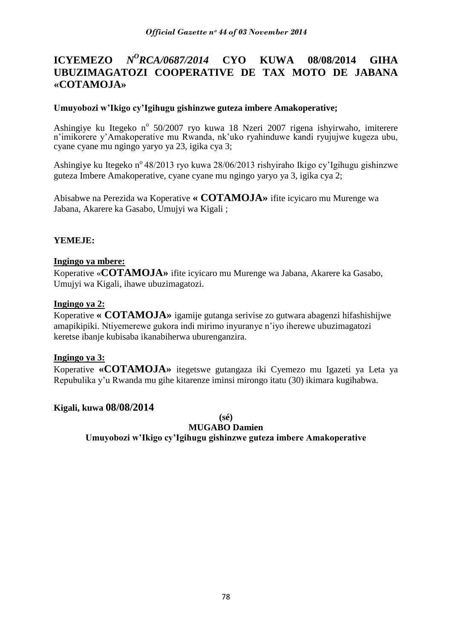#### **ICYEMEZO** *N <sup>O</sup>RCA/0687/2014* **CYO KUWA 08/08/2014 GIHA UBUZIMAGATOZI COOPERATIVE DE TAX MOTO DE JABANA «COTAMOJA»**

## **Umuyobozi w'Ikigo cy'Igihugu gishinzwe guteza imbere Amakoperative;**

Ashingiye ku Itegeko nº 50/2007 ryo kuwa 18 Nzeri 2007 rigena ishyirwaho, imiterere n"imikorere y"Amakoperative mu Rwanda, nk"uko ryahinduwe kandi ryujujwe kugeza ubu, cyane cyane mu ngingo yaryo ya 23, igika cya 3;

Ashingiye ku Itegeko n<sup>o</sup> 48/2013 ryo kuwa 28/06/2013 rishyiraho Ikigo cy'Igihugu gishinzwe guteza Imbere Amakoperative, cyane cyane mu ngingo yaryo ya 3, igika cya 2;

Abisabwe na Perezida wa Koperative **« COTAMOJA»** ifite icyicaro mu Murenge wa Jabana, Akarere ka Gasabo, Umujyi wa Kigali ;

## **YEMEJE:**

## **Ingingo ya mbere:**

Koperative «**COTAMOJA»** ifite icyicaro mu Murenge wa Jabana, Akarere ka Gasabo, Umujyi wa Kigali, ihawe ubuzimagatozi.

## **Ingingo ya 2:**

Koperative **« COTAMOJA»** igamije gutanga serivise zo gutwara abagenzi hifashishijwe amapikipiki. Ntiyemerewe gukora indi mirimo inyuranye n"iyo iherewe ubuzimagatozi keretse ibanje kubisaba ikanabiherwa uburenganzira.

## **Ingingo ya 3:**

Koperative **«COTAMOJA»** itegetswe gutangaza iki Cyemezo mu Igazeti ya Leta ya Repubulika y"u Rwanda mu gihe kitarenze iminsi mirongo itatu (30) ikimara kugihabwa.

## **Kigali, kuwa 08/08/2014**

**(sé)**

**MUGABO Damien**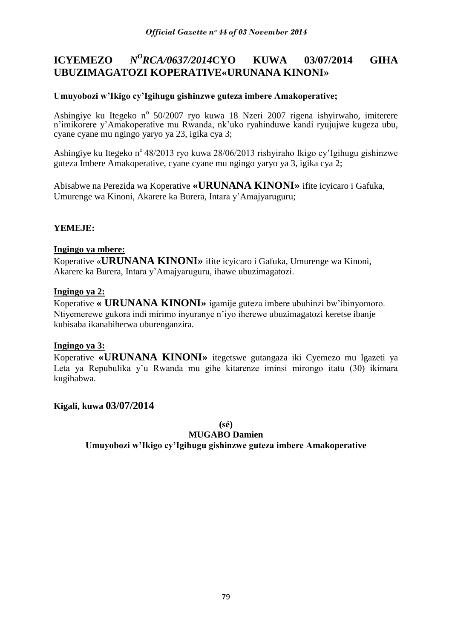#### **ICYEMEZO** *N <sup>O</sup>RCA/0637/2014***CYO KUWA 03/07/2014 GIHA UBUZIMAGATOZI KOPERATIVE«URUNANA KINONI»**

## **Umuyobozi w'Ikigo cy'Igihugu gishinzwe guteza imbere Amakoperative;**

Ashingiye ku Itegeko nº 50/2007 ryo kuwa 18 Nzeri 2007 rigena ishyirwaho, imiterere n"imikorere y"Amakoperative mu Rwanda, nk"uko ryahinduwe kandi ryujujwe kugeza ubu, cyane cyane mu ngingo yaryo ya 23, igika cya 3;

Ashingiye ku Itegeko n<sup>o</sup> 48/2013 ryo kuwa 28/06/2013 rishyiraho Ikigo cy'Igihugu gishinzwe guteza Imbere Amakoperative, cyane cyane mu ngingo yaryo ya 3, igika cya 2;

Abisabwe na Perezida wa Koperative **«URUNANA KINONI»** ifite icyicaro i Gafuka, Umurenge wa Kinoni, Akarere ka Burera, Intara y"Amajyaruguru;

# **YEMEJE:**

## **Ingingo ya mbere:**

Koperative «**URUNANA KINONI»** ifite icyicaro i Gafuka, Umurenge wa Kinoni, Akarere ka Burera, Intara y"Amajyaruguru, ihawe ubuzimagatozi.

## **Ingingo ya 2:**

Koperative **« URUNANA KINONI»** igamije guteza imbere ubuhinzi bw"ibinyomoro. Ntiyemerewe gukora indi mirimo inyuranye n"iyo iherewe ubuzimagatozi keretse ibanje kubisaba ikanabiherwa uburenganzira.

## **Ingingo ya 3:**

Koperative **«URUNANA KINONI»** itegetswe gutangaza iki Cyemezo mu Igazeti ya Leta ya Repubulika y'u Rwanda mu gihe kitarenze iminsi mirongo itatu (30) ikimara kugihabwa.

## **Kigali, kuwa 03/07/2014**

**(sé)**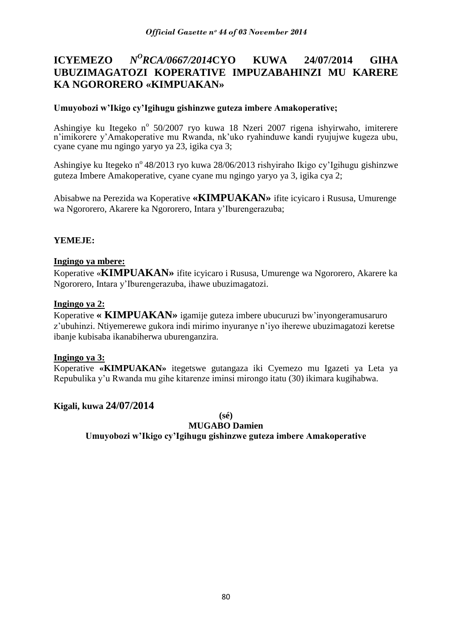### **ICYEMEZO** *N <sup>O</sup>RCA/0667/2014***CYO KUWA 24/07/2014 GIHA UBUZIMAGATOZI KOPERATIVE IMPUZABAHINZI MU KARERE KA NGORORERO «KIMPUAKAN»**

## **Umuyobozi w'Ikigo cy'Igihugu gishinzwe guteza imbere Amakoperative;**

Ashingiye ku Itegeko nº 50/2007 ryo kuwa 18 Nzeri 2007 rigena ishyirwaho, imiterere n"imikorere y"Amakoperative mu Rwanda, nk"uko ryahinduwe kandi ryujujwe kugeza ubu, cyane cyane mu ngingo yaryo ya 23, igika cya 3;

Ashingiye ku Itegeko n<sup>o</sup> 48/2013 ryo kuwa 28/06/2013 rishyiraho Ikigo cy'Igihugu gishinzwe guteza Imbere Amakoperative, cyane cyane mu ngingo yaryo ya 3, igika cya 2;

Abisabwe na Perezida wa Koperative **«KIMPUAKAN»** ifite icyicaro i Rususa, Umurenge wa Ngororero, Akarere ka Ngororero, Intara y"Iburengerazuba;

# **YEMEJE:**

## **Ingingo ya mbere:**

Koperative «**KIMPUAKAN»** ifite icyicaro i Rususa, Umurenge wa Ngororero, Akarere ka Ngororero, Intara y"Iburengerazuba, ihawe ubuzimagatozi.

## **Ingingo ya 2:**

Koperative **« KIMPUAKAN»** igamije guteza imbere ubucuruzi bw"inyongeramusaruro z"ubuhinzi. Ntiyemerewe gukora indi mirimo inyuranye n"iyo iherewe ubuzimagatozi keretse ibanje kubisaba ikanabiherwa uburenganzira.

## **Ingingo ya 3:**

Koperative **«KIMPUAKAN»** itegetswe gutangaza iki Cyemezo mu Igazeti ya Leta ya Repubulika y"u Rwanda mu gihe kitarenze iminsi mirongo itatu (30) ikimara kugihabwa.

## **Kigali, kuwa 24/07/2014**

**(sé)**

**MUGABO Damien**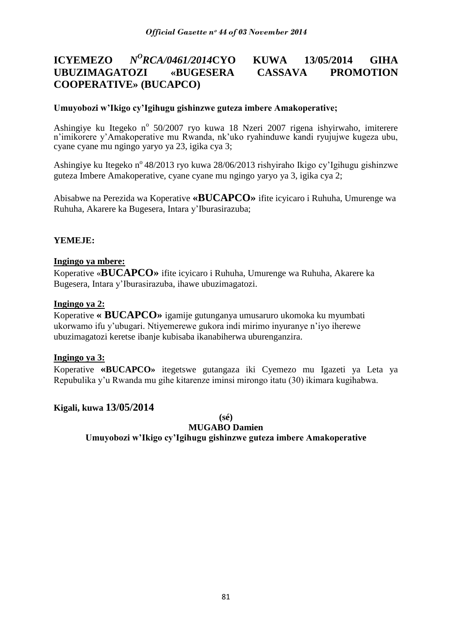### **ICYEMEZO** *<sup>O</sup>RCA/0461/2014***CYO KUWA 13/05/2014 GIHA UBUZIMAGATOZI «BUGESERA CASSAVA PROMOTION COOPERATIVE» (BUCAPCO)**

## **Umuyobozi w'Ikigo cy'Igihugu gishinzwe guteza imbere Amakoperative;**

Ashingiye ku Itegeko nº 50/2007 ryo kuwa 18 Nzeri 2007 rigena ishyirwaho, imiterere n"imikorere y"Amakoperative mu Rwanda, nk"uko ryahinduwe kandi ryujujwe kugeza ubu, cyane cyane mu ngingo yaryo ya 23, igika cya 3;

Ashingiye ku Itegeko n<sup>o</sup> 48/2013 ryo kuwa 28/06/2013 rishyiraho Ikigo cy'Igihugu gishinzwe guteza Imbere Amakoperative, cyane cyane mu ngingo yaryo ya 3, igika cya 2;

Abisabwe na Perezida wa Koperative **«BUCAPCO»** ifite icyicaro i Ruhuha, Umurenge wa Ruhuha, Akarere ka Bugesera, Intara y"Iburasirazuba;

## **YEMEJE:**

## **Ingingo ya mbere:**

Koperative «**BUCAPCO»** ifite icyicaro i Ruhuha, Umurenge wa Ruhuha, Akarere ka Bugesera, Intara y"Iburasirazuba, ihawe ubuzimagatozi.

## **Ingingo ya 2:**

Koperative **« BUCAPCO»** igamije gutunganya umusaruro ukomoka ku myumbati ukorwamo ifu y"ubugari. Ntiyemerewe gukora indi mirimo inyuranye n"iyo iherewe ubuzimagatozi keretse ibanje kubisaba ikanabiherwa uburenganzira.

## **Ingingo ya 3:**

Koperative **«BUCAPCO»** itegetswe gutangaza iki Cyemezo mu Igazeti ya Leta ya Repubulika y"u Rwanda mu gihe kitarenze iminsi mirongo itatu (30) ikimara kugihabwa.

## **Kigali, kuwa 13/05/2014**

**(sé)**

**MUGABO Damien**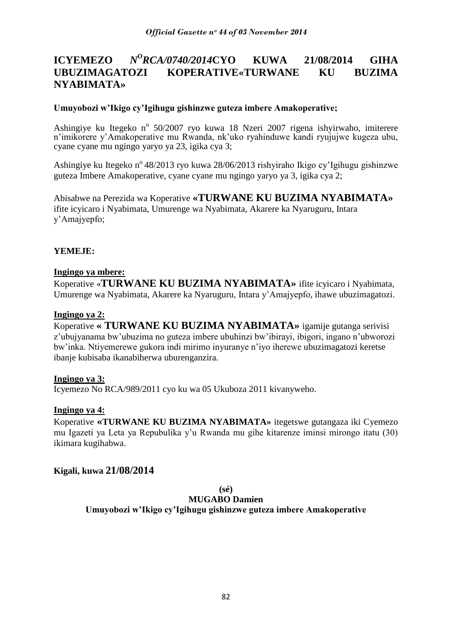#### **ICYEMEZO** *N <sup>O</sup>RCA/0740/2014***CYO KUWA 21/08/2014 GIHA UBUZIMAGATOZI KOPERATIVE«TURWANE KU BUZIMA NYABIMATA»**

## **Umuyobozi w'Ikigo cy'Igihugu gishinzwe guteza imbere Amakoperative;**

Ashingiye ku Itegeko nº 50/2007 ryo kuwa 18 Nzeri 2007 rigena ishyirwaho, imiterere n"imikorere y"Amakoperative mu Rwanda, nk"uko ryahinduwe kandi ryujujwe kugeza ubu, cyane cyane mu ngingo yaryo ya 23, igika cya 3;

Ashingiye ku Itegeko n<sup>o</sup> 48/2013 ryo kuwa 28/06/2013 rishyiraho Ikigo cy'Igihugu gishinzwe guteza Imbere Amakoperative, cyane cyane mu ngingo yaryo ya 3, igika cya 2;

Abisabwe na Perezida wa Koperative **«TURWANE KU BUZIMA NYABIMATA»**  ifite icyicaro i Nyabimata, Umurenge wa Nyabimata, Akarere ka Nyaruguru, Intara y"Amajyepfo;

## **YEMEJE:**

## **Ingingo ya mbere:**

Koperative «**TURWANE KU BUZIMA NYABIMATA»** ifite icyicaro i Nyabimata, Umurenge wa Nyabimata, Akarere ka Nyaruguru, Intara y"Amajyepfo, ihawe ubuzimagatozi.

## **Ingingo ya 2:**

Koperative **« TURWANE KU BUZIMA NYABIMATA»** igamije gutanga serivisi z"ubujyanama bw"ubuzima no guteza imbere ubuhinzi bw"ibirayi, ibigori, ingano n"ubworozi bw"inka. Ntiyemerewe gukora indi mirimo inyuranye n"iyo iherewe ubuzimagatozi keretse ibanje kubisaba ikanabiherwa uburenganzira.

## **Ingingo ya 3:**

Icyemezo No RCA/989/2011 cyo ku wa 05 Ukuboza 2011 kivanyweho.

## **Ingingo ya 4:**

Koperative **«TURWANE KU BUZIMA NYABIMATA»** itegetswe gutangaza iki Cyemezo mu Igazeti ya Leta ya Repubulika y"u Rwanda mu gihe kitarenze iminsi mirongo itatu (30) ikimara kugihabwa.

## **Kigali, kuwa 21/08/2014**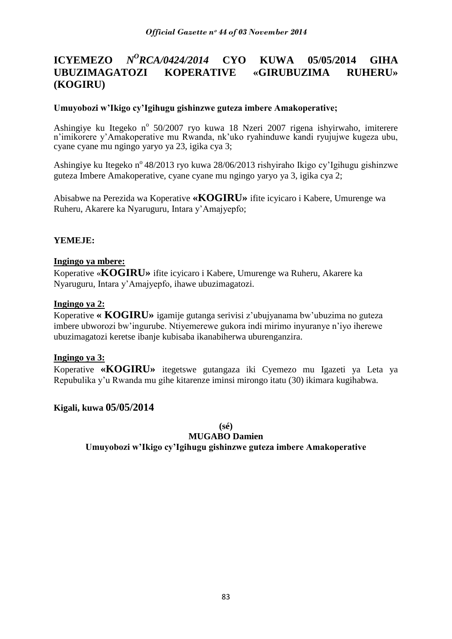#### **ICYEMEZO** *N <sup>O</sup>RCA/0424/2014* **CYO KUWA 05/05/2014 GIHA UBUZIMAGATOZI KOPERATIVE «GIRUBUZIMA RUHERU» (KOGIRU)**

## **Umuyobozi w'Ikigo cy'Igihugu gishinzwe guteza imbere Amakoperative;**

Ashingiye ku Itegeko nº 50/2007 ryo kuwa 18 Nzeri 2007 rigena ishyirwaho, imiterere n"imikorere y"Amakoperative mu Rwanda, nk"uko ryahinduwe kandi ryujujwe kugeza ubu, cyane cyane mu ngingo yaryo ya 23, igika cya 3;

Ashingiye ku Itegeko n<sup>o</sup> 48/2013 ryo kuwa 28/06/2013 rishyiraho Ikigo cy'Igihugu gishinzwe guteza Imbere Amakoperative, cyane cyane mu ngingo yaryo ya 3, igika cya 2;

Abisabwe na Perezida wa Koperative **«KOGIRU»** ifite icyicaro i Kabere, Umurenge wa Ruheru, Akarere ka Nyaruguru, Intara y"Amajyepfo;

# **YEMEJE:**

## **Ingingo ya mbere:**

Koperative «**KOGIRU»** ifite icyicaro i Kabere, Umurenge wa Ruheru, Akarere ka Nyaruguru, Intara y"Amajyepfo, ihawe ubuzimagatozi.

## **Ingingo ya 2:**

Koperative **« KOGIRU»** igamije gutanga serivisi z"ubujyanama bw"ubuzima no guteza imbere ubworozi bw"ingurube. Ntiyemerewe gukora indi mirimo inyuranye n"iyo iherewe ubuzimagatozi keretse ibanje kubisaba ikanabiherwa uburenganzira.

## **Ingingo ya 3:**

Koperative **«KOGIRU»** itegetswe gutangaza iki Cyemezo mu Igazeti ya Leta ya Repubulika y"u Rwanda mu gihe kitarenze iminsi mirongo itatu (30) ikimara kugihabwa.

## **Kigali, kuwa 05/05/2014**

**(sé)**

**MUGABO Damien**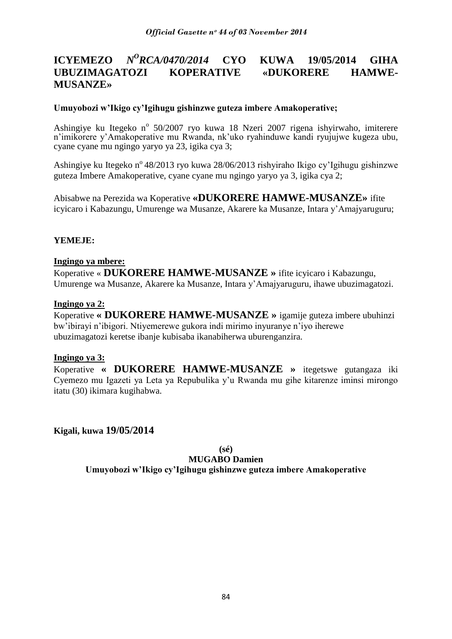#### **ICYEMEZO** *N <sup>O</sup>RCA/0470/2014* **CYO KUWA 19/05/2014 GIHA UBUZIMAGATOZI KOPERATIVE «DUKORERE HAMWE-MUSANZE»**

## **Umuyobozi w'Ikigo cy'Igihugu gishinzwe guteza imbere Amakoperative;**

Ashingiye ku Itegeko nº 50/2007 ryo kuwa 18 Nzeri 2007 rigena ishyirwaho, imiterere n"imikorere y"Amakoperative mu Rwanda, nk"uko ryahinduwe kandi ryujujwe kugeza ubu, cyane cyane mu ngingo yaryo ya 23, igika cya 3;

Ashingiye ku Itegeko n<sup>o</sup> 48/2013 ryo kuwa 28/06/2013 rishyiraho Ikigo cy'Igihugu gishinzwe guteza Imbere Amakoperative, cyane cyane mu ngingo yaryo ya 3, igika cya 2;

Abisabwe na Perezida wa Koperative **«DUKORERE HAMWE-MUSANZE»** ifite icyicaro i Kabazungu, Umurenge wa Musanze, Akarere ka Musanze, Intara y"Amajyaruguru;

## **YEMEJE:**

## **Ingingo ya mbere:**

Koperative « **DUKORERE HAMWE-MUSANZE »** ifite icyicaro i Kabazungu, Umurenge wa Musanze, Akarere ka Musanze, Intara y"Amajyaruguru, ihawe ubuzimagatozi.

## **Ingingo ya 2:**

Koperative **« DUKORERE HAMWE-MUSANZE »** igamije guteza imbere ubuhinzi bw"ibirayi n"ibigori. Ntiyemerewe gukora indi mirimo inyuranye n"iyo iherewe ubuzimagatozi keretse ibanje kubisaba ikanabiherwa uburenganzira.

## **Ingingo ya 3:**

Koperative **« DUKORERE HAMWE-MUSANZE »** itegetswe gutangaza iki Cyemezo mu Igazeti ya Leta ya Repubulika y"u Rwanda mu gihe kitarenze iminsi mirongo itatu (30) ikimara kugihabwa.

**Kigali, kuwa 19/05/2014**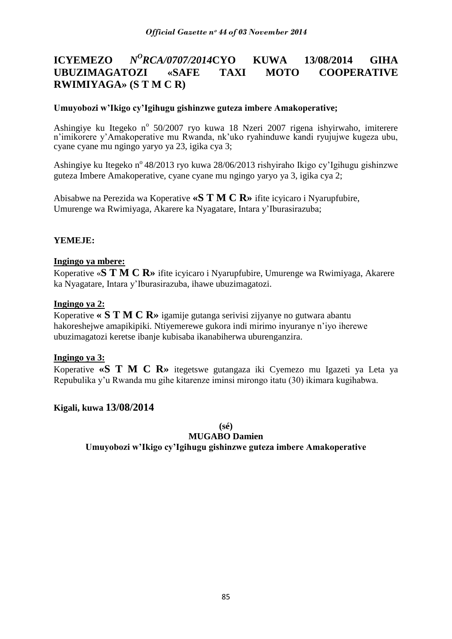### **ICYEMEZO** *N <sup>O</sup>RCA/0707/2014***CYO KUWA 13/08/2014 GIHA UBUZIMAGATOZI «SAFE TAXI MOTO COOPERATIVE RWIMIYAGA» (S T M C R)**

## **Umuyobozi w'Ikigo cy'Igihugu gishinzwe guteza imbere Amakoperative;**

Ashingiye ku Itegeko nº 50/2007 ryo kuwa 18 Nzeri 2007 rigena ishyirwaho, imiterere n"imikorere y"Amakoperative mu Rwanda, nk"uko ryahinduwe kandi ryujujwe kugeza ubu, cyane cyane mu ngingo yaryo ya 23, igika cya 3;

Ashingiye ku Itegeko n<sup>o</sup> 48/2013 ryo kuwa 28/06/2013 rishyiraho Ikigo cy'Igihugu gishinzwe guteza Imbere Amakoperative, cyane cyane mu ngingo yaryo ya 3, igika cya 2;

Abisabwe na Perezida wa Koperative **«S T M C R»** ifite icyicaro i Nyarupfubire, Umurenge wa Rwimiyaga, Akarere ka Nyagatare, Intara y"Iburasirazuba;

# **YEMEJE:**

## **Ingingo ya mbere:**

Koperative «**S T M C R»** ifite icyicaro i Nyarupfubire, Umurenge wa Rwimiyaga, Akarere ka Nyagatare, Intara y"Iburasirazuba, ihawe ubuzimagatozi.

## **Ingingo ya 2:**

Koperative **« S T M C R»** igamije gutanga serivisi zijyanye no gutwara abantu hakoreshejwe amapikipiki. Ntiyemerewe gukora indi mirimo inyuranye n"iyo iherewe ubuzimagatozi keretse ibanje kubisaba ikanabiherwa uburenganzira.

## **Ingingo ya 3:**

Koperative **«S T M C R»** itegetswe gutangaza iki Cyemezo mu Igazeti ya Leta ya Repubulika y"u Rwanda mu gihe kitarenze iminsi mirongo itatu (30) ikimara kugihabwa.

## **Kigali, kuwa 13/08/2014**

**(sé)**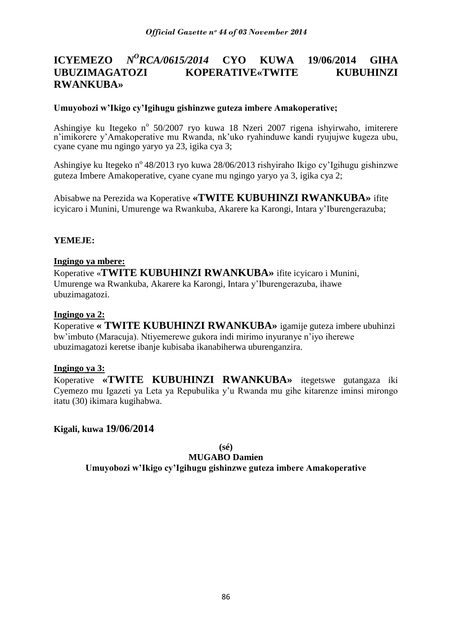#### **ICYEMEZO** *N <sup>O</sup>RCA/0615/2014* **CYO KUWA 19/06/2014 GIHA UBUZIMAGATOZI KOPERATIVE«TWITE KUBUHINZI RWANKUBA»**

## **Umuyobozi w'Ikigo cy'Igihugu gishinzwe guteza imbere Amakoperative;**

Ashingiye ku Itegeko nº 50/2007 ryo kuwa 18 Nzeri 2007 rigena ishyirwaho, imiterere n"imikorere y"Amakoperative mu Rwanda, nk"uko ryahinduwe kandi ryujujwe kugeza ubu, cyane cyane mu ngingo yaryo ya 23, igika cya 3;

Ashingiye ku Itegeko n<sup>o</sup> 48/2013 ryo kuwa 28/06/2013 rishyiraho Ikigo cy'Igihugu gishinzwe guteza Imbere Amakoperative, cyane cyane mu ngingo yaryo ya 3, igika cya 2;

Abisabwe na Perezida wa Koperative **«TWITE KUBUHINZI RWANKUBA»** ifite icyicaro i Munini, Umurenge wa Rwankuba, Akarere ka Karongi, Intara y"Iburengerazuba;

## **YEMEJE:**

## **Ingingo ya mbere:**

Koperative «**TWITE KUBUHINZI RWANKUBA»** ifite icyicaro i Munini, Umurenge wa Rwankuba, Akarere ka Karongi, Intara y"Iburengerazuba, ihawe ubuzimagatozi.

## **Ingingo ya 2:**

Koperative **« TWITE KUBUHINZI RWANKUBA»** igamije guteza imbere ubuhinzi bw"imbuto (Maracuja). Ntiyemerewe gukora indi mirimo inyuranye n"iyo iherewe ubuzimagatozi keretse ibanje kubisaba ikanabiherwa uburenganzira.

## **Ingingo ya 3:**

Koperative **«TWITE KUBUHINZI RWANKUBA»** itegetswe gutangaza iki Cyemezo mu Igazeti ya Leta ya Repubulika y"u Rwanda mu gihe kitarenze iminsi mirongo itatu (30) ikimara kugihabwa.

**Kigali, kuwa 19/06/2014**

**(sé)**

## **MUGABO Damien**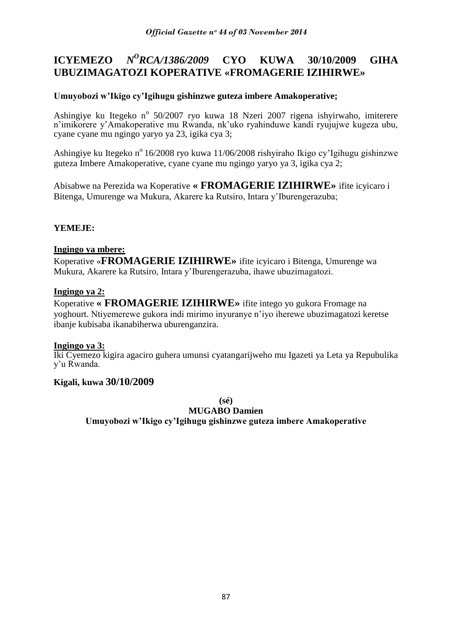#### **ICYEMEZO** *N <sup>O</sup>RCA/1386/2009* **CYO KUWA 30/10/2009 GIHA UBUZIMAGATOZI KOPERATIVE «FROMAGERIE IZIHIRWE»**

## **Umuyobozi w'Ikigo cy'Igihugu gishinzwe guteza imbere Amakoperative;**

Ashingiye ku Itegeko nº 50/2007 ryo kuwa 18 Nzeri 2007 rigena ishyirwaho, imiterere n'imikorere y'Amakoperative mu Rwanda, nk'uko ryahinduwe kandi ryujujwe kugeza ubu, cyane cyane mu ngingo yaryo ya 23, igika cya 3;

Ashingiye ku Itegeko n<sup>o</sup> 16/2008 ryo kuwa 11/06/2008 rishyiraho Ikigo cy'Igihugu gishinzwe guteza Imbere Amakoperative, cyane cyane mu ngingo yaryo ya 3, igika cya 2;

Abisabwe na Perezida wa Koperative **« FROMAGERIE IZIHIRWE»** ifite icyicaro i Bitenga, Umurenge wa Mukura, Akarere ka Rutsiro, Intara y"Iburengerazuba;

## **YEMEJE:**

## **Ingingo ya mbere:**

Koperative «**FROMAGERIE IZIHIRWE»** ifite icyicaro i Bitenga, Umurenge wa Mukura, Akarere ka Rutsiro, Intara y"Iburengerazuba, ihawe ubuzimagatozi.

## **Ingingo ya 2:**

Koperative **« FROMAGERIE IZIHIRWE»** ifite intego yo gukora Fromage na yoghourt. Ntiyemerewe gukora indi mirimo inyuranye n"iyo iherewe ubuzimagatozi keretse ibanje kubisaba ikanabiherwa uburenganzira.

## **Ingingo ya 3:**

Iki Cyemezo kigira agaciro guhera umunsi cyatangarijweho mu Igazeti ya Leta ya Repubulika y"u Rwanda.

## **Kigali, kuwa 30/10/2009**

**(sé)**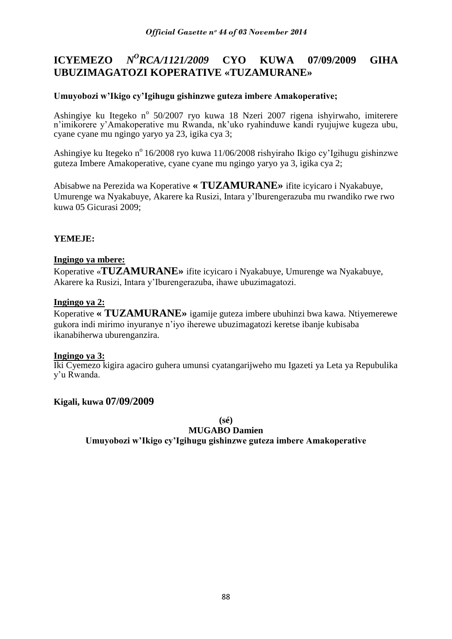#### **ICYEMEZO** *N <sup>O</sup>RCA/1121/2009* **CYO KUWA 07/09/2009 GIHA UBUZIMAGATOZI KOPERATIVE «TUZAMURANE»**

## **Umuyobozi w'Ikigo cy'Igihugu gishinzwe guteza imbere Amakoperative;**

Ashingiye ku Itegeko nº 50/2007 ryo kuwa 18 Nzeri 2007 rigena ishyirwaho, imiterere n"imikorere y"Amakoperative mu Rwanda, nk"uko ryahinduwe kandi ryujujwe kugeza ubu, cyane cyane mu ngingo yaryo ya 23, igika cya 3;

Ashingiye ku Itegeko n<sup>o</sup> 16/2008 ryo kuwa 11/06/2008 rishyiraho Ikigo cy'Igihugu gishinzwe guteza Imbere Amakoperative, cyane cyane mu ngingo yaryo ya 3, igika cya 2;

Abisabwe na Perezida wa Koperative **« TUZAMURANE»** ifite icyicaro i Nyakabuye, Umurenge wa Nyakabuye, Akarere ka Rusizi, Intara y"Iburengerazuba mu rwandiko rwe rwo kuwa 05 Gicurasi 2009;

## **YEMEJE:**

## **Ingingo ya mbere:**

Koperative «**TUZAMURANE»** ifite icyicaro i Nyakabuye, Umurenge wa Nyakabuye, Akarere ka Rusizi, Intara y"Iburengerazuba, ihawe ubuzimagatozi.

## **Ingingo ya 2:**

Koperative **« TUZAMURANE»** igamije guteza imbere ubuhinzi bwa kawa. Ntiyemerewe gukora indi mirimo inyuranye n"iyo iherewe ubuzimagatozi keretse ibanje kubisaba ikanabiherwa uburenganzira.

## **Ingingo ya 3:**

Iki Cyemezo kigira agaciro guhera umunsi cyatangarijweho mu Igazeti ya Leta ya Repubulika y"u Rwanda.

## **Kigali, kuwa 07/09/2009**

**(sé)**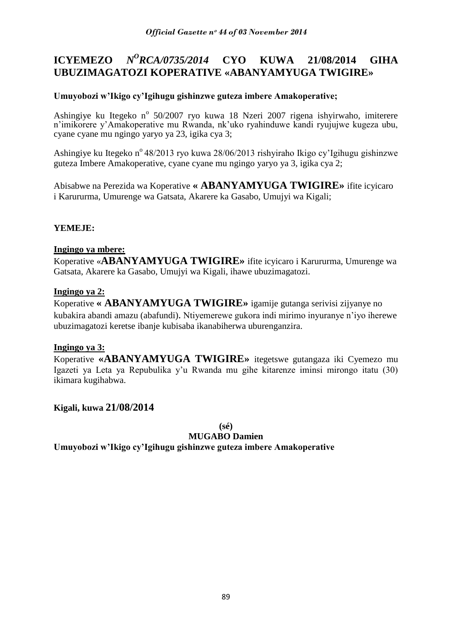#### **ICYEMEZO** *N <sup>O</sup>RCA/0735/2014* **CYO KUWA 21/08/2014 GIHA UBUZIMAGATOZI KOPERATIVE «ABANYAMYUGA TWIGIRE»**

## **Umuyobozi w'Ikigo cy'Igihugu gishinzwe guteza imbere Amakoperative;**

Ashingiye ku Itegeko nº 50/2007 ryo kuwa 18 Nzeri 2007 rigena ishyirwaho, imiterere n"imikorere y"Amakoperative mu Rwanda, nk"uko ryahinduwe kandi ryujujwe kugeza ubu, cyane cyane mu ngingo yaryo ya 23, igika cya 3;

Ashingiye ku Itegeko n<sup>o</sup> 48/2013 ryo kuwa 28/06/2013 rishyiraho Ikigo cy'Igihugu gishinzwe guteza Imbere Amakoperative, cyane cyane mu ngingo yaryo ya 3, igika cya 2;

Abisabwe na Perezida wa Koperative **« ABANYAMYUGA TWIGIRE»** ifite icyicaro i Karururma, Umurenge wa Gatsata, Akarere ka Gasabo, Umujyi wa Kigali;

## **YEMEJE:**

## **Ingingo ya mbere:**

Koperative «**ABANYAMYUGA TWIGIRE»** ifite icyicaro i Karururma, Umurenge wa Gatsata, Akarere ka Gasabo, Umujyi wa Kigali, ihawe ubuzimagatozi.

## **Ingingo ya 2:**

Koperative **« ABANYAMYUGA TWIGIRE»** igamije gutanga serivisi zijyanye no kubakira abandi amazu (abafundi). Ntiyemerewe gukora indi mirimo inyuranye n"iyo iherewe ubuzimagatozi keretse ibanje kubisaba ikanabiherwa uburenganzira.

## **Ingingo ya 3:**

Koperative **«ABANYAMYUGA TWIGIRE»** itegetswe gutangaza iki Cyemezo mu Igazeti ya Leta ya Repubulika y"u Rwanda mu gihe kitarenze iminsi mirongo itatu (30) ikimara kugihabwa.

## **Kigali, kuwa 21/08/2014**

**(sé)**

**MUGABO Damien**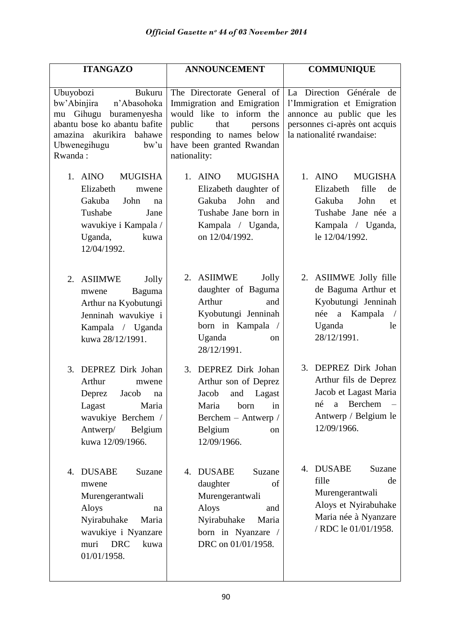| <b>ITANGAZO</b>                                                                                                                                                                     | <b>ANNOUNCEMENT</b>                                                                                                                                                                         | <b>COMMUNIQUE</b>                                                                                                                                  |
|-------------------------------------------------------------------------------------------------------------------------------------------------------------------------------------|---------------------------------------------------------------------------------------------------------------------------------------------------------------------------------------------|----------------------------------------------------------------------------------------------------------------------------------------------------|
| Ubuyobozi<br>Bukuru<br>bw'Abinjira<br>n'Abasohoka<br>Gihugu<br>buramenyesha<br>mu<br>abantu bose ko abantu bafite<br>amazina akurikira<br>bahawe<br>Ubwenegihugu<br>bw'u<br>Rwanda: | The Directorate General of<br>Immigration and Emigration<br>would like to inform the<br>public<br>that<br>persons<br>responding to names below<br>have been granted Rwandan<br>nationality: | La Direction Générale de<br>l'Immigration et Emigration<br>annonce au public que les<br>personnes ci-après ont acquis<br>la nationalité rwandaise: |
| 1. AINO<br><b>MUGISHA</b><br>Elizabeth<br>mwene<br>Gakuba<br>John<br>na<br>Tushabe<br>Jane<br>wavukiye i Kampala /<br>Uganda,<br>kuwa<br>12/04/1992.                                | <b>MUGISHA</b><br>1. AINO<br>Elizabeth daughter of<br>John<br>Gakuba<br>and<br>Tushabe Jane born in<br>Kampala / Uganda,<br>on 12/04/1992.                                                  | 1. AINO<br><b>MUGISHA</b><br>Elizabeth<br>fille<br>de<br>Gakuba<br>John<br>et<br>Tushabe Jane née a<br>Kampala / Uganda,<br>le 12/04/1992.         |
| 2. ASIIMWE<br>Jolly<br>Baguma<br>mwene<br>Arthur na Kyobutungi<br>Jenninah wavukiye i<br>Kampala / Uganda<br>kuwa 28/12/1991.                                                       | 2. ASIIMWE<br>Jolly<br>daughter of Baguma<br>Arthur<br>and<br>Kyobutungi Jenninah<br>born in Kampala /<br>Uganda<br><sub>on</sub><br>28/12/1991.                                            | 2. ASIIMWE Jolly fille<br>de Baguma Arthur et<br>Kyobutungi Jenninah<br>a Kampala<br>née<br>Uganda<br>le<br>28/12/1991.                            |
| 3. DEPREZ Dirk Johan<br>Arthur<br>mwene<br>Deprez<br>Jacob<br>na<br>Lagast<br>Maria<br>wavukiye Berchem /<br>Belgium<br>Antwerp/<br>kuwa 12/09/1966.                                | 3. DEPREZ Dirk Johan<br>Arthur son of Deprez<br>Jacob<br>and<br>Lagast<br>Maria<br>born<br>1n<br>Berchem - Antwerp /<br>Belgium<br><sub>on</sub><br>12/09/1966.                             | 3. DEPREZ Dirk Johan<br>Arthur fils de Deprez<br>Jacob et Lagast Maria<br>né a Berchem<br>Antwerp / Belgium le<br>12/09/1966.                      |
| <b>DUSABE</b><br>4.<br>Suzane<br>mwene<br>Murengerantwali<br>Aloys<br>na<br>Nyirabuhake<br>Maria<br>wavukiye i Nyanzare<br>muri<br><b>DRC</b><br>kuwa<br>01/01/1958.                | <b>DUSABE</b><br>Suzane<br>4.<br>daughter<br>of<br>Murengerantwali<br>Aloys<br>and<br>Nyirabuhake<br>Maria<br>born in Nyanzare<br>$\sqrt{2}$<br>DRC on 01/01/1958.                          | <b>DUSABE</b><br>Suzane<br>4.<br>fille<br>de<br>Murengerantwali<br>Aloys et Nyirabuhake<br>Maria née à Nyanzare<br>/ RDC le 01/01/1958.            |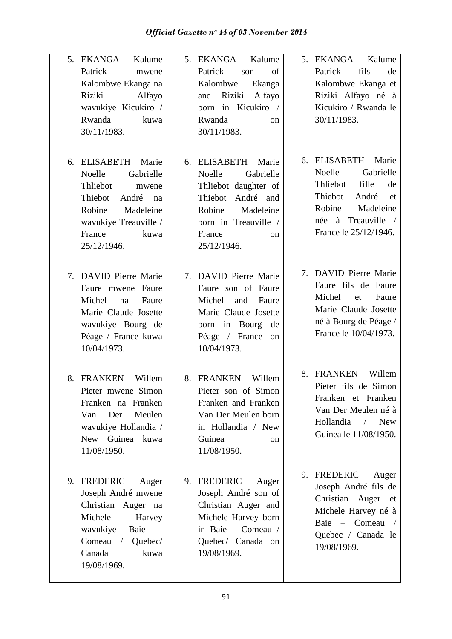| 5. EKANGA<br>Kalume<br>Patrick<br>mwene<br>Kalombwe Ekanga na<br>Riziki<br>Alfayo<br>wavukiye Kicukiro /<br>Rwanda<br>kuwa<br>30/11/1983.                                         | Kalume<br>5. EKANGA<br>Patrick<br>of<br>son<br>Kalombwe<br>Ekanga<br>Riziki<br>Alfayo<br>and<br>born in Kicukiro /<br>Rwanda<br><sub>on</sub><br>30/11/1983.                          | 5. EKANGA<br>Kalume<br>fils<br>Patrick<br>de<br>Kalombwe Ekanga et<br>Riziki Alfayo né à<br>Kicukiro / Rwanda le<br>30/11/1983.                                         |
|-----------------------------------------------------------------------------------------------------------------------------------------------------------------------------------|---------------------------------------------------------------------------------------------------------------------------------------------------------------------------------------|-------------------------------------------------------------------------------------------------------------------------------------------------------------------------|
| ELISABETH<br>Marie<br>6.<br>Gabrielle<br>Noelle<br>Thliebot<br>mwene<br>Thiebot<br>André<br>na<br>Robine<br>Madeleine<br>wavukiye Treauville /<br>France<br>kuwa<br>25/12/1946.   | 6. ELISABETH<br>Marie<br>Gabrielle<br>Noelle<br>Thliebot daughter of<br>André and<br>Thiebot<br>Robine<br>Madeleine<br>born in Treauville /<br>France<br><sub>on</sub><br>25/12/1946. | 6. ELISABETH<br>Marie<br>Gabrielle<br>Noelle<br>fille<br>Thliebot<br>de<br>Thiebot<br>André<br>et<br>Madeleine<br>Robine<br>née à Treauville /<br>France le 25/12/1946. |
| 7. DAVID Pierre Marie<br>Faure mwene Faure<br>Michel<br>Faure<br>na<br>Marie Claude Josette<br>wavukiye Bourg de<br>Péage / France kuwa<br>10/04/1973.                            | 7. DAVID Pierre Marie<br>Faure son of Faure<br>Michel<br>and<br>Faure<br>Marie Claude Josette<br>born in Bourg<br>de<br>Péage / France<br>on<br>10/04/1973.                           | 7. DAVID Pierre Marie<br>Faure fils de Faure<br>Michel<br>Faure<br>et<br>Marie Claude Josette<br>né à Bourg de Péage /<br>France le 10/04/1973.                         |
| 8. FRANKEN<br>Willem<br>Pieter mwene Simon<br>Franken na Franken<br>Meulen<br>Van<br>Der<br>wavukiye Hollandia /<br>New Guinea kuwa<br>11/08/1950.                                | 8. FRANKEN<br>Willem<br>Pieter son of Simon<br>Franken and Franken<br>Van Der Meulen born<br>in Hollandia / New<br>Guinea<br><sub>on</sub><br>11/08/1950.                             | Willem<br>8. FRANKEN<br>Pieter fils de Simon<br>Franken et Franken<br>Van Der Meulen né à<br>Hollandia<br><b>New</b><br>$\sqrt{2}$<br>Guinea le 11/08/1950.             |
| 9. FREDERIC<br>Auger<br>Joseph André mwene<br>Christian Auger na<br>Michele<br>Harvey<br>wavukiye<br>Baie<br>$\sim$ $-$<br>$Comeau$ /<br>Quebec/<br>Canada<br>kuwa<br>19/08/1969. | 9. FREDERIC<br>Auger<br>Joseph André son of<br>Christian Auger and<br>Michele Harvey born<br>in Baie - Comeau /<br>Quebec/ Canada on<br>19/08/1969.                                   | 9. FREDERIC<br>Auger<br>Joseph André fils de<br>Christian Auger et<br>Michele Harvey né à<br>Baie - Comeau<br>$\sqrt{2}$<br>Quebec / Canada le<br>19/08/1969.           |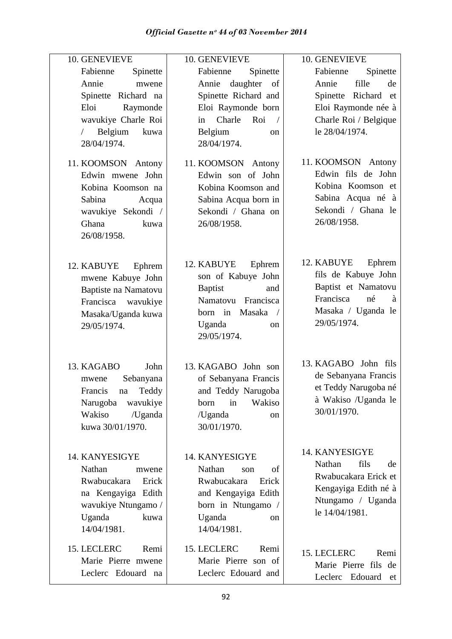| 10. GENEVIEVE                                                                                                                                            | 10. GENEVIEVE                                                                                                                                                          | 10. GENEVIEVE                                                                                                                         |
|----------------------------------------------------------------------------------------------------------------------------------------------------------|------------------------------------------------------------------------------------------------------------------------------------------------------------------------|---------------------------------------------------------------------------------------------------------------------------------------|
| Fabienne<br>Spinette<br>Annie<br>mwene<br>Spinette Richard na<br>Eloi<br>Raymonde<br>wavukiye Charle Roi<br>Belgium<br>kuwa<br>$\sqrt{2}$<br>28/04/1974. | Fabienne<br>Spinette<br>daughter<br>Annie<br>of<br>Spinette Richard and<br>Eloi Raymonde born<br>Charle<br>Roi<br>in<br>$\sqrt{2}$<br>Belgium<br>on<br>28/04/1974.     | Fabienne<br>Spinette<br>fille<br>Annie<br>de<br>Spinette Richard et<br>Eloi Raymonde née à<br>Charle Roi / Belgique<br>le 28/04/1974. |
| 11. KOOMSON Antony<br>Edwin mwene John<br>Kobina Koomson na<br>Sabina<br>Acqua<br>wavukiye Sekondi /<br>Ghana<br>kuwa<br>26/08/1958.                     | 11. KOOMSON Antony<br>Edwin son of John<br>Kobina Koomson and<br>Sabina Acqua born in<br>Sekondi / Ghana on<br>26/08/1958.                                             | 11. KOOMSON Antony<br>Edwin fils de John<br>Kobina Koomson et<br>Sabina Acqua né à<br>Sekondi / Ghana le<br>26/08/1958.               |
| 12. KABUYE<br>Ephrem<br>mwene Kabuye John<br>Baptiste na Namatovu<br>Francisca wavukiye<br>Masaka/Uganda kuwa<br>29/05/1974.                             | 12. KABUYE<br>Ephrem<br>son of Kabuye John<br><b>Baptist</b><br>and<br>Namatovu Francisca<br>Masaka<br>born in<br>$\sqrt{ }$<br>Uganda<br><sub>on</sub><br>29/05/1974. | 12. KABUYE<br>Ephrem<br>fils de Kabuye John<br>Baptist et Namatovu<br>Francisca<br>né<br>à<br>Masaka / Uganda le<br>29/05/1974.       |
| 13. KAGABO<br>John<br>Sebanyana<br>mwene<br>Francis na Teddy<br>Narugoba<br>wavukiye<br>Wakiso<br>/Uganda<br>kuwa 30/01/1970.                            | 13. KAGABO John son<br>of Sebanyana Francis<br>and Teddy Narugoba<br>Wakiso<br>in<br>born<br>/Uganda<br>on<br>30/01/1970.                                              | 13. KAGABO John fils<br>de Sebanyana Francis<br>et Teddy Narugoba né<br>à Wakiso /Uganda le<br>30/01/1970.                            |
| 14. KANYESIGYE<br>Nathan<br>mwene<br>Rwabucakara<br>Erick<br>na Kengayiga Edith<br>wavukiye Ntungamo /<br>Uganda<br>kuwa<br>14/04/1981.                  | 14. KANYESIGYE<br>Nathan<br>οf<br>son<br>Rwabucakara<br>Erick<br>and Kengayiga Edith<br>born in Ntungamo /<br>Uganda<br>on<br>14/04/1981.                              | 14. KANYESIGYE<br>Nathan<br>fils<br>de<br>Rwabucakara Erick et<br>Kengayiga Edith né à<br>Ntungamo / Uganda<br>le 14/04/1981.         |
| 15. LECLERC<br>Remi<br>Marie Pierre mwene<br>Leclerc Edouard na                                                                                          | 15. LECLERC<br>Remi<br>Marie Pierre son of<br>Leclerc Edouard and                                                                                                      | 15. LECLERC<br>Remi<br>Marie Pierre fils de<br>Leclerc Edouard<br>et                                                                  |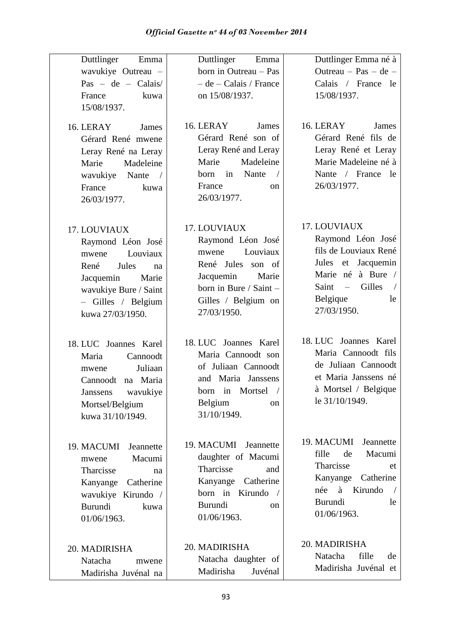| Duttlinger<br>Emma<br>wavukiye Outreau -<br>Pas - de - Calais/<br>France<br>kuwa<br>15/08/1937.<br>16. LERAY<br>James<br>Gérard René mwene<br>Leray René na Leray<br>Madeleine<br>Marie<br>wavukiye Nante<br>$\sqrt{2}$<br>France<br>kuwa | Duttlinger<br>Emma<br>born in Outreau - Pas<br>$-$ de $-$ Calais / France<br>on 15/08/1937.<br>16. LERAY<br>James<br>Gérard René son of<br>Leray René and Leray<br>Madeleine<br>Marie<br>Nante<br>in<br>born<br>$\sqrt{2}$<br>France<br><sub>on</sub> | Duttlinger Emma né à<br>Outreau $-$ Pas $-$ de $-$<br>Calais / France le<br>15/08/1937.<br>16. LERAY<br>James<br>Gérard René fils de<br>Leray René et Leray<br>Marie Madeleine né à<br>Nante / France le<br>26/03/1977. |
|-------------------------------------------------------------------------------------------------------------------------------------------------------------------------------------------------------------------------------------------|-------------------------------------------------------------------------------------------------------------------------------------------------------------------------------------------------------------------------------------------------------|-------------------------------------------------------------------------------------------------------------------------------------------------------------------------------------------------------------------------|
| 26/03/1977.<br>17. LOUVIAUX<br>Raymond Léon José<br>Louviaux<br>mwene<br>René<br>Jules<br>na<br>Jacquemin<br>Marie<br>wavukiye Bure / Saint<br>- Gilles / Belgium<br>kuwa 27/03/1950.                                                     | 26/03/1977.<br>17. LOUVIAUX<br>Raymond Léon José<br>Louviaux<br>mwene<br>René Jules<br>son of<br>Jacquemin<br>Marie<br>born in Bure / Saint -<br>Gilles / Belgium on<br>27/03/1950.                                                                   | 17. LOUVIAUX<br>Raymond Léon José<br>fils de Louviaux René<br>Jules et Jacquemin<br>Marie né à Bure /<br>Gilles<br>Saint<br>$\equiv$<br>Belgique<br>le<br>27/03/1950.                                                   |
| 18. LUC Joannes Karel<br>Cannoodt<br>Maria<br>Juliaan<br>mwene<br>na Maria<br>Cannoodt<br>wavukiye<br><b>Janssens</b><br>Mortsel/Belgium<br>kuwa 31/10/1949.                                                                              | 18. LUC Joannes Karel<br>Maria Cannoodt son<br>of Juliaan Cannoodt<br>and Maria Janssens<br>born in<br>Mortsel<br>Belgium<br>on<br>31/10/1949.                                                                                                        | 18. LUC Joannes Karel<br>Maria Cannoodt fils<br>de Juliaan Cannoodt<br>et Maria Janssens né<br>à Mortsel / Belgique<br>le 31/10/1949.                                                                                   |
| 19. MACUMI<br>Jeannette<br>Macumi<br>mwene<br>Tharcisse<br>na<br>Kanyange<br>Catherine<br>wavukiye Kirundo /<br><b>Burundi</b><br>kuwa<br>01/06/1963.                                                                                     | 19. MACUMI<br>Jeannette<br>daughter of Macumi<br>Tharcisse<br>and<br>Kanyange<br>Catherine<br>born in Kirundo<br><b>Burundi</b><br><sub>on</sub><br>01/06/1963.                                                                                       | 19. MACUMI<br>Jeannette<br>fille<br>Macumi<br>de<br>Tharcisse<br>et<br>Kanyange<br>Catherine<br>Kirundo<br>née<br>à<br><b>Burundi</b><br>le<br>01/06/1963.                                                              |
| 20. MADIRISHA<br>Natacha<br>mwene<br>Madirisha Juvénal na                                                                                                                                                                                 | 20. MADIRISHA<br>Natacha daughter of<br>Madirisha<br>Juvénal                                                                                                                                                                                          | 20. MADIRISHA<br>fille<br>Natacha<br>de<br>Madirisha Juvénal et                                                                                                                                                         |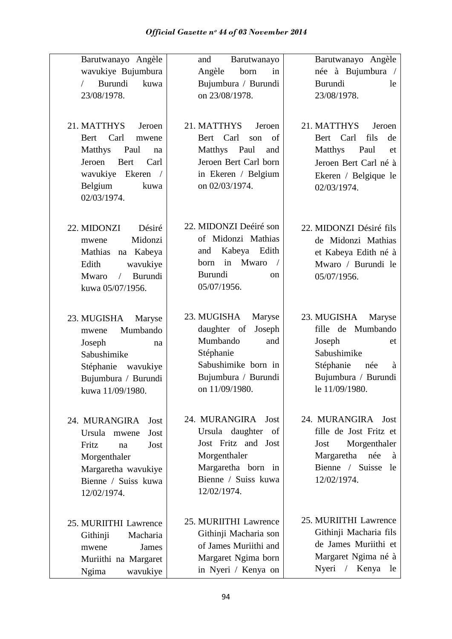| Barutwanayo Angèle<br>wavukiye Bujumbura<br>Burundi<br>kuwa<br>$\sqrt{2}$<br>23/08/1978.<br>21. MATTHYS<br>Jeroen<br>Carl<br>Bert<br>mwene<br>Matthys<br>Paul<br>na<br>Jeroen<br>Bert<br>Carl<br>wavukiye Ekeren /<br>Belgium<br>kuwa<br>02/03/1974. | Barutwanayo<br>and<br>Angèle<br>born<br>in<br>Bujumbura / Burundi<br>on 23/08/1978.<br>21. MATTHYS<br>Jeroen<br>Bert Carl<br>of<br>son<br>Matthys Paul<br>and<br>Jeroen Bert Carl born<br>in Ekeren / Belgium<br>on 02/03/1974. | Barutwanayo Angèle<br>née à Bujumbura /<br>Burundi<br>le<br>23/08/1978.<br>21. MATTHYS<br>Jeroen<br>Bert Carl<br>fils<br>de<br>Matthys<br>Paul<br>et<br>Jeroen Bert Carl né à<br>Ekeren / Belgique le<br>02/03/1974. |
|------------------------------------------------------------------------------------------------------------------------------------------------------------------------------------------------------------------------------------------------------|---------------------------------------------------------------------------------------------------------------------------------------------------------------------------------------------------------------------------------|----------------------------------------------------------------------------------------------------------------------------------------------------------------------------------------------------------------------|
| 22. MIDONZI<br>Désiré<br>Midonzi<br>mwene<br>na Kabeya<br>Mathias<br>Edith<br>wavukiye<br>Burundi<br>Mwaro<br>$\sqrt{2}$<br>kuwa 05/07/1956.                                                                                                         | 22. MIDONZI Deéiré son<br>of Midonzi Mathias<br>Kabeya Edith<br>and<br>Mwaro<br>in<br>born<br>$\sqrt{2}$<br><b>Burundi</b><br><sub>on</sub><br>05/07/1956.                                                                      | 22. MIDONZI Désiré fils<br>de Midonzi Mathias<br>et Kabeya Edith né à<br>Mwaro / Burundi le<br>05/07/1956.                                                                                                           |
| 23. MUGISHA<br>Maryse<br>Mumbando<br>mwene<br>Joseph<br>na<br>Sabushimike<br>Stéphanie<br>wavukiye<br>Bujumbura / Burundi<br>kuwa 11/09/1980.                                                                                                        | 23. MUGISHA<br>Maryse<br>daughter of<br>Joseph<br>Mumbando<br>and<br>Stéphanie<br>Sabushimike born in<br>Bujumbura / Burundi<br>on 11/09/1980.                                                                                  | 23. MUGISHA<br>Maryse<br>fille de Mumbando<br>Joseph<br>et<br>Sabushimike<br>Stéphanie<br>à<br>née<br>Bujumbura / Burundi<br>le 11/09/1980.                                                                          |
| 24. MURANGIRA<br>Jost<br>Ursula<br>Jost<br>mwene<br>Fritz<br>Jost<br>na<br>Morgenthaler<br>Margaretha wavukiye<br>Bienne / Suiss kuwa<br>12/02/1974.                                                                                                 | 24. MURANGIRA Jost<br>Ursula daughter<br>of<br>Jost Fritz and Jost<br>Morgenthaler<br>Margaretha born in<br>Bienne / Suiss kuwa<br>12/02/1974.                                                                                  | 24. MURANGIRA Jost<br>fille de Jost Fritz et<br>Morgenthaler<br>Jost<br>Margaretha née<br>à<br>Bienne / Suisse<br>le<br>12/02/1974.                                                                                  |
| 25. MURIITHI Lawrence<br>Githinji<br>Macharia<br>James<br>mwene<br>Muriithi na Margaret<br>Ngima<br>wavukiye                                                                                                                                         | 25. MURIITHI Lawrence<br>Githinji Macharia son<br>of James Muriithi and<br>Margaret Ngima born<br>in Nyeri / Kenya on                                                                                                           | 25. MURIITHI Lawrence<br>Githinji Macharia fils<br>de James Muriithi et<br>Margaret Ngima né à<br>Nyeri<br>Kenya<br>$\sqrt{2}$<br>le                                                                                 |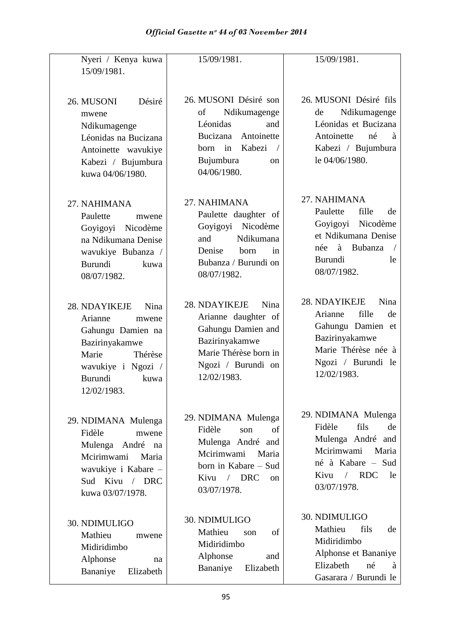| Nyeri / Kenya kuwa                                                                                                                                          | 15/09/1981.                                                                                                                                                                        | 15/09/1981.                                                                                                                                                           |
|-------------------------------------------------------------------------------------------------------------------------------------------------------------|------------------------------------------------------------------------------------------------------------------------------------------------------------------------------------|-----------------------------------------------------------------------------------------------------------------------------------------------------------------------|
| 15/09/1981.                                                                                                                                                 |                                                                                                                                                                                    |                                                                                                                                                                       |
| 26. MUSONI<br>Désiré<br>mwene<br>Ndikumagenge<br>Léonidas na Bucizana<br>Antoinette wavukiye<br>Kabezi / Bujumbura<br>kuwa 04/06/1980.                      | 26. MUSONI Désiré son<br>Ndikumagenge<br>of<br>Léonidas<br>and<br>Antoinette<br>Bucizana<br>Kabezi<br>in<br>born<br>Bujumbura<br><sub>on</sub><br>04/06/1980.                      | 26. MUSONI Désiré fils<br>Ndikumagenge<br>de<br>Léonidas et Bucizana<br>Antoinette<br>né<br>à<br>Kabezi / Bujumbura<br>le 04/06/1980.                                 |
| 27. NAHIMANA<br>Paulette<br>mwene<br>Nicodème<br>Goyigoyi<br>na Ndikumana Denise<br>wavukiye Bubanza /<br>Burundi<br>kuwa<br>08/07/1982.                    | 27. NAHIMANA<br>Paulette daughter of<br>Nicodème<br>Goyigoyi<br>Ndikumana<br>and<br>Denise<br>born<br>in<br>Bubanza / Burundi on<br>08/07/1982.                                    | 27. NAHIMANA<br>fille<br>Paulette<br>de<br>Goyigoyi Nicodème<br>et Ndikumana Denise<br>Bubanza<br>née<br>à<br><b>Burundi</b><br>le<br>08/07/1982.                     |
| 28. NDAYIKEJE<br>Nina<br>Arianne<br>mwene<br>Gahungu Damien na<br>Bazirinyakamwe<br>Marie<br>Thérèse<br>wavukiye i Ngozi /<br>Burundi<br>kuwa<br>12/02/1983 | 28. NDAYIKEJE<br>Nina<br>Arianne daughter of<br>Gahungu Damien and<br>Bazirinyakamwe<br>Marie Thérèse born in<br>Ngozi / Burundi on<br>12/02/1983.                                 | 28. NDAYIKEJE<br>Nina<br>fille<br>Arianne<br>de<br>Gahungu Damien et<br>Bazirinyakamwe<br>Marie Thérèse née à<br>Ngozi / Burundi le<br>12/02/1983.                    |
| 29. NDIMANA Mulenga<br>Fidèle<br>mwene<br>André<br>Mulenga<br>na<br>Mcirimwami<br>Maria<br>wavukiye i Kabare -<br>Sud Kivu / DRC<br>kuwa 03/07/1978.        | 29. NDIMANA Mulenga<br>Fidèle<br>of<br>son<br>Mulenga André and<br>Mcirimwami<br>Maria<br>born in Kabare - Sud<br><b>DRC</b><br>Kivu<br>$\sqrt{2}$<br><sub>on</sub><br>03/07/1978. | 29. NDIMANA Mulenga<br>Fidèle<br>fils<br>de<br>Mulenga André and<br>Mcirimwami<br>Maria<br>né à Kabare - Sud<br><b>RDC</b><br>Kivu<br>$\sqrt{2}$<br>le<br>03/07/1978. |
| 30. NDIMULIGO<br>Mathieu<br>mwene<br>Midiridimbo<br>Alphonse<br>na<br>Bananiye<br>Elizabeth                                                                 | 30. NDIMULIGO<br>Mathieu<br>of<br>son<br>Midiridimbo<br>Alphonse<br>and<br>Elizabeth<br>Bananiye                                                                                   | 30. NDIMULIGO<br>Mathieu<br>fils<br>de<br>Midiridimbo<br>Alphonse et Bananiye<br>Elizabeth<br>né<br>à<br>Gasarara / Burundi le                                        |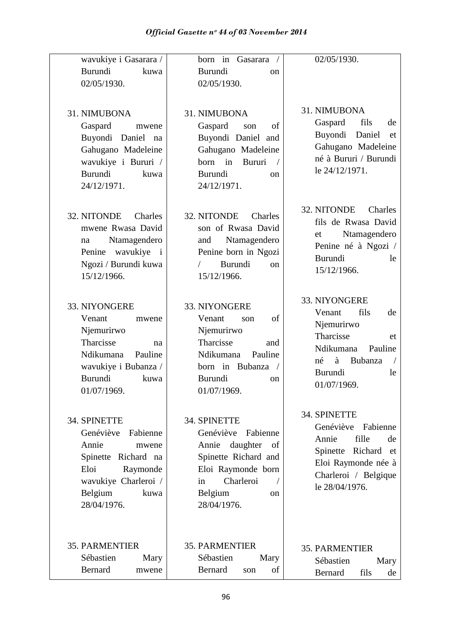| wavukiye i Gasarara /<br>Burundi<br>kuwa<br>02/05/1930.                                                                                                      | born in Gasarara<br><b>Burundi</b><br><sub>on</sub><br>02/05/1930.                                                                                                     | 02/05/1930.                                                                                                                                                 |
|--------------------------------------------------------------------------------------------------------------------------------------------------------------|------------------------------------------------------------------------------------------------------------------------------------------------------------------------|-------------------------------------------------------------------------------------------------------------------------------------------------------------|
| 31. NIMUBONA<br>Gaspard<br>mwene<br>Buyondi Daniel<br>na<br>Gahugano Madeleine<br>wavukiye i Bururi /<br>Burundi<br>kuwa<br>24/12/1971.                      | 31. NIMUBONA<br>Gaspard<br>of<br>son<br>Buyondi Daniel and<br>Gahugano Madeleine<br>born<br>in<br>Bururi<br>$\sqrt{2}$<br><b>Burundi</b><br>on<br>24/12/1971.          | 31. NIMUBONA<br>Gaspard<br>fils<br>de<br>Buyondi<br>Daniel<br>et<br>Gahugano Madeleine<br>né à Bururi / Burundi<br>le 24/12/1971.                           |
| 32. NITONDE<br>Charles<br>mwene Rwasa David<br>Ntamagendero<br>na<br>wavukiye<br>Penine<br>$\mathbf{i}$<br>Ngozi / Burundi kuwa<br>15/12/1966.               | 32. NITONDE<br>Charles<br>son of Rwasa David<br>Ntamagendero<br>and<br>Penine born in Ngozi<br>Burundi<br><sub>on</sub><br>15/12/1966.                                 | 32. NITONDE<br>Charles<br>fils de Rwasa David<br>Ntamagendero<br>et<br>Penine né à Ngozi /<br>Burundi<br>le<br>15/12/1966.                                  |
| 33. NIYONGERE<br>Venant<br>mwene<br>Njemurirwo<br>Tharcisse<br>na<br>Ndikumana<br>Pauline<br>wavukiye i Bubanza /<br>Burundi<br>kuwa<br>01/07/1969.          | 33. NIYONGERE<br>Venant<br>of<br>son<br>Njemurirwo<br>Tharcisse<br>and<br>Ndikumana<br>Pauline<br>born in Bubanza<br>$\sqrt{2}$<br><b>Burundi</b><br>on<br>01/07/1969. | 33. NIYONGERE<br>fils<br>Venant<br>de<br>Njemurirwo<br>Tharcisse<br>et<br>Pauline<br>Ndikumana<br>à<br>Bubanza<br>né<br><b>Burundi</b><br>le<br>01/07/1969. |
| 34. SPINETTE<br>Genéviève<br>Fabienne<br>Annie<br>mwene<br>Spinette Richard na<br>Eloi<br>Raymonde<br>wavukiye Charleroi /<br>Belgium<br>kuwa<br>28/04/1976. | 34. SPINETTE<br>Genéviève<br>Fabienne<br>daughter<br>Annie<br>of<br>Spinette Richard and<br>Eloi Raymonde born<br>Charleroi<br>in<br>Belgium<br>on<br>28/04/1976.      | 34. SPINETTE<br>Genéviève<br>Fabienne<br>fille<br>Annie<br>de<br>Spinette Richard et<br>Eloi Raymonde née à<br>Charleroi / Belgique<br>le 28/04/1976.       |
| <b>35. PARMENTIER</b><br>Sébastien<br>Mary<br>Bernard<br>mwene                                                                                               | <b>35. PARMENTIER</b><br>Sébastien<br>Mary<br>Bernard<br>of<br>son                                                                                                     | <b>35. PARMENTIER</b><br>Sébastien<br>Mary<br>fils<br>Bernard<br>de                                                                                         |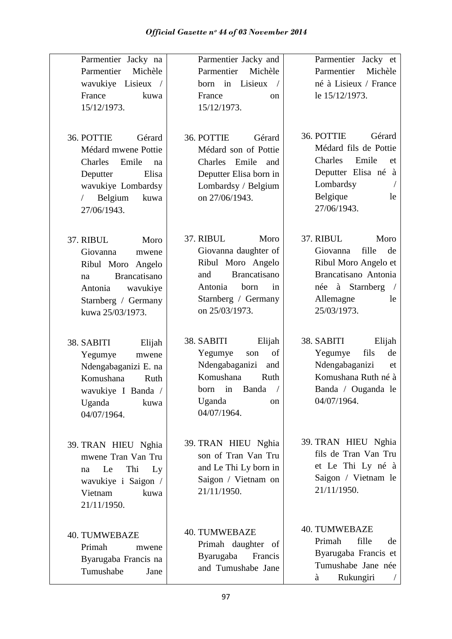| Parmentier Jacky na<br>Parmentier<br>Michèle<br>wavukiye Lisieux /<br>France<br>kuwa<br>15/12/1973.<br>36. POTTIE<br>Gérard                                | Parmentier Jacky and<br>Parmentier<br>Michèle<br>born in<br>Lisieux<br>$\sqrt{2}$<br>France<br><sub>on</sub><br>15/12/1973.<br>36. POTTIE<br>Gérard            | Parmentier Jacky et<br>Parmentier<br>Michèle<br>né à Lisieux / France<br>le 15/12/1973.<br>36. POTTIE<br>Gérard                                   |
|------------------------------------------------------------------------------------------------------------------------------------------------------------|----------------------------------------------------------------------------------------------------------------------------------------------------------------|---------------------------------------------------------------------------------------------------------------------------------------------------|
| Médard mwene Pottie<br>Charles<br>Emile<br>na<br>Deputter<br>Elisa<br>wavukiye Lombardsy<br>Belgium<br>kuwa<br>$\sqrt{2}$<br>27/06/1943.                   | Médard son of Pottie<br>Charles Emile<br>and<br>Deputter Elisa born in<br>Lombardsy / Belgium<br>on 27/06/1943.                                                | Médard fils de Pottie<br>Charles<br>Emile<br>et<br>Deputter Elisa né à<br>Lombardsy<br>Belgique<br>le<br>27/06/1943.                              |
| 37. RIBUL<br>Moro<br>Giovanna<br>mwene<br>Ribul Moro Angelo<br><b>Brancatisano</b><br>na<br>wavukiye<br>Antonia<br>Starnberg / Germany<br>kuwa 25/03/1973. | 37. RIBUL<br>Moro<br>Giovanna daughter of<br>Ribul Moro Angelo<br><b>Brancatisano</b><br>and<br>Antonia<br>born<br>in<br>Starnberg / Germany<br>on 25/03/1973. | 37. RIBUL<br>Moro<br>fille<br>Giovanna<br>de<br>Ribul Moro Angelo et<br>Brancatisano Antonia<br>née à Starnberg<br>Allemagne<br>le<br>25/03/1973. |
| 38. SABITI<br>Elijah<br>Yegumye<br>mwene<br>Ndengabaganizi E. na<br>Komushana<br>Ruth<br>wavukiye I Banda /<br>Uganda<br>kuwa<br>04/07/1964.               | 38. SABITI<br>Elijah<br>of<br>Yegumye<br>son<br>Ndengabaganizi<br>and<br>Komushana<br>Ruth<br>Banda<br>in<br>born<br>Uganda<br><sub>on</sub><br>04/07/1964.    | 38. SABITI<br>Elijah<br>fils<br>Yegumye<br>de<br>Ndengabaganizi<br>et<br>Komushana Ruth né à<br>Banda / Ouganda le<br>04/07/1964.                 |
| 39. TRAN HIEU Nghia<br>mwene Tran Van Tru<br>Thi<br>Le<br>Ly<br>na<br>wavukiye i Saigon /<br>Vietnam<br>kuwa<br>21/11/1950.                                | 39. TRAN HIEU Nghia<br>son of Tran Van Tru<br>and Le Thi Ly born in<br>Saigon / Vietnam on<br>21/11/1950.                                                      | 39. TRAN HIEU Nghia<br>fils de Tran Van Tru<br>et Le Thi Ly né à<br>Saigon / Vietnam le<br>21/11/1950.                                            |
| <b>40. TUMWEBAZE</b><br>Primah<br>mwene<br>Byarugaba Francis na<br>Tumushabe<br>Jane                                                                       | <b>40. TUMWEBAZE</b><br>Primah daughter of<br>Byarugaba<br>Francis<br>and Tumushabe Jane                                                                       | <b>40. TUMWEBAZE</b><br>Primah<br>fille<br>de<br>Byarugaba Francis et<br>Tumushabe Jane née<br>Rukungiri<br>à                                     |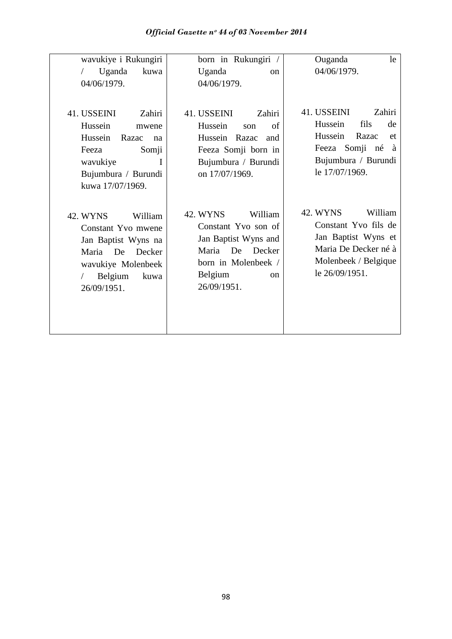| wavukiye i Rukungiri                                                                                                                                            | born in Rukungiri /                                                                                                                                                  | Ouganda<br>le                                                                                                                            |
|-----------------------------------------------------------------------------------------------------------------------------------------------------------------|----------------------------------------------------------------------------------------------------------------------------------------------------------------------|------------------------------------------------------------------------------------------------------------------------------------------|
| Uganda<br>kuwa<br>$\sqrt{2}$                                                                                                                                    | Uganda<br><sub>on</sub>                                                                                                                                              | 04/06/1979.                                                                                                                              |
| 04/06/1979.                                                                                                                                                     | 04/06/1979.                                                                                                                                                          |                                                                                                                                          |
| 41. USSEINI<br>Zahiri<br>Hussein<br>mwene<br>Hussein<br>Razac<br>na<br>Somji<br>Feeza<br>wavukiye<br>T<br>Bujumbura / Burundi                                   | 41. USSEINI<br>Zahiri<br>Hussein<br>of<br>son<br>Hussein<br>Razac<br>and<br>Feeza Somji born in<br>Bujumbura / Burundi<br>on 17/07/1969.                             | 41. USSEINI<br>Zahiri<br>Hussein<br>fils<br>de<br>Hussein<br>Razac<br>et<br>Feeza Somji né<br>à<br>Bujumbura / Burundi<br>le 17/07/1969. |
| kuwa 17/07/1969.<br>42. WYNS<br>William<br>Constant Yvo mwene<br>Jan Baptist Wyns na<br>Maria De Decker<br>wavukiye Molenbeek<br>Belgium<br>kuwa<br>26/09/1951. | <b>42. WYNS</b><br>William<br>Constant Yvo son of<br>Jan Baptist Wyns and<br>Maria<br>De<br>Decker<br>born in Molenbeek /<br>Belgium<br><sub>on</sub><br>26/09/1951. | 42. WYNS<br>William<br>Constant Yvo fils de<br>Jan Baptist Wyns et<br>Maria De Decker né à<br>Molenbeek / Belgique<br>le 26/09/1951.     |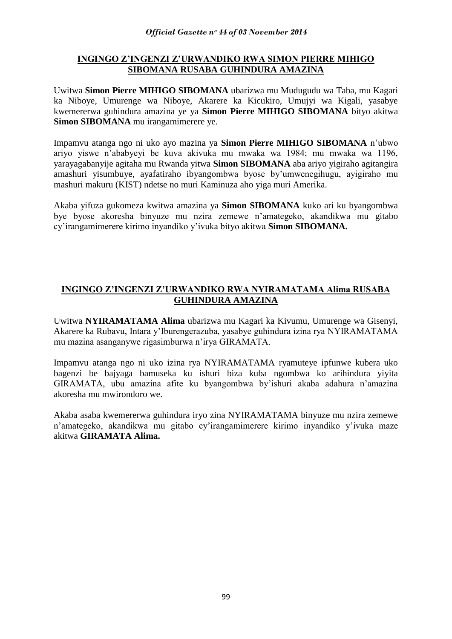## **INGINGO Z'INGENZI Z'URWANDIKO RWA SIMON PIERRE MIHIGO SIBOMANA RUSABA GUHINDURA AMAZINA**

Uwitwa **Simon Pierre MIHIGO SIBOMANA** ubarizwa mu Mudugudu wa Taba, mu Kagari ka Niboye, Umurenge wa Niboye, Akarere ka Kicukiro, Umujyi wa Kigali, yasabye kwemererwa guhindura amazina ye ya **Simon Pierre MIHIGO SIBOMANA** bityo akitwa **Simon SIBOMANA** mu irangamimerere ye.

Impamvu atanga ngo ni uko ayo mazina ya **Simon Pierre MIHIGO SIBOMANA** n"ubwo ariyo yiswe n"ababyeyi be kuva akivuka mu mwaka wa 1984; mu mwaka wa 1196, yarayagabanyije agitaha mu Rwanda yitwa **Simon SIBOMANA** aba ariyo yigiraho agitangira amashuri yisumbuye, ayafatiraho ibyangombwa byose by"umwenegihugu, ayigiraho mu mashuri makuru (KIST) ndetse no muri Kaminuza aho yiga muri Amerika.

Akaba yifuza gukomeza kwitwa amazina ya **Simon SIBOMANA** kuko ari ku byangombwa bye byose akoresha binyuze mu nzira zemewe n"amategeko, akandikwa mu gitabo cy"irangamimerere kirimo inyandiko y"ivuka bityo akitwa **Simon SIBOMANA.**

# **INGINGO Z'INGENZI Z'URWANDIKO RWA NYIRAMATAMA Alima RUSABA GUHINDURA AMAZINA**

Uwitwa **NYIRAMATAMA Alima** ubarizwa mu Kagari ka Kivumu, Umurenge wa Gisenyi, Akarere ka Rubavu, Intara y"Iburengerazuba, yasabye guhindura izina rya NYIRAMATAMA mu mazina asanganywe rigasimburwa n"irya GIRAMATA.

Impamvu atanga ngo ni uko izina rya NYIRAMATAMA ryamuteye ipfunwe kubera uko bagenzi be bajyaga bamuseka ku ishuri biza kuba ngombwa ko arihindura yiyita GIRAMATA, ubu amazina afite ku byangombwa by"ishuri akaba adahura n"amazina akoresha mu mwirondoro we.

Akaba asaba kwemererwa guhindura iryo zina NYIRAMATAMA binyuze mu nzira zemewe n"amategeko, akandikwa mu gitabo cy"irangamimerere kirimo inyandiko y"ivuka maze akitwa **GIRAMATA Alima.**